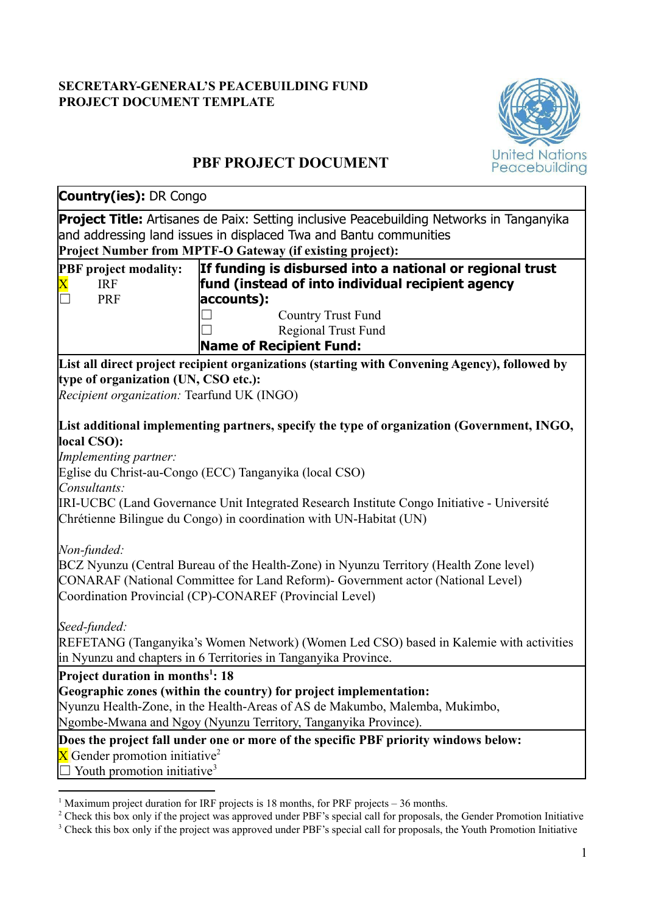# **SECRETARY-GENERAL'S PEACEBUILDING FUND PROJECT DOCUMENT TEMPLATE**



# **PBF PROJECT DOCUMENT**

| <b>Country(ies): DR Congo</b>                                                                                                              |                                                                                                                                                                                                                                                                                                                          |
|--------------------------------------------------------------------------------------------------------------------------------------------|--------------------------------------------------------------------------------------------------------------------------------------------------------------------------------------------------------------------------------------------------------------------------------------------------------------------------|
|                                                                                                                                            | <b>Project Title:</b> Artisanes de Paix: Setting inclusive Peacebuilding Networks in Tanganyika<br>and addressing land issues in displaced Twa and Bantu communities<br>Project Number from MPTF-O Gateway (if existing project):                                                                                        |
| <b>PBF</b> project modality:<br><b>IRF</b><br><b>PRF</b>                                                                                   | If funding is disbursed into a national or regional trust<br>fund (instead of into individual recipient agency<br>accounts):<br><b>Country Trust Fund</b><br>Regional Trust Fund<br><b>Name of Recipient Fund:</b>                                                                                                       |
|                                                                                                                                            | List all direct project recipient organizations (starting with Convening Agency), followed by                                                                                                                                                                                                                            |
| type of organization (UN, CSO etc.):<br>Recipient organization: Tearfund UK (INGO)                                                         |                                                                                                                                                                                                                                                                                                                          |
| local CSO):<br>Implementing partner:<br>Consultants:                                                                                       | List additional implementing partners, specify the type of organization (Government, INGO,<br>Eglise du Christ-au-Congo (ECC) Tanganyika (local CSO)<br>IRI-UCBC (Land Governance Unit Integrated Research Institute Congo Initiative - Université<br>Chrétienne Bilingue du Congo) in coordination with UN-Habitat (UN) |
| Non-funded:                                                                                                                                | BCZ Nyunzu (Central Bureau of the Health-Zone) in Nyunzu Territory (Health Zone level)<br>CONARAF (National Committee for Land Reform) - Government actor (National Level)<br>Coordination Provincial (CP)-CONAREF (Provincial Level)                                                                                    |
| Seed-funded:                                                                                                                               | REFETANG (Tanganyika's Women Network) (Women Led CSO) based in Kalemie with activities<br>in Nyunzu and chapters in 6 Territories in Tanganyika Province.                                                                                                                                                                |
| <b>Project duration in months<sup>1</sup>: 18</b><br>X Gender promotion initiative <sup>2</sup><br>Youth promotion initiative <sup>3</sup> | Geographic zones (within the country) for project implementation:<br>Nyunzu Health-Zone, in the Health-Areas of AS de Makumbo, Malemba, Mukimbo,<br>Ngombe-Mwana and Ngoy (Nyunzu Territory, Tanganyika Province).<br>Does the project fall under one or more of the specific PBF priority windows below:                |

<sup>&</sup>lt;sup>1</sup> Maximum project duration for IRF projects is 18 months, for PRF projects  $-36$  months.

<sup>&</sup>lt;sup>2</sup> Check this box only if the project was approved under PBF's special call for proposals, the Gender Promotion Initiative

<sup>&</sup>lt;sup>3</sup> Check this box only if the project was approved under PBF's special call for proposals, the Youth Promotion Initiative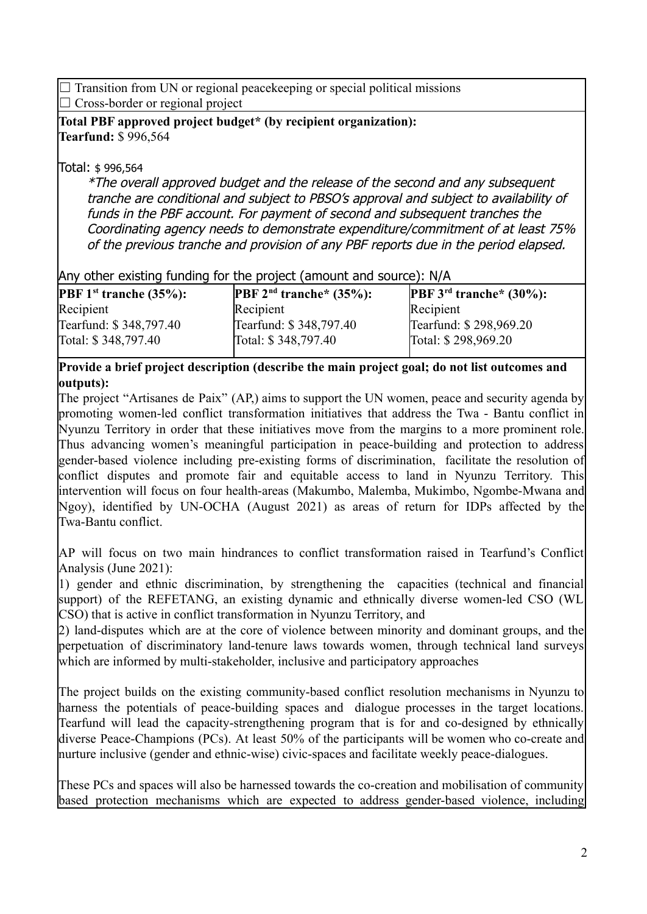$\Box$  Transition from UN or regional peace keeping or special political missions  $\Box$  Cross-border or regional project

### **Total PBF approved project budget\* (by recipient organization): Tearfund:** \$ 996,564

## Total: \$ 996,564

\*The overall approved budget and the release of the second and any subsequent tranche are conditional and subject to PBSO's approval and subject to availability of funds in the PBF account. For payment of second and subsequent tranches the Coordinating agency needs to demonstrate expenditure/commitment of at least 75% of the previous tranche and provision of any PBF reports due in the period elapsed.

## Any other existing funding for the project (amount and source): N/A

| <b>PBF</b> $1^{\text{st}}$ tranche $(35\%)$ : | <b>PBF</b> $2^{nd}$ tranche* (35%): | <b>PBF</b> $3^{rd}$ tranche* $(30\%)$ : |
|-----------------------------------------------|-------------------------------------|-----------------------------------------|
| Recipient                                     | Recipient                           | Recipient                               |
| Tearfund: \$348,797.40                        | Tearfund: \$348,797.40              | Tearfund: \$298,969.20                  |
| Total: \$348,797.40                           | Total: \$348,797.40                 | Total: \$298,969.20                     |
|                                               |                                     |                                         |

### **Provide a brief project description (describe the main project goal; do not list outcomes and outputs):**

The project "Artisanes de Paix" (AP,) aims to support the UN women, peace and security agenda by promoting women-led conflict transformation initiatives that address the Twa - Bantu conflict in Nyunzu Territory in order that these initiatives move from the margins to a more prominent role. Thus advancing women's meaningful participation in peace-building and protection to address gender-based violence including pre-existing forms of discrimination, facilitate the resolution of conflict disputes and promote fair and equitable access to land in Nyunzu Territory. This intervention will focus on four health-areas (Makumbo, Malemba, Mukimbo, Ngombe-Mwana and Ngoy), identified by UN-OCHA (August 2021) as areas of return for IDPs affected by the Twa-Bantu conflict.

AP will focus on two main hindrances to conflict transformation raised in Tearfund's Conflict Analysis (June 2021):

1) gender and ethnic discrimination, by strengthening the capacities (technical and financial support) of the REFETANG, an existing dynamic and ethnically diverse women-led CSO (WL CSO) that is active in conflict transformation in Nyunzu Territory, and

2) land-disputes which are at the core of violence between minority and dominant groups, and the perpetuation of discriminatory land-tenure laws towards women, through technical land surveys which are informed by multi-stakeholder, inclusive and participatory approaches

The project builds on the existing community-based conflict resolution mechanisms in Nyunzu to harness the potentials of peace-building spaces and dialogue processes in the target locations. Tearfund will lead the capacity-strengthening program that is for and co-designed by ethnically diverse Peace-Champions (PCs). At least 50% of the participants will be women who co-create and nurture inclusive (gender and ethnic-wise) civic-spaces and facilitate weekly peace-dialogues.

These PCs and spaces will also be harnessed towards the co-creation and mobilisation of community based protection mechanisms which are expected to address gender-based violence, including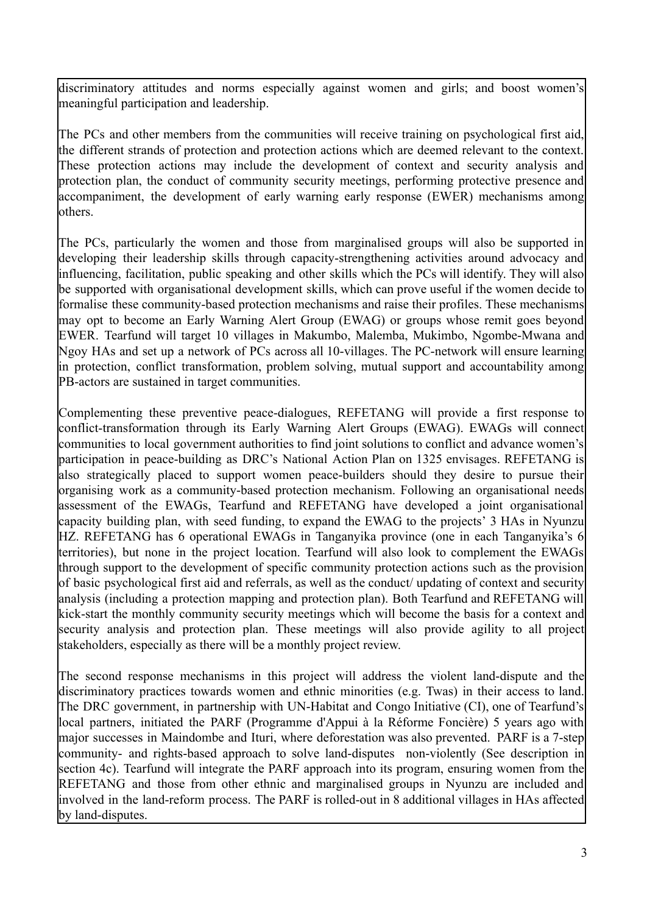discriminatory attitudes and norms especially against women and girls; and boost women's meaningful participation and leadership.

The PCs and other members from the communities will receive training on psychological first aid, the different strands of protection and protection actions which are deemed relevant to the context. These protection actions may include the development of context and security analysis and protection plan, the conduct of community security meetings, performing protective presence and accompaniment, the development of early warning early response (EWER) mechanisms among others.

The PCs, particularly the women and those from marginalised groups will also be supported in developing their leadership skills through capacity-strengthening activities around advocacy and influencing, facilitation, public speaking and other skills which the PCs will identify. They will also be supported with organisational development skills, which can prove useful if the women decide to formalise these community-based protection mechanisms and raise their profiles. These mechanisms may opt to become an Early Warning Alert Group (EWAG) or groups whose remit goes beyond EWER. Tearfund will target 10 villages in Makumbo, Malemba, Mukimbo, Ngombe-Mwana and Ngoy HAs and set up a network of PCs across all 10-villages. The PC-network will ensure learning in protection, conflict transformation, problem solving, mutual support and accountability among PB-actors are sustained in target communities.

Complementing these preventive peace-dialogues, REFETANG will provide a first response to conflict-transformation through its Early Warning Alert Groups (EWAG). EWAGs will connect communities to local government authorities to find joint solutions to conflict and advance women's participation in peace-building as DRC's National Action Plan on 1325 envisages. REFETANG is also strategically placed to support women peace-builders should they desire to pursue their organising work as a community-based protection mechanism. Following an organisational needs assessment of the EWAGs, Tearfund and REFETANG have developed a joint organisational capacity building plan, with seed funding, to expand the EWAG to the projects' 3 HAs in Nyunzu HZ. REFETANG has 6 operational EWAGs in Tanganyika province (one in each Tanganyika's 6 territories), but none in the project location. Tearfund will also look to complement the EWAGs through support to the development of specific community protection actions such as the provision of basic psychological first aid and referrals, as well as the conduct/ updating of context and security analysis (including a protection mapping and protection plan). Both Tearfund and REFETANG will kick-start the monthly community security meetings which will become the basis for a context and security analysis and protection plan. These meetings will also provide agility to all project stakeholders, especially as there will be a monthly project review.

The second response mechanisms in this project will address the violent land-dispute and the discriminatory practices towards women and ethnic minorities (e.g. Twas) in their access to land. The DRC government, in partnership with UN-Habitat and Congo Initiative (CI), one of Tearfund's local partners, initiated the PARF (Programme d'Appui à la Réforme Foncière) 5 years ago with major successes in Maindombe and Ituri, where deforestation was also prevented. PARF is a 7-step community- and rights-based approach to solve land-disputes non-violently (See description in section 4c). Tearfund will integrate the PARF approach into its program, ensuring women from the REFETANG and those from other ethnic and marginalised groups in Nyunzu are included and involved in the land-reform process. The PARF is rolled-out in 8 additional villages in HAs affected by land-disputes.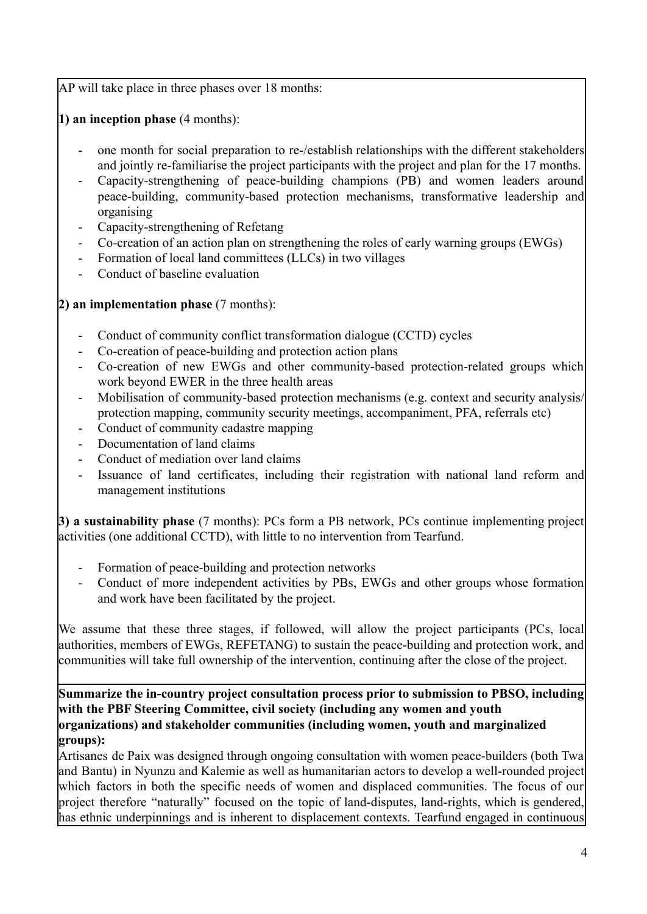AP will take place in three phases over 18 months:

**1) an inception phase** (4 months):

- one month for social preparation to re-/establish relationships with the different stakeholders and jointly re-familiarise the project participants with the project and plan for the 17 months.
- Capacity-strengthening of peace-building champions (PB) and women leaders around peace-building, community-based protection mechanisms, transformative leadership and organising
- Capacity-strengthening of Refetang
- Co-creation of an action plan on strengthening the roles of early warning groups (EWGs)
- Formation of local land committees (LLCs) in two villages
- Conduct of baseline evaluation

**2) an implementation phase** (7 months):

- Conduct of community conflict transformation dialogue (CCTD) cycles
- Co-creation of peace-building and protection action plans
- Co-creation of new EWGs and other community-based protection-related groups which work beyond EWER in the three health areas
- Mobilisation of community-based protection mechanisms (e.g. context and security analysis/ protection mapping, community security meetings, accompaniment, PFA, referrals etc)
- Conduct of community cadastre mapping
- Documentation of land claims
- Conduct of mediation over land claims
- Issuance of land certificates, including their registration with national land reform and management institutions

**3) a sustainability phase** (7 months): PCs form a PB network, PCs continue implementing project activities (one additional CCTD), with little to no intervention from Tearfund.

- Formation of peace-building and protection networks
- Conduct of more independent activities by PBs, EWGs and other groups whose formation and work have been facilitated by the project.

We assume that these three stages, if followed, will allow the project participants (PCs, local authorities, members of EWGs, REFETANG) to sustain the peace-building and protection work, and communities will take full ownership of the intervention, continuing after the close of the project.

**Summarize the in-country project consultation process prior to submission to PBSO, including with the PBF Steering Committee, civil society (including any women and youth organizations) and stakeholder communities (including women, youth and marginalized groups):**

Artisanes de Paix was designed through ongoing consultation with women peace-builders (both Twa and Bantu) in Nyunzu and Kalemie as well as humanitarian actors to develop a well-rounded project which factors in both the specific needs of women and displaced communities. The focus of our project therefore "naturally" focused on the topic of land-disputes, land-rights, which is gendered, has ethnic underpinnings and is inherent to displacement contexts. Tearfund engaged in continuous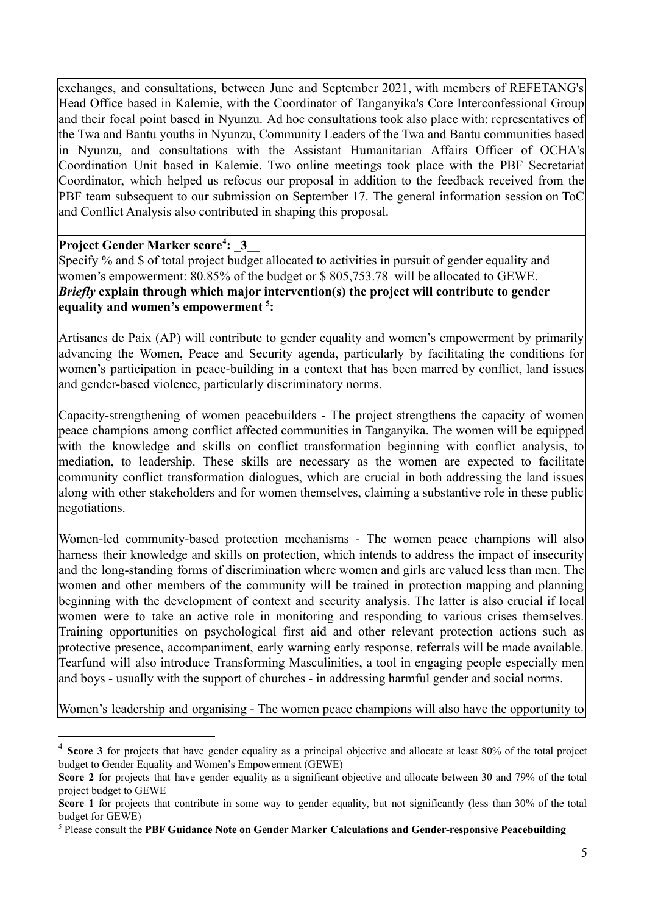exchanges, and consultations, between June and September 2021, with members of REFETANG's Head Office based in Kalemie, with the Coordinator of Tanganyika's Core Interconfessional Group and their focal point based in Nyunzu. Ad hoc consultations took also place with: representatives of the Twa and Bantu youths in Nyunzu, Community Leaders of the Twa and Bantu communities based in Nyunzu, and consultations with the Assistant Humanitarian Affairs Officer of OCHA's Coordination Unit based in Kalemie. Two online meetings took place with the PBF Secretariat Coordinator, which helped us refocus our proposal in addition to the feedback received from the PBF team subsequent to our submission on September 17. The general information session on ToC and Conflict Analysis also contributed in shaping this proposal.

### **Project Gender Marker score<sup>4</sup>: 3**

Specify % and \$ of total project budget allocated to activities in pursuit of gender equality and women's empowerment: 80.85% of the budget or \$ 805,753.78 will be allocated to GEWE. *Briefly* **explain through which major intervention(s) the project will contribute to gender equality and women's empowerment : 5**

Artisanes de Paix (AP) will contribute to gender equality and women's empowerment by primarily advancing the Women, Peace and Security agenda, particularly by facilitating the conditions for women's participation in peace-building in a context that has been marred by conflict, land issues and gender-based violence, particularly discriminatory norms.

Capacity-strengthening of women peacebuilders - The project strengthens the capacity of women peace champions among conflict affected communities in Tanganyika. The women will be equipped with the knowledge and skills on conflict transformation beginning with conflict analysis, to mediation, to leadership. These skills are necessary as the women are expected to facilitate community conflict transformation dialogues, which are crucial in both addressing the land issues along with other stakeholders and for women themselves, claiming a substantive role in these public negotiations.

Women-led community-based protection mechanisms - The women peace champions will also harness their knowledge and skills on protection, which intends to address the impact of insecurity and the long-standing forms of discrimination where women and girls are valued less than men. The women and other members of the community will be trained in protection mapping and planning beginning with the development of context and security analysis. The latter is also crucial if local women were to take an active role in monitoring and responding to various crises themselves. Training opportunities on psychological first aid and other relevant protection actions such as protective presence, accompaniment, early warning early response, referrals will be made available. Tearfund will also introduce Transforming Masculinities, a tool in engaging people especially men and boys - usually with the support of churches - in addressing harmful gender and social norms.

Women's leadership and organising - The women peace champions will also have the opportunity to

<sup>4</sup> **Score 3** for projects that have gender equality as a principal objective and allocate at least 80% of the total project budget to Gender Equality and Women's Empowerment (GEWE)

**Score 2** for projects that have gender equality as a significant objective and allocate between 30 and 79% of the total project budget to GEWE

**Score** 1 for projects that contribute in some way to gender equality, but not significantly (less than 30% of the total budget for GEWE)

<sup>5</sup> Please consult the **PBF Guidance Note on Gender Marker Calculations and Gender-responsive Peacebuilding**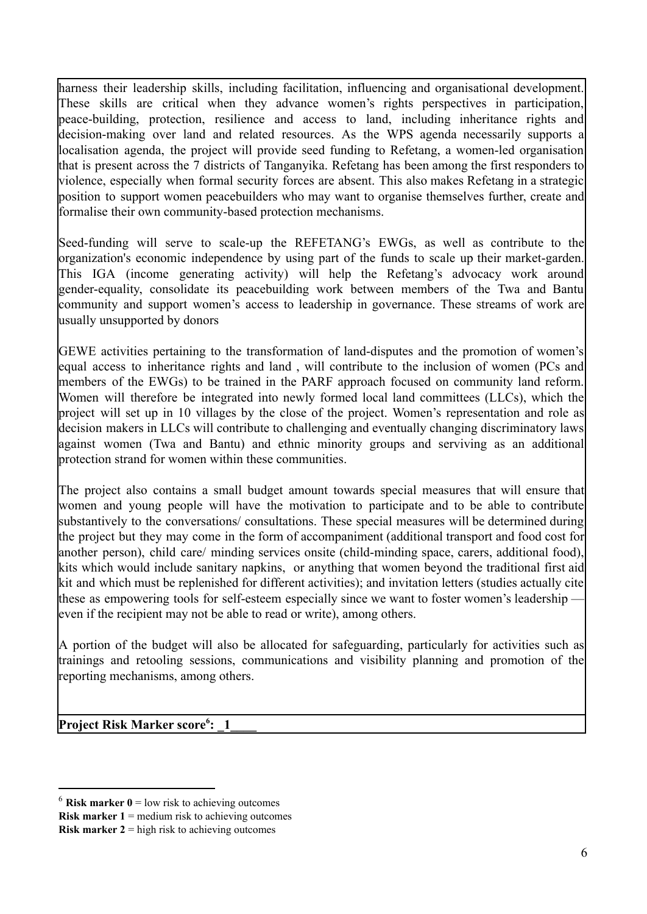harness their leadership skills, including facilitation, influencing and organisational development. These skills are critical when they advance women's rights perspectives in participation, peace-building, protection, resilience and access to land, including inheritance rights and decision-making over land and related resources. As the WPS agenda necessarily supports a localisation agenda, the project will provide seed funding to Refetang, a women-led organisation that is present across the 7 districts of Tanganyika. Refetang has been among the first responders to violence, especially when formal security forces are absent. This also makes Refetang in a strategic position to support women peacebuilders who may want to organise themselves further, create and formalise their own community-based protection mechanisms.

Seed-funding will serve to scale-up the REFETANG's EWGs, as well as contribute to the organization's economic independence by using part of the funds to scale up their market-garden. This IGA (income generating activity) will help the Refetang's advocacy work around gender-equality, consolidate its peacebuilding work between members of the Twa and Bantu community and support women's access to leadership in governance. These streams of work are usually unsupported by donors

GEWE activities pertaining to the transformation of land-disputes and the promotion of women's equal access to inheritance rights and land , will contribute to the inclusion of women (PCs and members of the EWGs) to be trained in the PARF approach focused on community land reform. Women will therefore be integrated into newly formed local land committees (LLCs), which the project will set up in 10 villages by the close of the project. Women's representation and role as decision makers in LLCs will contribute to challenging and eventually changing discriminatory laws against women (Twa and Bantu) and ethnic minority groups and serviving as an additional protection strand for women within these communities.

The project also contains a small budget amount towards special measures that will ensure that women and young people will have the motivation to participate and to be able to contribute substantively to the conversations/ consultations. These special measures will be determined during the project but they may come in the form of accompaniment (additional transport and food cost for another person), child care/ minding services onsite (child-minding space, carers, additional food), kits which would include sanitary napkins, or anything that women beyond the traditional first aid kit and which must be replenished for different activities); and invitation letters (studies actually cite these as empowering tools for self-esteem especially since we want to foster women's leadership – even if the recipient may not be able to read or write), among others.

A portion of the budget will also be allocated for safeguarding, particularly for activities such as trainings and retooling sessions, communications and visibility planning and promotion of the reporting mechanisms, among others.

**Project Risk Marker score**<sup>6</sup>: 1

 $6$  **Risk marker 0** = low risk to achieving outcomes

**Risk marker 1** = medium risk to achieving outcomes

**Risk marker 2** = high risk to achieving outcomes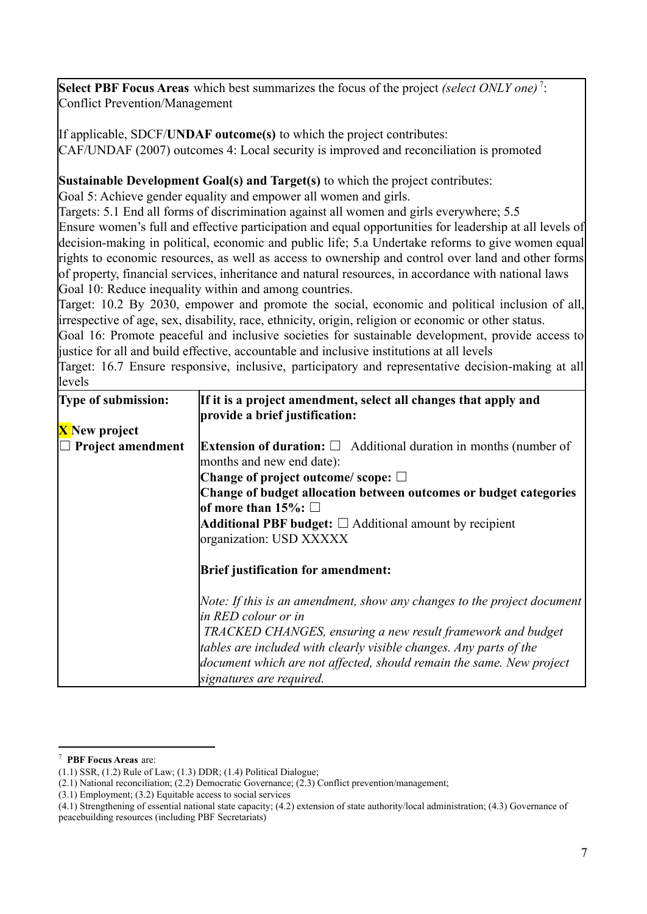Select PBF Focus Areas which best summarizes the focus of the project *(select ONLY one)*<sup>7</sup>: Conflict Prevention/Management

If applicable, SDCF/**UNDAF outcome(s)** to which the project contributes: CAF/UNDAF (2007) outcomes 4: Local security is improved and reconciliation is promoted

**Sustainable Development Goal(s) and Target(s)** to which the project contributes:

Goal 5: Achieve gender equality and empower all women and girls.

Targets: 5.1 End all forms of discrimination against all women and girls everywhere; 5.5 Ensure women's full and effective participation and equal opportunities for leadership at all levels of decision-making in political, economic and public life; 5.a Undertake reforms to give women equal rights to economic resources, as well as access to ownership and control over land and other forms of property, financial services, inheritance and natural resources, in accordance with national laws Goal 10: Reduce inequality within and among countries.

Target: 10.2 By 2030, empower and promote the social, economic and political inclusion of all, irrespective of age, sex, disability, race, ethnicity, origin, religion or economic or other status.

Goal 16: Promote peaceful and inclusive societies for sustainable development, provide access to justice for all and build effective, accountable and inclusive institutions at all levels

Target: 16.7 Ensure responsive, inclusive, participatory and representative decision-making at all levels

| Type of submission:      | If it is a project amendment, select all changes that apply and<br>provide a brief justification:          |
|--------------------------|------------------------------------------------------------------------------------------------------------|
| <b>X</b> New project     |                                                                                                            |
| $\Box$ Project amendment | <b>Extension of duration:</b> $\Box$ Additional duration in months (number of<br>months and new end date): |
|                          | Change of project outcome/scope: $\square$                                                                 |
|                          | Change of budget allocation between outcomes or budget categories<br>$\mathsf{lof}$ more than 15%: $\Box$  |
|                          | Additional PBF budget: $\Box$ Additional amount by recipient                                               |
|                          | organization: USD XXXXX                                                                                    |
|                          | <b>Brief justification for amendment:</b>                                                                  |
|                          | Note: If this is an amendment, show any changes to the project document<br>in RED colour or in             |
|                          | TRACKED CHANGES, ensuring a new result framework and budget                                                |
|                          | tables are included with clearly visible changes. Any parts of the                                         |
|                          | document which are not affected, should remain the same. New project                                       |
|                          | signatures are required.                                                                                   |

<sup>7</sup> **PBF Focus Areas** are:

<sup>(1.1)</sup> SSR, (1.2) Rule of Law; (1.3) DDR; (1.4) Political Dialogue;

<sup>(2.1)</sup> National reconciliation; (2.2) Democratic Governance; (2.3) Conflict prevention/management;

<sup>(3.1)</sup> Employment; (3.2) Equitable access to social services

<sup>(4.1)</sup> Strengthening of essential national state capacity; (4.2) extension of state authority/local administration; (4.3) Governance of peacebuilding resources (including PBF Secretariats)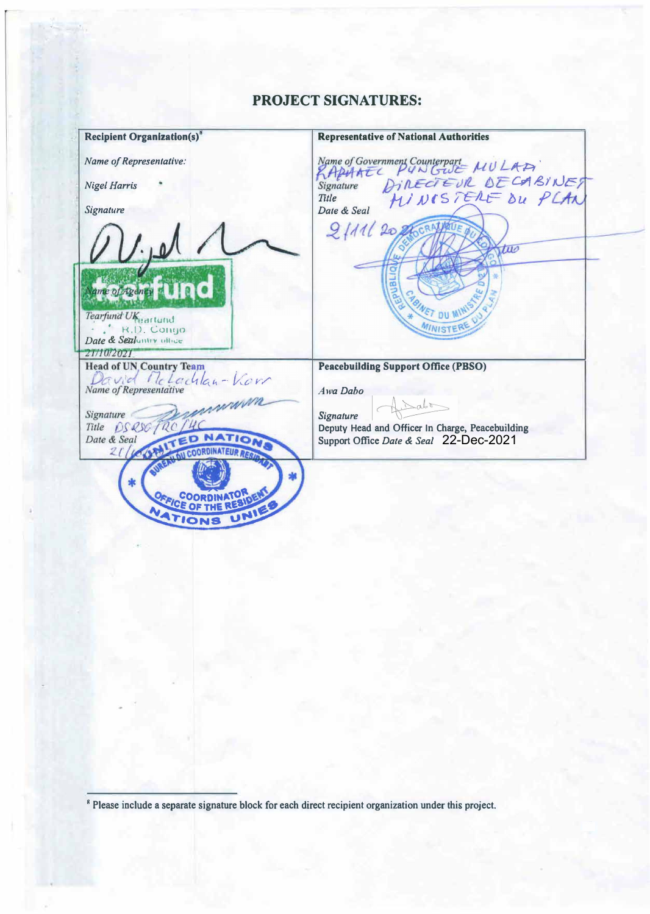# **PROJECT SIGNATURES:**

**Recipient Organlzation(s) Representative of National Authorities**  Name of Government Counterpart<br>
RAPHATIC PUNGUE MULATI<br>
Signature DINECTEUR DECABINET<br>
Title MINISTERE DU PLAN *Name of Representative: Nigel Harris*  Date & Seal *Signature*   $2111208$ two ame of Agency Tearfund UK eartund **DU M** ' k,U. Co11uo MINISTE *Date & Sealuntry uihce*<br>21/10/2021 **Head of UN Country Team Peacebuilding Support Office (PBSO)**  David McLachlan-Korr Name of Representative *Awa Dabo* mmm  $\Delta$ Signature *Signature*  Title DSQSOTRO **Deputy Head and Officer In Charge, Peacebuilding**  Date & Seal **Support Office** *Date* **&** *Seal*  22-Dec-2021**COORDINATEUR**  $21/4$ 

<sup>8</sup> Please include a separate signature block for each direct recipient organization under this project.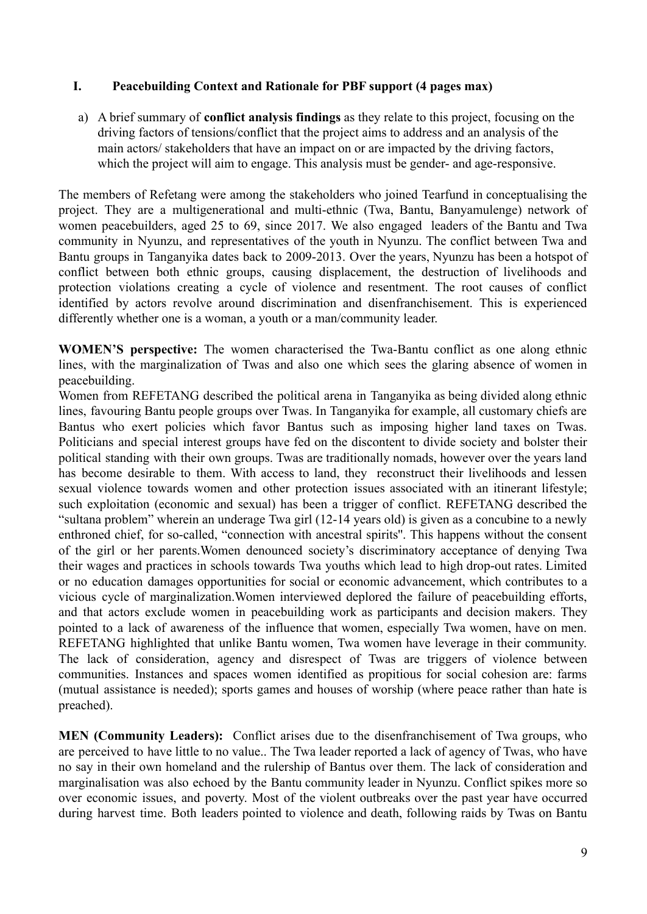## **I. Peacebuilding Context and Rationale for PBF support (4 pages max)**

a) A brief summary of **conflict analysis findings** as they relate to this project, focusing on the driving factors of tensions/conflict that the project aims to address and an analysis of the main actors/ stakeholders that have an impact on or are impacted by the driving factors, which the project will aim to engage. This analysis must be gender- and age-responsive.

The members of Refetang were among the stakeholders who joined Tearfund in conceptualising the project. They are a multigenerational and multi-ethnic (Twa, Bantu, Banyamulenge) network of women peacebuilders, aged 25 to 69, since 2017. We also engaged leaders of the Bantu and Twa community in Nyunzu, and representatives of the youth in Nyunzu. The conflict between Twa and Bantu groups in Tanganyika dates back to 2009-2013. Over the years, Nyunzu has been a hotspot of conflict between both ethnic groups, causing displacement, the destruction of livelihoods and protection violations creating a cycle of violence and resentment. The root causes of conflict identified by actors revolve around discrimination and disenfranchisement. This is experienced differently whether one is a woman, a youth or a man/community leader.

**WOMEN'S perspective:** The women characterised the Twa-Bantu conflict as one along ethnic lines, with the marginalization of Twas and also one which sees the glaring absence of women in peacebuilding.

Women from REFETANG described the political arena in Tanganyika as being divided along ethnic lines, favouring Bantu people groups over Twas. In Tanganyika for example, all customary chiefs are Bantus who exert policies which favor Bantus such as imposing higher land taxes on Twas. Politicians and special interest groups have fed on the discontent to divide society and bolster their political standing with their own groups. Twas are traditionally nomads, however over the years land has become desirable to them. With access to land, they reconstruct their livelihoods and lessen sexual violence towards women and other protection issues associated with an itinerant lifestyle; such exploitation (economic and sexual) has been a trigger of conflict. REFETANG described the "sultana problem" wherein an underage Twa girl (12-14 years old) is given as a concubine to a newly enthroned chief, for so-called, "connection with ancestral spirits''. This happens without the consent of the girl or her parents.Women denounced society's discriminatory acceptance of denying Twa their wages and practices in schools towards Twa youths which lead to high drop-out rates. Limited or no education damages opportunities for social or economic advancement, which contributes to a vicious cycle of marginalization.Women interviewed deplored the failure of peacebuilding efforts, and that actors exclude women in peacebuilding work as participants and decision makers. They pointed to a lack of awareness of the influence that women, especially Twa women, have on men. REFETANG highlighted that unlike Bantu women, Twa women have leverage in their community. The lack of consideration, agency and disrespect of Twas are triggers of violence between communities. Instances and spaces women identified as propitious for social cohesion are: farms (mutual assistance is needed); sports games and houses of worship (where peace rather than hate is preached).

**MEN (Community Leaders):** Conflict arises due to the disenfranchisement of Twa groups, who are perceived to have little to no value.. The Twa leader reported a lack of agency of Twas, who have no say in their own homeland and the rulership of Bantus over them. The lack of consideration and marginalisation was also echoed by the Bantu community leader in Nyunzu. Conflict spikes more so over economic issues, and poverty. Most of the violent outbreaks over the past year have occurred during harvest time. Both leaders pointed to violence and death, following raids by Twas on Bantu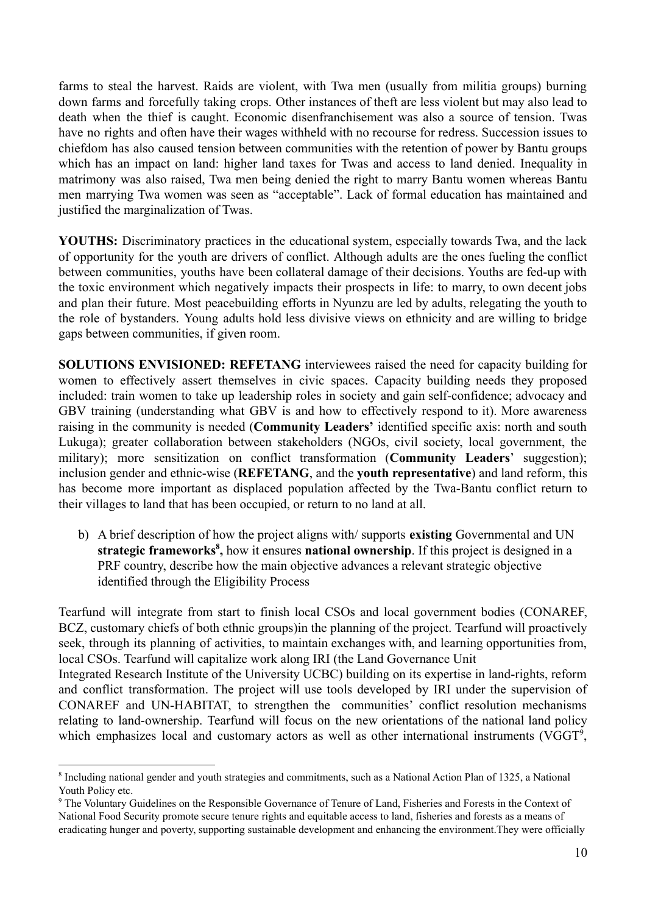farms to steal the harvest. Raids are violent, with Twa men (usually from militia groups) burning down farms and forcefully taking crops. Other instances of theft are less violent but may also lead to death when the thief is caught. Economic disenfranchisement was also a source of tension. Twas have no rights and often have their wages withheld with no recourse for redress. Succession issues to chiefdom has also caused tension between communities with the retention of power by Bantu groups which has an impact on land: higher land taxes for Twas and access to land denied. Inequality in matrimony was also raised, Twa men being denied the right to marry Bantu women whereas Bantu men marrying Twa women was seen as "acceptable". Lack of formal education has maintained and justified the marginalization of Twas.

**YOUTHS:** Discriminatory practices in the educational system, especially towards Twa, and the lack of opportunity for the youth are drivers of conflict. Although adults are the ones fueling the conflict between communities, youths have been collateral damage of their decisions. Youths are fed-up with the toxic environment which negatively impacts their prospects in life: to marry, to own decent jobs and plan their future. Most peacebuilding efforts in Nyunzu are led by adults, relegating the youth to the role of bystanders. Young adults hold less divisive views on ethnicity and are willing to bridge gaps between communities, if given room.

**SOLUTIONS ENVISIONED: REFETANG** interviewees raised the need for capacity building for women to effectively assert themselves in civic spaces. Capacity building needs they proposed included: train women to take up leadership roles in society and gain self-confidence; advocacy and GBV training (understanding what GBV is and how to effectively respond to it). More awareness raising in the community is needed (**Community Leaders'** identified specific axis: north and south Lukuga); greater collaboration between stakeholders (NGOs, civil society, local government, the military); more sensitization on conflict transformation (**Community Leaders**' suggestion); inclusion gender and ethnic-wise (**REFETANG**, and the **youth representative**) and land reform, this has become more important as displaced population affected by the Twa-Bantu conflict return to their villages to land that has been occupied, or return to no land at all.

b) A brief description of how the project aligns with/ supports **existing** Governmental and UN **strategic frameworks**<sup>8</sup>, how it ensures **national ownership**. If this project is designed in a PRF country, describe how the main objective advances a relevant strategic objective identified through the Eligibility Process

Tearfund will integrate from start to finish local CSOs and local government bodies (CONAREF, BCZ, customary chiefs of both ethnic groups)in the planning of the project. Tearfund will proactively seek, through its planning of activities, to maintain exchanges with, and learning opportunities from, local CSOs. Tearfund will capitalize work along IRI (the Land Governance Unit Integrated Research Institute of the University UCBC) building on its expertise in land-rights, reform and conflict transformation. The project will use tools developed by IRI under the supervision of CONAREF and UN-HABITAT, to strengthen the communities' conflict resolution mechanisms relating to land-ownership. Tearfund will focus on the new orientations of the national land policy which emphasizes local and customary actors as well as other international instruments (VGGT $\textdegree$ ,

<sup>&</sup>lt;sup>8</sup> Including national gender and youth strategies and commitments, such as a National Action Plan of 1325, a National Youth Policy etc.

<sup>9</sup> The Voluntary Guidelines on the Responsible Governance of Tenure of Land, Fisheries and Forests in the Context of National Food Security promote secure tenure rights and equitable access to land, fisheries and forests as a means of eradicating hunger and poverty, supporting sustainable development and enhancing the environment.They were officially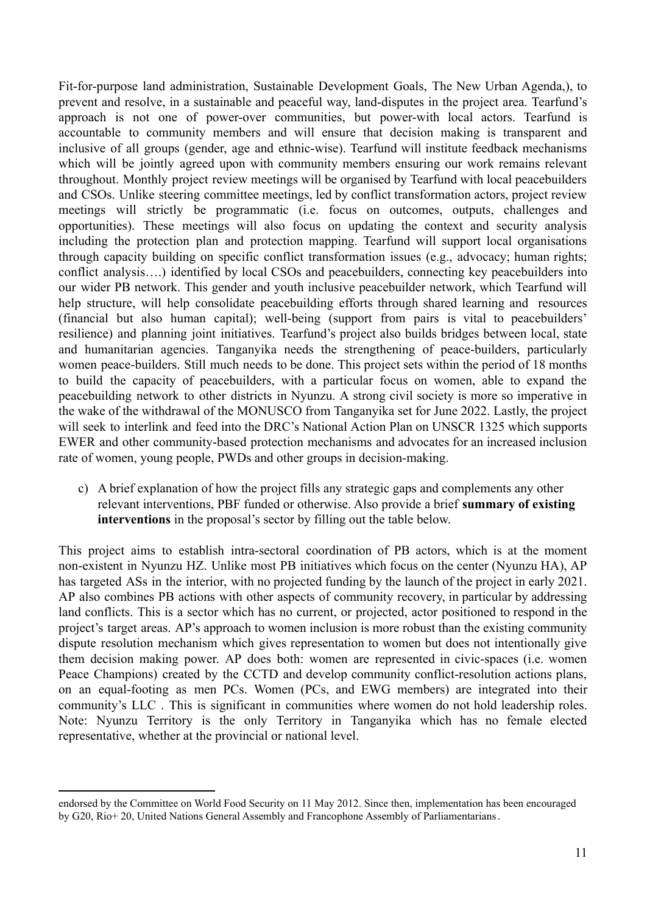Fit-for-purpose land administration, Sustainable Development Goals, The New Urban Agenda,), to prevent and resolve, in a sustainable and peaceful way, land-disputes in the project area. Tearfund's approach is not one of power-over communities, but power-with local actors. Tearfund is accountable to community members and will ensure that decision making is transparent and inclusive of all groups (gender, age and ethnic-wise). Tearfund will institute feedback mechanisms which will be jointly agreed upon with community members ensuring our work remains relevant throughout. Monthly project review meetings will be organised by Tearfund with local peacebuilders and CSOs. Unlike steering committee meetings, led by conflict transformation actors, project review meetings will strictly be programmatic (i.e. focus on outcomes, outputs, challenges and opportunities). These meetings will also focus on updating the context and security analysis including the protection plan and protection mapping. Tearfund will support local organisations through capacity building on specific conflict transformation issues (e.g., advocacy; human rights; conflict analysis….) identified by local CSOs and peacebuilders, connecting key peacebuilders into our wider PB network. This gender and youth inclusive peacebuilder network, which Tearfund will help structure, will help consolidate peacebuilding efforts through shared learning and resources (financial but also human capital); well-being (support from pairs is vital to peacebuilders' resilience) and planning joint initiatives. Tearfund's project also builds bridges between local, state and humanitarian agencies. Tanganyika needs the strengthening of peace-builders, particularly women peace-builders. Still much needs to be done. This project sets within the period of 18 months to build the capacity of peacebuilders, with a particular focus on women, able to expand the peacebuilding network to other districts in Nyunzu. A strong civil society is more so imperative in the wake of the withdrawal of the MONUSCO from Tanganyika set for June 2022. Lastly, the project will seek to interlink and feed into the DRC's National Action Plan on UNSCR 1325 which supports EWER and other community-based protection mechanisms and advocates for an increased inclusion rate of women, young people, PWDs and other groups in decision-making.

c) A brief explanation of how the project fills any strategic gaps and complements any other relevant interventions, PBF funded or otherwise. Also provide a brief **summary of existing interventions** in the proposal's sector by filling out the table below.

This project aims to establish intra-sectoral coordination of PB actors, which is at the moment non-existent in Nyunzu HZ. Unlike most PB initiatives which focus on the center (Nyunzu HA), AP has targeted ASs in the interior, with no projected funding by the launch of the project in early 2021. AP also combines PB actions with other aspects of community recovery, in particular by addressing land conflicts. This is a sector which has no current, or projected, actor positioned to respond in the project's target areas. AP's approach to women inclusion is more robust than the existing community dispute resolution mechanism which gives representation to women but does not intentionally give them decision making power. AP does both: women are represented in civic-spaces (i.e. women Peace Champions) created by the CCTD and develop community conflict-resolution actions plans, on an equal-footing as men PCs. Women (PCs, and EWG members) are integrated into their community's LLC . This is significant in communities where women do not hold leadership roles. Note: Nyunzu Territory is the only Territory in Tanganyika which has no female elected representative, whether at the provincial or national level.

endorsed by the Committee on World Food Security on 11 May 2012. Since then, implementation has been encouraged by G20, Rio+ 20, United Nations General Assembly and Francophone Assembly of Parliamentarians.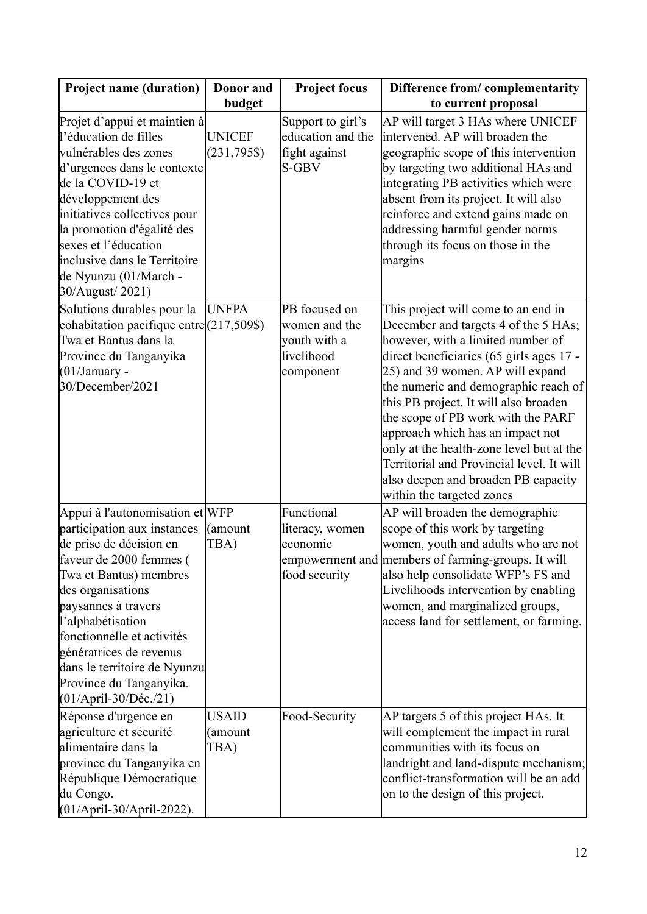| <b>Project name (duration)</b>                                                                                                                                                                                                                                                                                                                               | Donor and                       | <b>Project focus</b>                                                      | Difference from/complementarity                                                                                                                                                                                                                                                                                                                                                                                                                                                                                          |
|--------------------------------------------------------------------------------------------------------------------------------------------------------------------------------------------------------------------------------------------------------------------------------------------------------------------------------------------------------------|---------------------------------|---------------------------------------------------------------------------|--------------------------------------------------------------------------------------------------------------------------------------------------------------------------------------------------------------------------------------------------------------------------------------------------------------------------------------------------------------------------------------------------------------------------------------------------------------------------------------------------------------------------|
|                                                                                                                                                                                                                                                                                                                                                              | budget                          |                                                                           | to current proposal                                                                                                                                                                                                                                                                                                                                                                                                                                                                                                      |
| Projet d'appui et maintien à<br>l'éducation de filles<br>vulnérables des zones<br>d'urgences dans le contexte<br>de la COVID-19 et<br>développement des<br>initiatives collectives pour<br>la promotion d'égalité des<br>sexes et l'éducation<br>inclusive dans le Territoire<br>de Nyunzu (01/March -<br>30/August/2021)                                    | <b>UNICEF</b><br>$(231,795\$    | Support to girl's<br>education and the<br>fight against<br>S-GBV          | AP will target 3 HAs where UNICEF<br>intervened. AP will broaden the<br>geographic scope of this intervention<br>by targeting two additional HAs and<br>integrating PB activities which were<br>absent from its project. It will also<br>reinforce and extend gains made on<br>addressing harmful gender norms<br>through its focus on those in the<br>margins                                                                                                                                                           |
| Solutions durables pour la<br>cohabitation pacifique entre(217,509\$)<br>Twa et Bantus dans la<br>Province du Tanganyika<br>$(01/January -$<br>30/December/2021                                                                                                                                                                                              | <b>UNFPA</b>                    | PB focused on<br>women and the<br>youth with a<br>livelihood<br>component | This project will come to an end in<br>December and targets 4 of the 5 HAs;<br>however, with a limited number of<br>direct beneficiaries (65 girls ages 17 -<br>25) and 39 women. AP will expand<br>the numeric and demographic reach of<br>this PB project. It will also broaden<br>the scope of PB work with the PARF<br>approach which has an impact not<br>only at the health-zone level but at the<br>Territorial and Provincial level. It will<br>also deepen and broaden PB capacity<br>within the targeted zones |
| Appui à l'autonomisation et WFP<br>participation aux instances<br>de prise de décision en<br>faveur de 2000 femmes (<br>Twa et Bantus) membres<br>des organisations<br>paysannes à travers<br>l'alphabétisation<br>fonctionnelle et activités<br>génératrices de revenus<br>dans le territoire de Nyunzu<br>Province du Tanganyika.<br>(01/April-30/Déc./21) | (amount<br>TBA)                 | Functional<br>literacy, women<br>economic<br>food security                | AP will broaden the demographic<br>scope of this work by targeting<br>women, youth and adults who are not<br>empowerment and members of farming-groups. It will<br>also help consolidate WFP's FS and<br>Livelihoods intervention by enabling<br>women, and marginalized groups,<br>access land for settlement, or farming.                                                                                                                                                                                              |
| Réponse d'urgence en<br>agriculture et sécurité<br>alimentaire dans la<br>province du Tanganyika en<br>République Démocratique<br>du Congo.<br>(01/April-30/April-2022).                                                                                                                                                                                     | <b>USAID</b><br>(amount<br>TBA) | Food-Security                                                             | AP targets 5 of this project HAs. It<br>will complement the impact in rural<br>communities with its focus on<br>landright and land-dispute mechanism;<br>conflict-transformation will be an add<br>on to the design of this project.                                                                                                                                                                                                                                                                                     |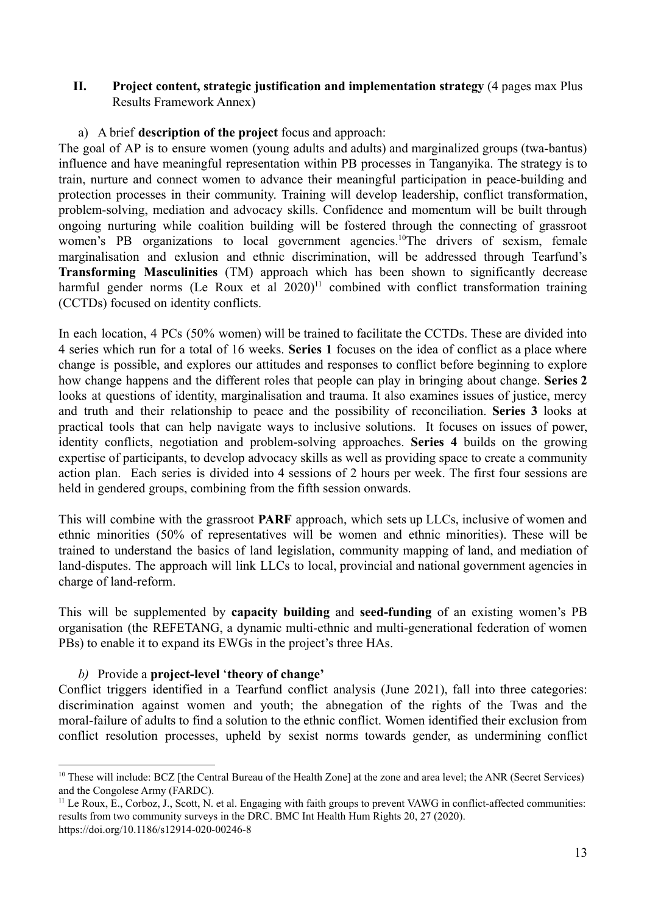### **II. Project content, strategic justification and implementation strategy** (4 pages max Plus Results Framework Annex)

### a) A brief **description of the project** focus and approach:

The goal of AP is to ensure women (young adults and adults) and marginalized groups (twa-bantus) influence and have meaningful representation within PB processes in Tanganyika. The strategy is to train, nurture and connect women to advance their meaningful participation in peace-building and protection processes in their community. Training will develop leadership, conflict transformation, problem-solving, mediation and advocacy skills. Confidence and momentum will be built through ongoing nurturing while coalition building will be fostered through the connecting of grassroot women's PB organizations to local government agencies.<sup>10</sup>The drivers of sexism, female marginalisation and exlusion and ethnic discrimination, will be addressed through Tearfund's **Transforming Masculinities** (TM) approach which has been shown to significantly decrease harmful gender norms (Le Roux et al  $2020$ )<sup>11</sup> combined with conflict transformation training (CCTDs) focused on identity conflicts.

In each location, 4 PCs (50% women) will be trained to facilitate the CCTDs. These are divided into 4 series which run for a total of 16 weeks. **Series 1** focuses on the idea of conflict as a place where change is possible, and explores our attitudes and responses to conflict before beginning to explore how change happens and the different roles that people can play in bringing about change. **Series 2** looks at questions of identity, marginalisation and trauma. It also examines issues of justice, mercy and truth and their relationship to peace and the possibility of reconciliation. **Series 3** looks at practical tools that can help navigate ways to inclusive solutions. It focuses on issues of power, identity conflicts, negotiation and problem-solving approaches. **Series 4** builds on the growing expertise of participants, to develop advocacy skills as well as providing space to create a community action plan. Each series is divided into 4 sessions of 2 hours per week. The first four sessions are held in gendered groups, combining from the fifth session onwards.

This will combine with the grassroot **PARF** approach, which sets up LLCs, inclusive of women and ethnic minorities (50% of representatives will be women and ethnic minorities). These will be trained to understand the basics of land legislation, community mapping of land, and mediation of land-disputes. The approach will link LLCs to local, provincial and national government agencies in charge of land-reform.

This will be supplemented by **capacity building** and **seed-funding** of an existing women's PB organisation (the REFETANG, a dynamic multi-ethnic and multi-generational federation of women PBs) to enable it to expand its EWGs in the project's three HAs.

### *b)* Provide a **project-level** '**theory of change'**

Conflict triggers identified in a Tearfund conflict analysis (June 2021), fall into three categories: discrimination against women and youth; the abnegation of the rights of the Twas and the moral-failure of adults to find a solution to the ethnic conflict. Women identified their exclusion from conflict resolution processes, upheld by sexist norms towards gender, as undermining conflict

<sup>&</sup>lt;sup>10</sup> These will include: BCZ [the Central Bureau of the Health Zone] at the zone and area level; the ANR (Secret Services) and the Congolese Army (FARDC).

 $<sup>11</sup>$  Le Roux, E., Corboz, J., Scott, N. et al. Engaging with faith groups to prevent VAWG in conflict-affected communities:</sup> results from two community surveys in the DRC. BMC Int Health Hum Rights 20, 27 (2020). https://doi.org/10.1186/s12914-020-00246-8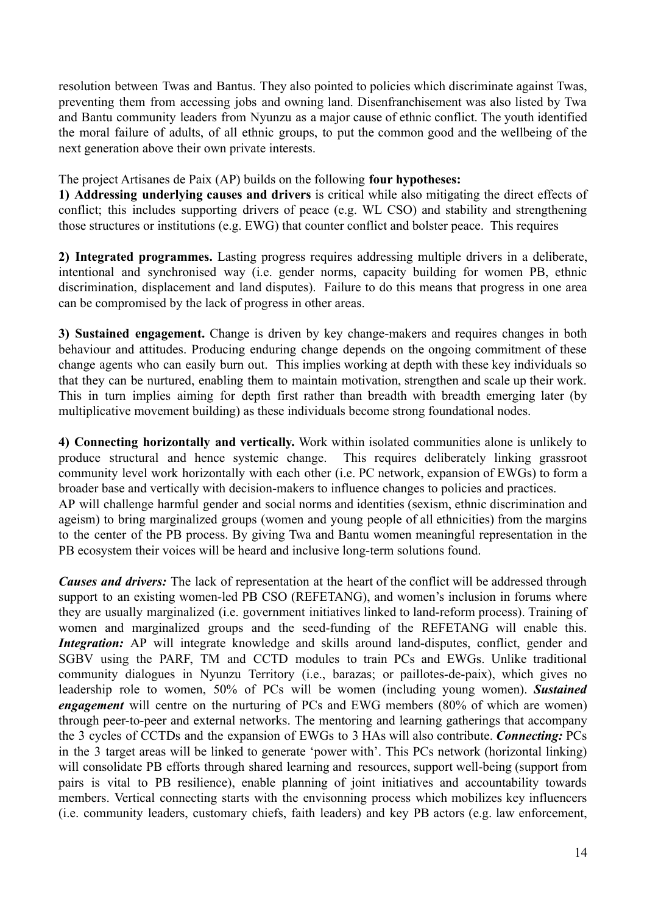resolution between Twas and Bantus. They also pointed to policies which discriminate against Twas, preventing them from accessing jobs and owning land. Disenfranchisement was also listed by Twa and Bantu community leaders from Nyunzu as a major cause of ethnic conflict. The youth identified the moral failure of adults, of all ethnic groups, to put the common good and the wellbeing of the next generation above their own private interests.

The project Artisanes de Paix (AP) builds on the following **four hypotheses:**

**1) Addressing underlying causes and drivers** is critical while also mitigating the direct effects of conflict; this includes supporting drivers of peace (e.g. WL CSO) and stability and strengthening those structures or institutions (e.g. EWG) that counter conflict and bolster peace. This requires

**2) Integrated programmes.** Lasting progress requires addressing multiple drivers in a deliberate, intentional and synchronised way (i.e. gender norms, capacity building for women PB, ethnic discrimination, displacement and land disputes). Failure to do this means that progress in one area can be compromised by the lack of progress in other areas.

**3) Sustained engagement.** Change is driven by key change-makers and requires changes in both behaviour and attitudes. Producing enduring change depends on the ongoing commitment of these change agents who can easily burn out. This implies working at depth with these key individuals so that they can be nurtured, enabling them to maintain motivation, strengthen and scale up their work. This in turn implies aiming for depth first rather than breadth with breadth emerging later (by multiplicative movement building) as these individuals become strong foundational nodes.

**4) Connecting horizontally and vertically.** Work within isolated communities alone is unlikely to produce structural and hence systemic change. This requires deliberately linking grassroot community level work horizontally with each other (i.e. PC network, expansion of EWGs) to form a broader base and vertically with decision-makers to influence changes to policies and practices. AP will challenge harmful gender and social norms and identities (sexism, ethnic discrimination and ageism) to bring marginalized groups (women and young people of all ethnicities) from the margins to the center of the PB process. By giving Twa and Bantu women meaningful representation in the PB ecosystem their voices will be heard and inclusive long-term solutions found.

*Causes and drivers:* The lack of representation at the heart of the conflict will be addressed through support to an existing women-led PB CSO (REFETANG), and women's inclusion in forums where they are usually marginalized (i.e. government initiatives linked to land-reform process). Training of women and marginalized groups and the seed-funding of the REFETANG will enable this. *Integration:* AP will integrate knowledge and skills around land-disputes, conflict, gender and SGBV using the PARF, TM and CCTD modules to train PCs and EWGs. Unlike traditional community dialogues in Nyunzu Territory (i.e., barazas; or paillotes-de-paix), which gives no leadership role to women, 50% of PCs will be women (including young women). *Sustained engagement* will centre on the nurturing of PCs and EWG members (80% of which are women) through peer-to-peer and external networks. The mentoring and learning gatherings that accompany the 3 cycles of CCTDs and the expansion of EWGs to 3 HAs will also contribute. *Connecting:* PCs in the 3 target areas will be linked to generate 'power with'. This PCs network (horizontal linking) will consolidate PB efforts through shared learning and resources, support well-being (support from pairs is vital to PB resilience), enable planning of joint initiatives and accountability towards members. Vertical connecting starts with the envisonning process which mobilizes key influencers (i.e. community leaders, customary chiefs, faith leaders) and key PB actors (e.g. law enforcement,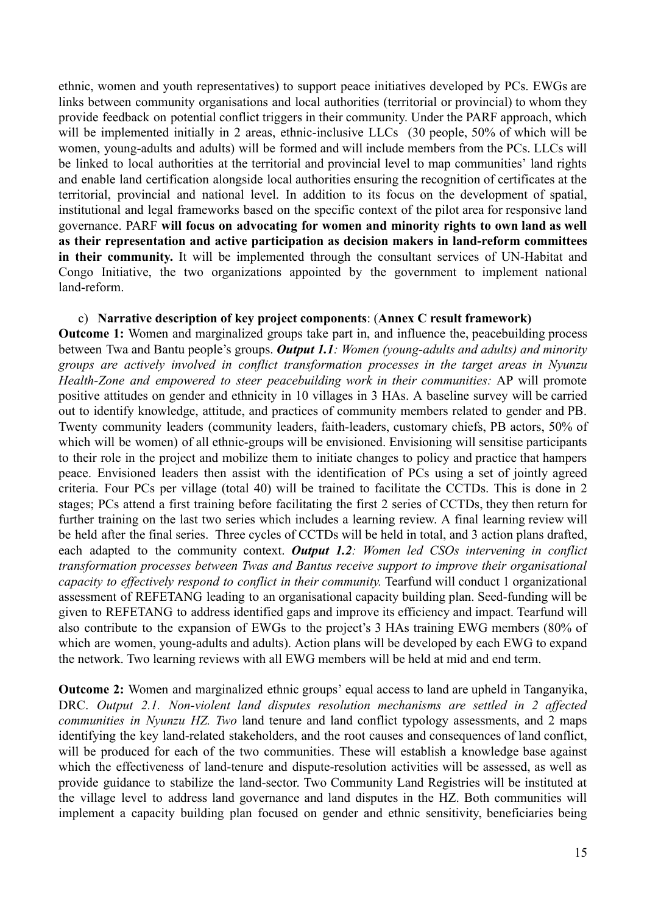ethnic, women and youth representatives) to support peace initiatives developed by PCs. EWGs are links between community organisations and local authorities (territorial or provincial) to whom they provide feedback on potential conflict triggers in their community. Under the PARF approach, which will be implemented initially in 2 areas, ethnic-inclusive LLCs (30 people, 50% of which will be women, young-adults and adults) will be formed and will include members from the PCs. LLCs will be linked to local authorities at the territorial and provincial level to map communities' land rights and enable land certification alongside local authorities ensuring the recognition of certificates at the territorial, provincial and national level. In addition to its focus on the development of spatial, institutional and legal frameworks based on the specific context of the pilot area for responsive land governance. PARF **will focus on advocating for women and minority rights to own land as well as their representation and active participation as decision makers in land-reform committees in their community.** It will be implemented through the consultant services of UN-Habitat and Congo Initiative, the two organizations appointed by the government to implement national land-reform.

### c) **Narrative description of key project components**: (**Annex C result framework)**

**Outcome 1:** Women and marginalized groups take part in, and influence the, peacebuilding process between Twa and Bantu people's groups. *Output 1.1: Women (young-adults and adults) and minority groups are actively involved in conflict transformation processes in the target areas in Nyunzu Health-Zone and empowered to steer peacebuilding work in their communities:* AP will promote positive attitudes on gender and ethnicity in 10 villages in 3 HAs. A baseline survey will be carried out to identify knowledge, attitude, and practices of community members related to gender and PB. Twenty community leaders (community leaders, faith-leaders, customary chiefs, PB actors, 50% of which will be women) of all ethnic-groups will be envisioned. Envisioning will sensitise participants to their role in the project and mobilize them to initiate changes to policy and practice that hampers peace. Envisioned leaders then assist with the identification of PCs using a set of jointly agreed criteria. Four PCs per village (total 40) will be trained to facilitate the CCTDs. This is done in 2 stages; PCs attend a first training before facilitating the first 2 series of CCTDs, they then return for further training on the last two series which includes a learning review. A final learning review will be held after the final series. Three cycles of CCTDs will be held in total, and 3 action plans drafted, each adapted to the community context. *Output 1.2: Women led CSOs intervening in conflict transformation processes between Twas and Bantus receive support to improve their organisational capacity to effectively respond to conflict in their community.* Tearfund will conduct 1 organizational assessment of REFETANG leading to an organisational capacity building plan. Seed-funding will be given to REFETANG to address identified gaps and improve its efficiency and impact. Tearfund will also contribute to the expansion of EWGs to the project's 3 HAs training EWG members (80% of which are women, young-adults and adults). Action plans will be developed by each EWG to expand the network. Two learning reviews with all EWG members will be held at mid and end term.

**Outcome 2:** Women and marginalized ethnic groups' equal access to land are upheld in Tanganyika, DRC. *Output 2.1. Non-violent land disputes resolution mechanisms are settled in 2 affected communities in Nyunzu HZ. Two* land tenure and land conflict typology assessments, and 2 maps identifying the key land-related stakeholders, and the root causes and consequences of land conflict, will be produced for each of the two communities. These will establish a knowledge base against which the effectiveness of land-tenure and dispute-resolution activities will be assessed, as well as provide guidance to stabilize the land-sector. Two Community Land Registries will be instituted at the village level to address land governance and land disputes in the HZ. Both communities will implement a capacity building plan focused on gender and ethnic sensitivity, beneficiaries being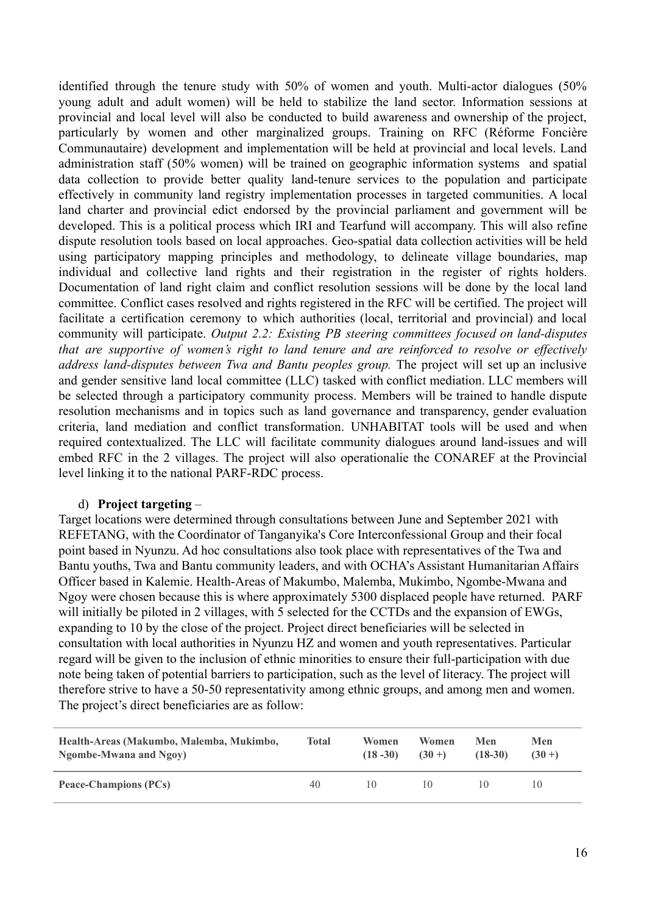identified through the tenure study with 50% of women and youth. Multi-actor dialogues (50% young adult and adult women) will be held to stabilize the land sector. Information sessions at provincial and local level will also be conducted to build awareness and ownership of the project, particularly by women and other marginalized groups. Training on RFC (Réforme Foncière Communautaire) development and implementation will be held at provincial and local levels. Land administration staff (50% women) will be trained on geographic information systems and spatial data collection to provide better quality land-tenure services to the population and participate effectively in community land registry implementation processes in targeted communities. A local land charter and provincial edict endorsed by the provincial parliament and government will be developed. This is a political process which IRI and Tearfund will accompany. This will also refine dispute resolution tools based on local approaches. Geo-spatial data collection activities will be held using participatory mapping principles and methodology, to delineate village boundaries, map individual and collective land rights and their registration in the register of rights holders. Documentation of land right claim and conflict resolution sessions will be done by the local land committee. Conflict cases resolved and rights registered in the RFC will be certified. The project will facilitate a certification ceremony to which authorities (local, territorial and provincial) and local community will participate. *Output 2.2: Existing PB steering committees focused on land-disputes that are supportive of women's right to land tenure and are reinforced to resolve or effectively address land-disputes between Twa and Bantu peoples group.* The project will set up an inclusive and gender sensitive land local committee (LLC) tasked with conflict mediation. LLC members will be selected through a participatory community process. Members will be trained to handle dispute resolution mechanisms and in topics such as land governance and transparency, gender evaluation criteria, land mediation and conflict transformation. UNHABITAT tools will be used and when required contextualized. The LLC will facilitate community dialogues around land-issues and will embed RFC in the 2 villages. The project will also operationalie the CONAREF at the Provincial level linking it to the national PARF-RDC process.

### d) **Project targeting** –

Target locations were determined through consultations between June and September 2021 with REFETANG, with the Coordinator of Tanganyika's Core Interconfessional Group and their focal point based in Nyunzu. Ad hoc consultations also took place with representatives of the Twa and Bantu youths, Twa and Bantu community leaders, and with OCHA's Assistant Humanitarian Affairs Officer based in Kalemie. Health-Areas of Makumbo, Malemba, Mukimbo, Ngombe-Mwana and Ngoy were chosen because this is where approximately 5300 displaced people have returned. PARF will initially be piloted in 2 villages, with 5 selected for the CCTDs and the expansion of EWGs, expanding to 10 by the close of the project. Project direct beneficiaries will be selected in consultation with local authorities in Nyunzu HZ and women and youth representatives. Particular regard will be given to the inclusion of ethnic minorities to ensure their full-participation with due note being taken of potential barriers to participation, such as the level of literacy. The project will therefore strive to have a 50-50 representativity among ethnic groups, and among men and women. The project's direct beneficiaries are as follow:

| Health-Areas (Makumbo, Malemba, Mukimbo, | Total | Women       | Women      | Men       | Men       |
|------------------------------------------|-------|-------------|------------|-----------|-----------|
| Ngombe-Mwana and Ngoy)                   |       | $(18 - 30)$ | $(30 + )$  | $(18-30)$ | $(30 + )$ |
| <b>Peace-Champions (PCs)</b>             | 40    | 1()         | $\vert$ () |           |           |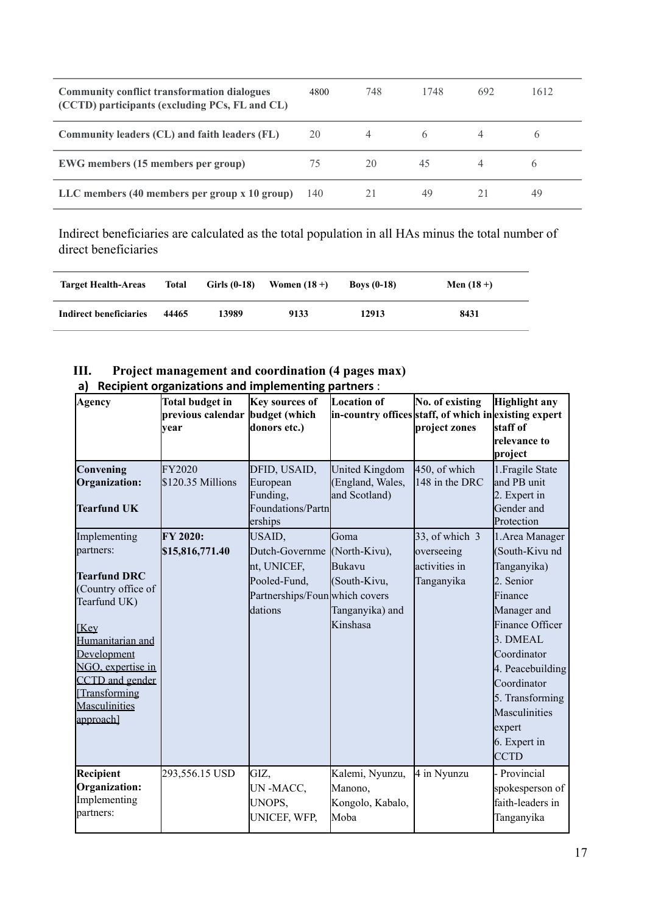| <b>Community conflict transformation dialogues</b><br>(CCTD) participants (excluding PCs, FL and CL) | 4800 | 748 | 1748 | 692 | 1612         |
|------------------------------------------------------------------------------------------------------|------|-----|------|-----|--------------|
| Community leaders (CL) and faith leaders (FL)                                                        | 20   |     |      |     |              |
| <b>EWG</b> members (15 members per group)                                                            | 75   | 20  | 45   |     | <sub>(</sub> |
| LLC members (40 members per group x 10 group)                                                        | 140  |     | 49   |     | 49           |

Indirect beneficiaries are calculated as the total population in all HAs minus the total number of direct beneficiaries

| <b>Target Health-Areas</b> | <b>Total</b> | Girls $(0-18)$ | Women $(18 +)$ | Boys $(0-18)$ | Men $(18 +)$ |
|----------------------------|--------------|----------------|----------------|---------------|--------------|
| Indirect beneficiaries     | 44465        | 13989          | 9133           | 12913         | 8431         |

### **III. Project management and coordination (4 pages max) a) Recipient organizations and implementing partners** :

| Agency<br>Convening<br>Organization:                                                                                                                                                                                           | <b>Total budget in</b><br>previous calendar budget (which<br>vear<br>FY2020<br>\$120.35 Millions | Key sources of<br>donors etc.)<br>DFID, USAID,<br>European                                           | <b>Location of</b><br>in-country offices staff, of which in existing expert<br>United Kingdom<br>(England, Wales, | No. of existing<br>project zones<br>450, of which<br>148 in the DRC | Highlight any<br>staff of<br>relevance to<br>project<br>1. Fragile State<br>and PB unit                                                                                                                                                               |
|--------------------------------------------------------------------------------------------------------------------------------------------------------------------------------------------------------------------------------|--------------------------------------------------------------------------------------------------|------------------------------------------------------------------------------------------------------|-------------------------------------------------------------------------------------------------------------------|---------------------------------------------------------------------|-------------------------------------------------------------------------------------------------------------------------------------------------------------------------------------------------------------------------------------------------------|
| <b>Tearfund UK</b>                                                                                                                                                                                                             |                                                                                                  | Funding,<br>Foundations/Partn<br>erships                                                             | and Scotland)                                                                                                     |                                                                     | 2. Expert in<br>Gender and<br>Protection                                                                                                                                                                                                              |
| Implementing<br>partners:<br><b>Tearfund DRC</b><br>(Country office of<br>Tearfund UK)<br><b>[Key</b><br>Humanitarian and<br>Development<br>NGO, expertise in<br>CCTD and gender<br>Transforming<br>Masculinities<br>approach] | FY 2020:<br>\$15,816,771.40                                                                      | USAID,<br>Dutch-Governme<br>nt, UNICEF,<br>Pooled-Fund,<br>Partnerships/Foun which covers<br>dations | Goma<br>(North-Kivu),<br><b>Bukavu</b><br>(South-Kivu,<br>Tanganyika) and<br>Kinshasa                             | 33, of which 3<br>overseeing<br>activities in<br>Tanganyika         | 1. Area Manager<br>(South-Kivu nd<br>Tanganyika)<br>2. Senior<br>Finance<br>Manager and<br>Finance Officer<br>3. DMEAL<br>Coordinator<br>4. Peacebuilding<br>Coordinator<br>5. Transforming<br>Masculinities<br>expert<br>6. Expert in<br><b>CCTD</b> |
| Recipient<br>Organization:<br>Implementing<br>partners:                                                                                                                                                                        | 293,556.15 USD                                                                                   | GIZ,<br>UN-MACC,<br>UNOPS,<br>UNICEF, WFP,                                                           | Kalemi, Nyunzu,<br>Manono,<br>Kongolo, Kabalo,<br>Moba                                                            | 4 in Nyunzu                                                         | - Provincial<br>spokesperson of<br>faith-leaders in<br>Tanganyika                                                                                                                                                                                     |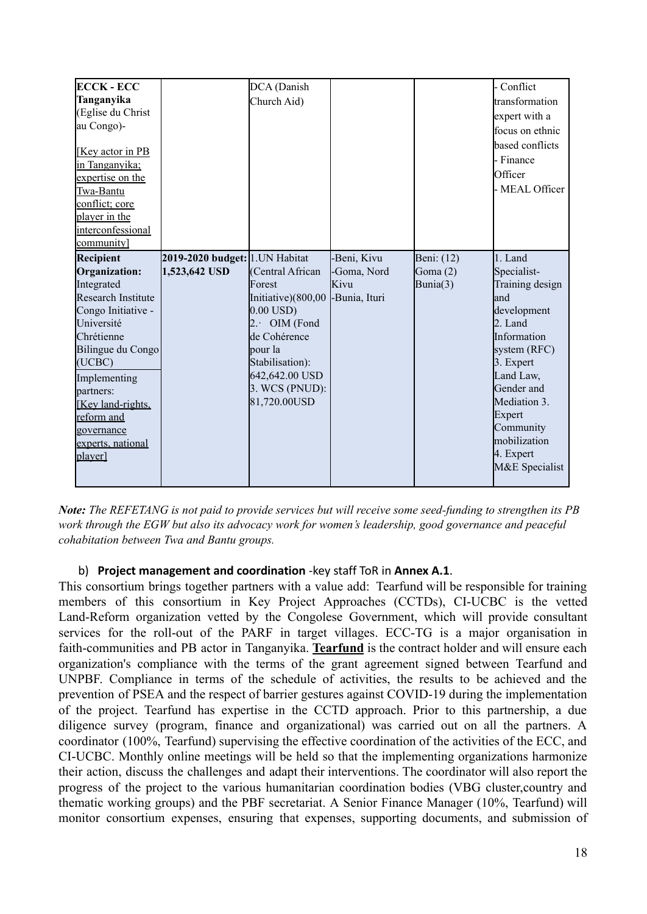| <b>ECCK - ECC</b>         |                                 | DCA (Danish            |               |            | - Conflict      |
|---------------------------|---------------------------------|------------------------|---------------|------------|-----------------|
| Tanganyika                |                                 | Church Aid)            |               |            | transformation  |
| (Eglise du Christ         |                                 |                        |               |            | expert with a   |
| au Congo)-                |                                 |                        |               |            | focus on ethnic |
|                           |                                 |                        |               |            | based conflicts |
| [Key actor in PB]         |                                 |                        |               |            | - Finance       |
| in Tanganyika;            |                                 |                        |               |            |                 |
| expertise on the          |                                 |                        |               |            | Officer         |
| Twa-Bantu                 |                                 |                        |               |            | - MEAL Officer  |
| conflict; core            |                                 |                        |               |            |                 |
| player in the             |                                 |                        |               |            |                 |
| interconfessional         |                                 |                        |               |            |                 |
| community]                |                                 |                        |               |            |                 |
| <b>Recipient</b>          | 2019-2020 budget: 1. UN Habitat |                        | Beni, Kivu    | Beni: (12) | 1. Land         |
| Organization:             | 1,523,642 USD                   | (Central African       | -Goma, Nord   | Goma $(2)$ | Specialist-     |
|                           |                                 |                        |               |            |                 |
| Integrated                |                                 | Forest                 | Kivu          | Bunia(3)   | Training design |
| <b>Research Institute</b> |                                 | Initiative)(800,00     | -Bunia, Ituri |            | and             |
| Congo Initiative -        |                                 | $0.00$ USD)            |               |            | development     |
| Université                |                                 | OIM (Fond<br>$2 \cdot$ |               |            | 2. Land         |
| Chrétienne                |                                 | de Cohérence           |               |            | Information     |
| Bilingue du Congo         |                                 | pour la                |               |            | system (RFC)    |
| (UCBC)                    |                                 | Stabilisation):        |               |            | 3. Expert       |
| Implementing              |                                 | 642,642.00 USD         |               |            | Land Law,       |
| partners:                 |                                 | 3. WCS (PNUD):         |               |            | Gender and      |
| [Key land-rights.]        |                                 | 81,720.00USD           |               |            | Mediation 3.    |
| reform and                |                                 |                        |               |            | Expert          |
| governance                |                                 |                        |               |            | Community       |
| experts, national         |                                 |                        |               |            | mobilization    |
| player]                   |                                 |                        |               |            | 4. Expert       |
|                           |                                 |                        |               |            | M&E Specialist  |

Note: The REFETANG is not paid to provide services but will receive some seed-funding to strengthen its PB *work through the EGW but also its advocacy work for women's leadership, good governance and peaceful cohabitation between Twa and Bantu groups.*

### b) **Project management and coordination** -key staff ToR in **Annex A.1**.

This consortium brings together partners with a value add: Tearfund will be responsible for training members of this consortium in Key Project Approaches (CCTDs), CI-UCBC is the vetted Land-Reform organization vetted by the Congolese Government, which will provide consultant services for the roll-out of the PARF in target villages. ECC-TG is a major organisation in faith-communities and PB actor in Tanganyika. **Tearfund** is the contract holder and will ensure each organization's compliance with the terms of the grant agreement signed between Tearfund and UNPBF. Compliance in terms of the schedule of activities, the results to be achieved and the prevention of PSEA and the respect of barrier gestures against COVID-19 during the implementation of the project. Tearfund has expertise in the CCTD approach. Prior to this partnership, a due diligence survey (program, finance and organizational) was carried out on all the partners. A coordinator (100%, Tearfund) supervising the effective coordination of the activities of the ECC, and CI-UCBC. Monthly online meetings will be held so that the implementing organizations harmonize their action, discuss the challenges and adapt their interventions. The coordinator will also report the progress of the project to the various humanitarian coordination bodies (VBG cluster,country and thematic working groups) and the PBF secretariat. A Senior Finance Manager (10%, Tearfund) will monitor consortium expenses, ensuring that expenses, supporting documents, and submission of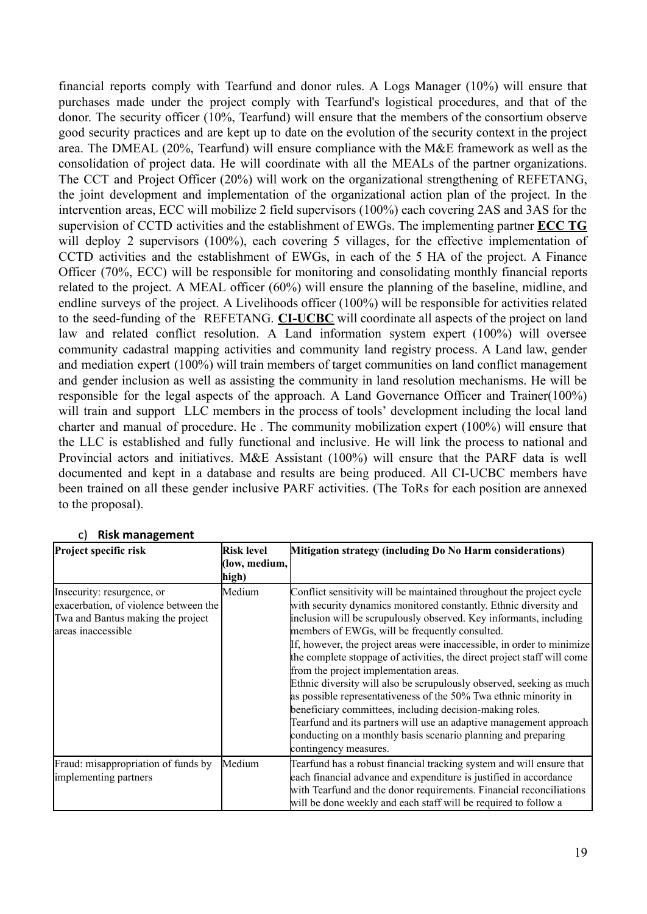financial reports comply with Tearfund and donor rules. A Logs Manager (10%) will ensure that purchases made under the project comply with Tearfund's logistical procedures, and that of the donor. The security officer (10%, Tearfund) will ensure that the members of the consortium observe good security practices and are kept up to date on the evolution of the security context in the project area. The DMEAL (20%, Tearfund) will ensure compliance with the M&E framework as well as the consolidation of project data. He will coordinate with all the MEALs of the partner organizations. The CCT and Project Officer (20%) will work on the organizational strengthening of REFETANG, the joint development and implementation of the organizational action plan of the project. In the intervention areas, ECC will mobilize 2 field supervisors (100%) each covering 2AS and 3AS for the supervision of CCTD activities and the establishment of EWGs. The implementing partner **ECC TG** will deploy 2 supervisors (100%), each covering 5 villages, for the effective implementation of CCTD activities and the establishment of EWGs, in each of the 5 HA of the project. A Finance Officer (70%, ECC) will be responsible for monitoring and consolidating monthly financial reports related to the project. A MEAL officer (60%) will ensure the planning of the baseline, midline, and endline surveys of the project. A Livelihoods officer (100%) will be responsible for activities related to the seed-funding of the REFETANG. **CI-UCBC** will coordinate all aspects of the project on land law and related conflict resolution. A Land information system expert (100%) will oversee community cadastral mapping activities and community land registry process. A Land law, gender and mediation expert (100%) will train members of target communities on land conflict management and gender inclusion as well as assisting the community in land resolution mechanisms. He will be responsible for the legal aspects of the approach. A Land Governance Officer and Trainer(100%) will train and support LLC members in the process of tools' development including the local land charter and manual of procedure. He . The community mobilization expert (100%) will ensure that the LLC is established and fully functional and inclusive. He will link the process to national and Provincial actors and initiatives. M&E Assistant (100%) will ensure that the PARF data is well documented and kept in a database and results are being produced. All CI-UCBC members have been trained on all these gender inclusive PARF activities. (The ToRs for each position are annexed to the proposal).

| Project specific risk                                                                                                          | <b>Risk level</b><br>(low, medium,<br>high) | Mitigation strategy (including Do No Harm considerations)                                                                                                                                                                                                                                                                                                                                                                                                                                                                                                                                                                                                                                                                                                                                                                                |
|--------------------------------------------------------------------------------------------------------------------------------|---------------------------------------------|------------------------------------------------------------------------------------------------------------------------------------------------------------------------------------------------------------------------------------------------------------------------------------------------------------------------------------------------------------------------------------------------------------------------------------------------------------------------------------------------------------------------------------------------------------------------------------------------------------------------------------------------------------------------------------------------------------------------------------------------------------------------------------------------------------------------------------------|
| Insecurity: resurgence, or<br>exacerbation, of violence between the<br>Twa and Bantus making the project<br>areas inaccessible | Medium                                      | Conflict sensitivity will be maintained throughout the project cycle<br>with security dynamics monitored constantly. Ethnic diversity and<br>inclusion will be scrupulously observed. Key informants, including<br>members of EWGs, will be frequently consulted.<br>If, however, the project areas were inaccessible, in order to minimize<br>the complete stoppage of activities, the direct project staff will come<br>from the project implementation areas.<br>Ethnic diversity will also be scrupulously observed, seeking as much<br>as possible representativeness of the 50% Twa ethnic minority in<br>beneficiary committees, including decision-making roles.<br>Tearfund and its partners will use an adaptive management approach<br>conducting on a monthly basis scenario planning and preparing<br>contingency measures. |
| Fraud: misappropriation of funds by<br>implementing partners                                                                   | Medium                                      | Tearfund has a robust financial tracking system and will ensure that<br>each financial advance and expenditure is justified in accordance<br>with Tearfund and the donor requirements. Financial reconciliations<br>will be done weekly and each staff will be required to follow a                                                                                                                                                                                                                                                                                                                                                                                                                                                                                                                                                      |

#### c) **Risk management**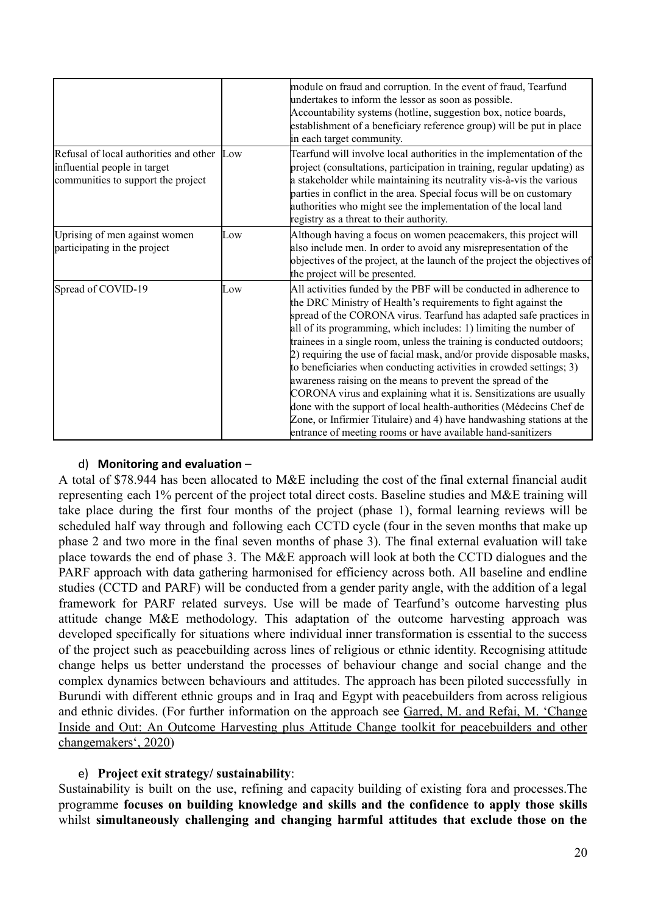|                                                                                                              |     | module on fraud and corruption. In the event of fraud, Tearfund<br>undertakes to inform the lessor as soon as possible.<br>Accountability systems (hotline, suggestion box, notice boards,<br>establishment of a beneficiary reference group) will be put in place<br>in each target community.                                                                                                                                                                                                                                                                                                                                                                                                                                                                                                                                                              |
|--------------------------------------------------------------------------------------------------------------|-----|--------------------------------------------------------------------------------------------------------------------------------------------------------------------------------------------------------------------------------------------------------------------------------------------------------------------------------------------------------------------------------------------------------------------------------------------------------------------------------------------------------------------------------------------------------------------------------------------------------------------------------------------------------------------------------------------------------------------------------------------------------------------------------------------------------------------------------------------------------------|
| Refusal of local authorities and other<br>influential people in target<br>communities to support the project | Low | Tearfund will involve local authorities in the implementation of the<br>project (consultations, participation in training, regular updating) as<br>a stakeholder while maintaining its neutrality vis-à-vis the various<br>parties in conflict in the area. Special focus will be on customary<br>authorities who might see the implementation of the local land<br>registry as a threat to their authority.                                                                                                                                                                                                                                                                                                                                                                                                                                                 |
| Uprising of men against women<br>participating in the project                                                | Low | Although having a focus on women peacemakers, this project will<br>also include men. In order to avoid any misrepresentation of the<br>objectives of the project, at the launch of the project the objectives of<br>the project will be presented.                                                                                                                                                                                                                                                                                                                                                                                                                                                                                                                                                                                                           |
| Spread of COVID-19                                                                                           | Low | All activities funded by the PBF will be conducted in adherence to<br>the DRC Ministry of Health's requirements to fight against the<br>spread of the CORONA virus. Tearfund has adapted safe practices in<br>all of its programming, which includes: 1) limiting the number of<br>trainees in a single room, unless the training is conducted outdoors;<br>2) requiring the use of facial mask, and/or provide disposable masks,<br>to beneficiaries when conducting activities in crowded settings; 3)<br>awareness raising on the means to prevent the spread of the<br>CORONA virus and explaining what it is. Sensitizations are usually<br>done with the support of local health-authorities (Médecins Chef de<br>Zone, or Infirmier Titulaire) and 4) have handwashing stations at the<br>entrance of meeting rooms or have available hand-sanitizers |

### d) **Monitoring and evaluation** –

A total of \$78.944 has been allocated to M&E including the cost of the final external financial audit representing each 1% percent of the project total direct costs. Baseline studies and M&E training will take place during the first four months of the project (phase 1), formal learning reviews will be scheduled half way through and following each CCTD cycle (four in the seven months that make up phase 2 and two more in the final seven months of phase 3). The final external evaluation will take place towards the end of phase 3. The M&E approach will look at both the CCTD dialogues and the PARF approach with data gathering harmonised for efficiency across both. All baseline and endline studies (CCTD and PARF) will be conducted from a gender parity angle, with the addition of a legal framework for PARF related surveys. Use will be made of Tearfund's outcome harvesting plus attitude change M&E methodology. This adaptation of the outcome harvesting approach was developed specifically for situations where individual inner transformation is essential to the success of the project such as peacebuilding across lines of religious or ethnic identity. Recognising attitude change helps us better understand the processes of behaviour change and social change and the complex dynamics between behaviours and attitudes. The approach has been piloted successfully in Burundi with different ethnic groups and in Iraq and Egypt with peacebuilders from across religious and ethnic divides. (For further information on the approach see Garred, M. and Refai, M. ['Change](https://jliflc.com/resources/change-inside-and-out/) Inside and Out: An Outcome Harvesting plus Attitude Change toolkit for [peacebuilders](https://jliflc.com/resources/change-inside-and-out/) and other [changemakers', 2020\)](https://jliflc.com/resources/change-inside-and-out/)

# e) **Project exit strategy/ sustainability**:

Sustainability is built on the use, refining and capacity building of existing fora and processes.The programme **focuses on building knowledge and skills and the confidence to apply those skills** whilst **simultaneously challenging and changing harmful attitudes that exclude those on the**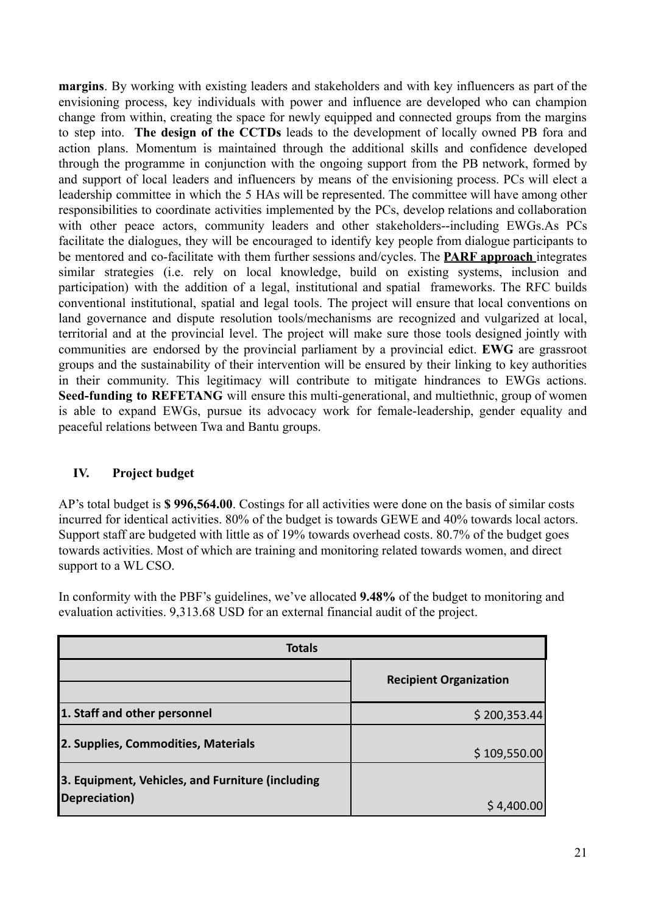**margins**. By working with existing leaders and stakeholders and with key influencers as part of the envisioning process, key individuals with power and influence are developed who can champion change from within, creating the space for newly equipped and connected groups from the margins to step into. **The design of the CCTDs** leads to the development of locally owned PB fora and action plans. Momentum is maintained through the additional skills and confidence developed through the programme in conjunction with the ongoing support from the PB network, formed by and support of local leaders and influencers by means of the envisioning process. PCs will elect a leadership committee in which the 5 HAs will be represented. The committee will have among other responsibilities to coordinate activities implemented by the PCs, develop relations and collaboration with other peace actors, community leaders and other stakeholders--including EWGs.As PCs facilitate the dialogues, they will be encouraged to identify key people from dialogue participants to be mentored and co-facilitate with them further sessions and/cycles. The **PARF approach** integrates similar strategies (i.e. rely on local knowledge, build on existing systems, inclusion and participation) with the addition of a legal, institutional and spatial frameworks. The RFC builds conventional institutional, spatial and legal tools. The project will ensure that local conventions on land governance and dispute resolution tools/mechanisms are recognized and vulgarized at local, territorial and at the provincial level. The project will make sure those tools designed jointly with communities are endorsed by the provincial parliament by a provincial edict. **EWG** are grassroot groups and the sustainability of their intervention will be ensured by their linking to key authorities in their community. This legitimacy will contribute to mitigate hindrances to EWGs actions. **Seed-funding to REFETANG** will ensure this multi-generational, and multiethnic, group of women is able to expand EWGs, pursue its advocacy work for female-leadership, gender equality and peaceful relations between Twa and Bantu groups.

# **IV. Project budget**

AP's total budget is **\$ 996,564.00**. Costings for all activities were done on the basis of similar costs incurred for identical activities. 80% of the budget is towards GEWE and 40% towards local actors. Support staff are budgeted with little as of 19% towards overhead costs. 80.7% of the budget goes towards activities. Most of which are training and monitoring related towards women, and direct support to a WL CSO.

In conformity with the PBF's guidelines, we've allocated **9.48%** of the budget to monitoring and evaluation activities. 9,313.68 USD for an external financial audit of the project.

| <b>Totals</b>                                    |                               |
|--------------------------------------------------|-------------------------------|
|                                                  | <b>Recipient Organization</b> |
| 1. Staff and other personnel                     | \$200,353.44                  |
| 2. Supplies, Commodities, Materials              | \$109,550.00                  |
| 3. Equipment, Vehicles, and Furniture (including |                               |
| Depreciation)                                    | \$4,400.00                    |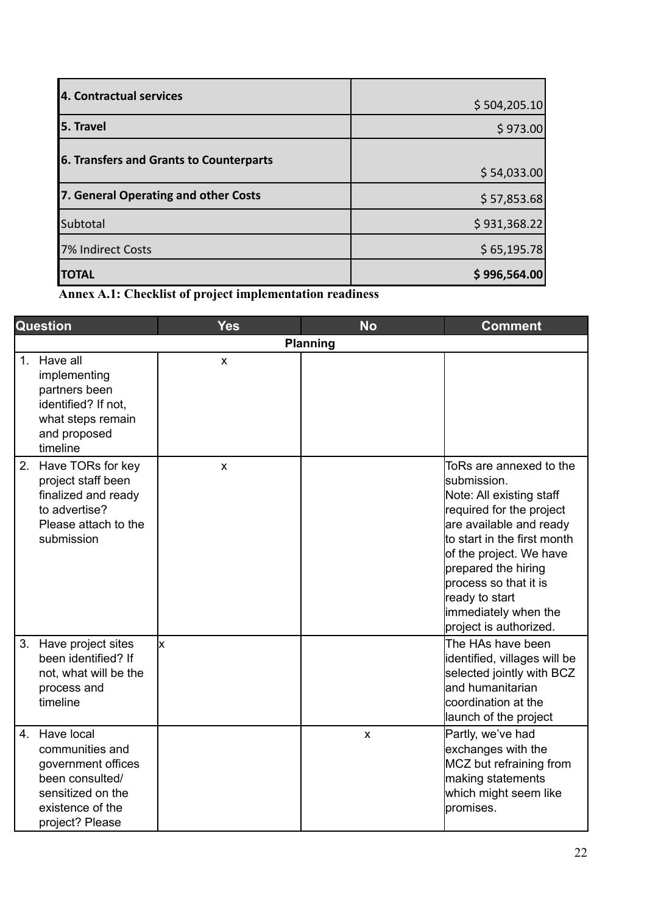| 5. Travel                               | \$504,205.10<br>\$973.00 |
|-----------------------------------------|--------------------------|
|                                         |                          |
| 6. Transfers and Grants to Counterparts |                          |
|                                         | \$54,033.00              |
| 7. General Operating and other Costs    | \$57,853.68              |
| Subtotal                                | \$931,368.22             |
| 7% Indirect Costs                       | \$65,195.78              |
|                                         |                          |

**Annex A.1: Checklist of project implementation readiness**

|                | <b>Question</b>                                                                                                                    | <b>Yes</b>         | <b>No</b>                 | <b>Comment</b>                                                                                                                                                                                                                                                                                            |
|----------------|------------------------------------------------------------------------------------------------------------------------------------|--------------------|---------------------------|-----------------------------------------------------------------------------------------------------------------------------------------------------------------------------------------------------------------------------------------------------------------------------------------------------------|
|                | <b>Planning</b>                                                                                                                    |                    |                           |                                                                                                                                                                                                                                                                                                           |
| 1 <sub>1</sub> | Have all<br>implementing<br>partners been<br>identified? If not,<br>what steps remain<br>and proposed<br>timeline                  | $\mathsf{x}$       |                           |                                                                                                                                                                                                                                                                                                           |
| 2.             | Have TORs for key<br>project staff been<br>finalized and ready<br>to advertise?<br>Please attach to the<br>submission              | $\pmb{\mathsf{X}}$ |                           | ToRs are annexed to the<br>lsubmission.<br>Note: All existing staff<br>required for the project<br>are available and ready<br>lto start in the first month<br>of the project. We have<br>prepared the hiring<br>process so that it is<br>ready to start<br>immediately when the<br>project is authorized. |
| 3.             | Have project sites<br>been identified? If<br>not, what will be the<br>process and<br>timeline                                      | lx                 |                           | The HAs have been<br>identified, villages will be<br>selected jointly with BCZ<br>land humanitarian<br>coordination at the<br>launch of the project                                                                                                                                                       |
| 4.             | Have local<br>communities and<br>government offices<br>been consulted/<br>sensitized on the<br>existence of the<br>project? Please |                    | $\boldsymbol{\mathsf{x}}$ | Partly, we've had<br>exchanges with the<br>MCZ but refraining from<br>making statements<br>which might seem like<br>promises.                                                                                                                                                                             |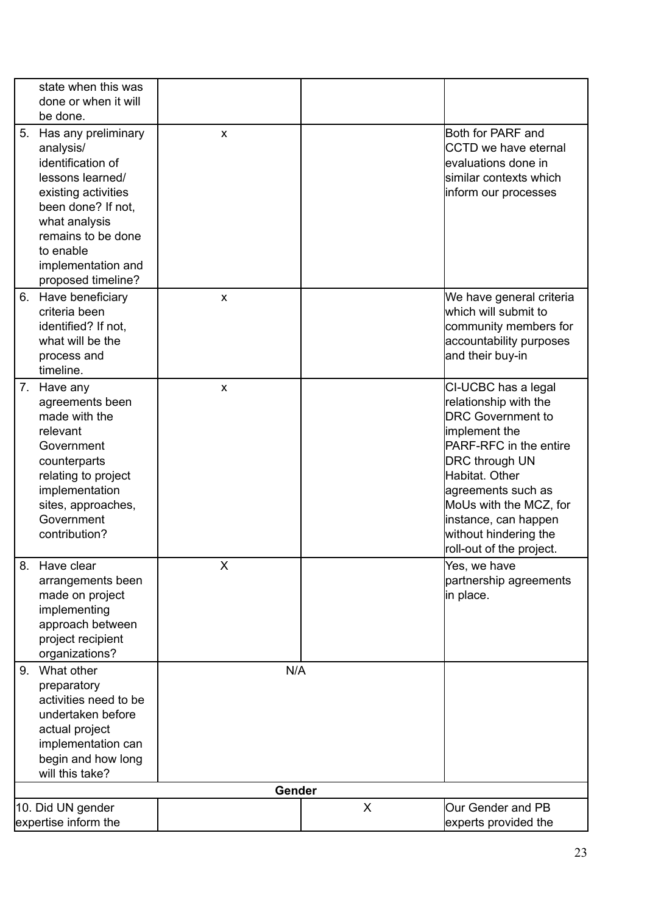| state when this was<br>done or when it will<br>be done.                                                                                                                                                                   |                           |   |                                                                                                                                                                                                                                                                                             |
|---------------------------------------------------------------------------------------------------------------------------------------------------------------------------------------------------------------------------|---------------------------|---|---------------------------------------------------------------------------------------------------------------------------------------------------------------------------------------------------------------------------------------------------------------------------------------------|
| 5. Has any preliminary<br>analysis/<br>identification of<br>lessons learned/<br>existing activities<br>been done? If not,<br>what analysis<br>remains to be done<br>to enable<br>implementation and<br>proposed timeline? | $\boldsymbol{\mathsf{x}}$ |   | Both for PARF and<br>CCTD we have eternal<br>levaluations done in<br>similar contexts which<br>inform our processes                                                                                                                                                                         |
| 6. Have beneficiary<br>criteria been<br>identified? If not,<br>what will be the<br>process and<br>timeline.                                                                                                               | $\boldsymbol{\mathsf{x}}$ |   | We have general criteria<br>which will submit to<br>community members for<br>accountability purposes<br>and their buy-in                                                                                                                                                                    |
| 7. Have any<br>agreements been<br>made with the<br>relevant<br>Government<br>counterparts<br>relating to project<br>implementation<br>sites, approaches,<br>Government<br>contribution?                                   | X                         |   | CI-UCBC has a legal<br>relationship with the<br><b>DRC Government to</b><br>implement the<br>PARF-RFC in the entire<br><b>DRC</b> through UN<br>Habitat. Other<br>agreements such as<br>MoUs with the MCZ, for<br>instance, can happen<br>without hindering the<br>roll-out of the project. |
| 8. Have clear<br>arrangements been<br>made on project<br>implementing<br>approach between<br>project recipient<br>organizations?                                                                                          | X                         |   | Yes, we have<br>partnership agreements<br>in place.                                                                                                                                                                                                                                         |
| 9. What other<br>preparatory<br>activities need to be<br>undertaken before<br>actual project<br>implementation can<br>begin and how long<br>will this take?                                                               | N/A                       |   |                                                                                                                                                                                                                                                                                             |
|                                                                                                                                                                                                                           | Gender                    |   |                                                                                                                                                                                                                                                                                             |
| 10. Did UN gender<br>expertise inform the                                                                                                                                                                                 |                           | X | Our Gender and PB<br>experts provided the                                                                                                                                                                                                                                                   |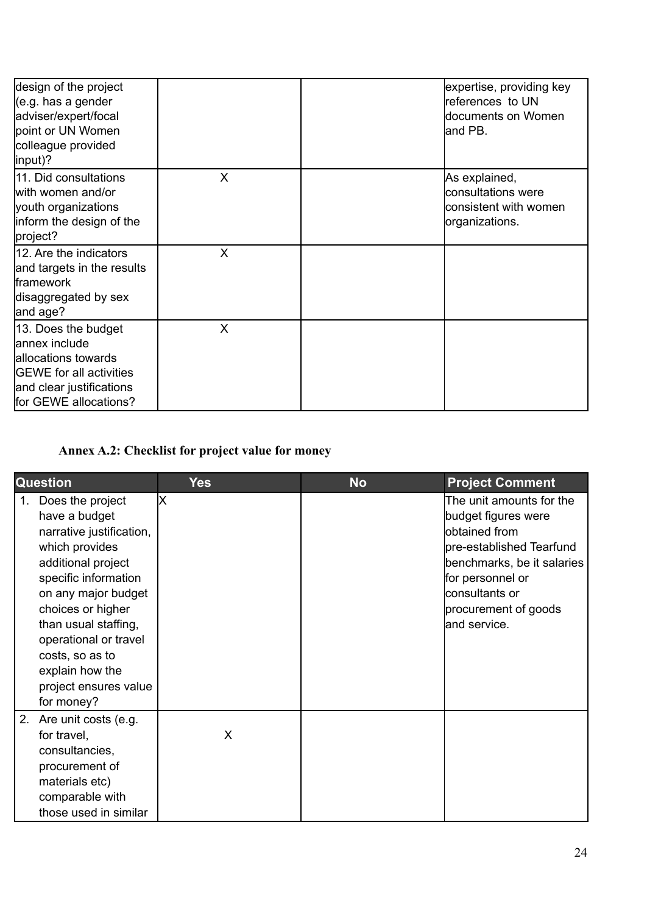| design of the project<br>(e.g. has a gender<br>adviser/expert/focal<br>point or UN Women<br>colleague provided<br>linput)?                          |   | expertise, providing key<br>references to UN<br>documents on Women<br>land PB. |
|-----------------------------------------------------------------------------------------------------------------------------------------------------|---|--------------------------------------------------------------------------------|
| 11. Did consultations<br>with women and/or<br>youth organizations<br>inform the design of the<br>project?                                           | X | As explained,<br>consultations were<br>consistent with women<br>organizations. |
| 12. Are the indicators<br>and targets in the results<br><b>framework</b><br>disaggregated by sex<br>and age?                                        | X |                                                                                |
| 13. Does the budget<br>lannex include<br>allocations towards<br><b>GEWE</b> for all activities<br>and clear justifications<br>for GEWE allocations? | X |                                                                                |

# **Annex A.2: Checklist for project value for money**

|    | <b>Question</b>                                                                                                                                                                                                                                                                                         | <b>Yes</b> | <b>No</b> | <b>Project Comment</b>                                                                                                                                                                                    |
|----|---------------------------------------------------------------------------------------------------------------------------------------------------------------------------------------------------------------------------------------------------------------------------------------------------------|------------|-----------|-----------------------------------------------------------------------------------------------------------------------------------------------------------------------------------------------------------|
| 1. | Does the project<br>have a budget<br>narrative justification,<br>which provides<br>additional project<br>specific information<br>on any major budget<br>choices or higher<br>than usual staffing,<br>operational or travel<br>costs, so as to<br>explain how the<br>project ensures value<br>for money? | lx         |           | The unit amounts for the<br>budget figures were<br>lobtained from<br>pre-established Tearfund<br>benchmarks, be it salaries<br>for personnel or<br>consultants or<br>procurement of goods<br>and service. |
|    | 2. Are unit costs (e.g.<br>for travel,<br>consultancies,<br>procurement of<br>materials etc)<br>comparable with<br>those used in similar                                                                                                                                                                | X          |           |                                                                                                                                                                                                           |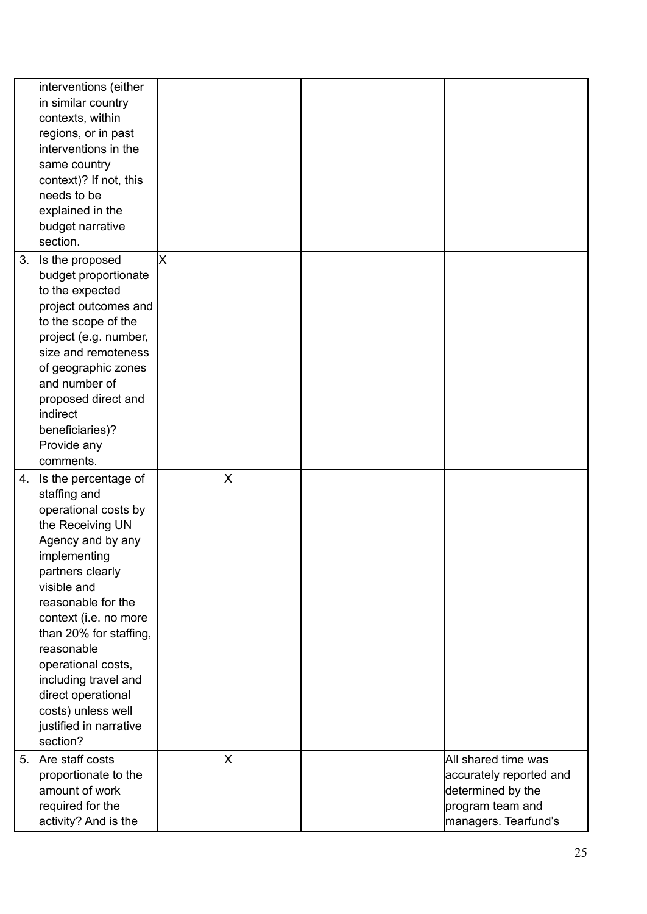|    | interventions (either                      |                           |                         |
|----|--------------------------------------------|---------------------------|-------------------------|
|    | in similar country                         |                           |                         |
|    | contexts, within                           |                           |                         |
|    | regions, or in past                        |                           |                         |
|    | interventions in the                       |                           |                         |
|    | same country                               |                           |                         |
|    | context)? If not, this                     |                           |                         |
|    | needs to be                                |                           |                         |
|    | explained in the                           |                           |                         |
|    | budget narrative                           |                           |                         |
|    | section.                                   |                           |                         |
| 3. | Is the proposed                            | X                         |                         |
|    | budget proportionate                       |                           |                         |
|    | to the expected                            |                           |                         |
|    | project outcomes and                       |                           |                         |
|    | to the scope of the                        |                           |                         |
|    | project (e.g. number,                      |                           |                         |
|    | size and remoteness                        |                           |                         |
|    | of geographic zones                        |                           |                         |
|    | and number of                              |                           |                         |
|    | proposed direct and                        |                           |                         |
|    | indirect                                   |                           |                         |
|    | beneficiaries)?                            |                           |                         |
|    | Provide any                                |                           |                         |
|    |                                            |                           |                         |
|    | comments.                                  |                           |                         |
| 4. | Is the percentage of                       | $\boldsymbol{\mathsf{X}}$ |                         |
|    | staffing and                               |                           |                         |
|    | operational costs by                       |                           |                         |
|    | the Receiving UN                           |                           |                         |
|    | Agency and by any                          |                           |                         |
|    | implementing                               |                           |                         |
|    |                                            |                           |                         |
|    | partners clearly<br>visible and            |                           |                         |
|    | reasonable for the                         |                           |                         |
|    | context (i.e. no more                      |                           |                         |
|    | than 20% for staffing,                     |                           |                         |
|    | reasonable                                 |                           |                         |
|    | operational costs,                         |                           |                         |
|    |                                            |                           |                         |
|    | including travel and<br>direct operational |                           |                         |
|    | costs) unless well                         |                           |                         |
|    |                                            |                           |                         |
|    | justified in narrative<br>section?         |                           |                         |
| 5. | Are staff costs                            | X                         | All shared time was     |
|    | proportionate to the                       |                           | accurately reported and |
|    | amount of work                             |                           | determined by the       |
|    | required for the                           |                           | program team and        |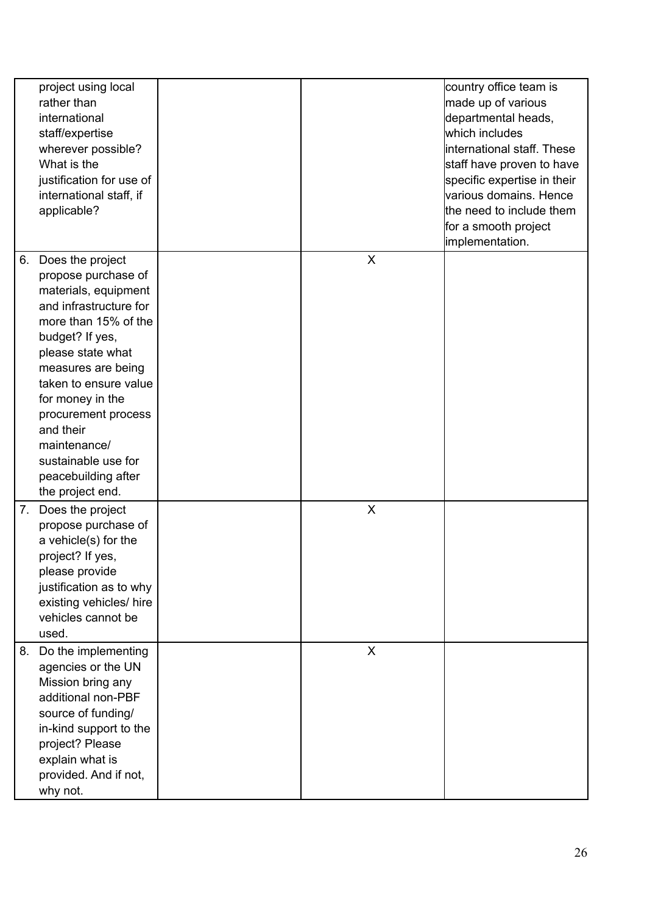|    | project using local<br>rather than<br>international<br>staff/expertise<br>wherever possible?<br>What is the<br>justification for use of<br>international staff, if<br>applicable?                                                                                                                                                                  |   | country office team is<br>made up of various<br>departmental heads,<br>which includes<br>linternational staff. These<br>staff have proven to have<br>specific expertise in their<br>various domains. Hence<br>the need to include them<br>for a smooth project<br>implementation. |
|----|----------------------------------------------------------------------------------------------------------------------------------------------------------------------------------------------------------------------------------------------------------------------------------------------------------------------------------------------------|---|-----------------------------------------------------------------------------------------------------------------------------------------------------------------------------------------------------------------------------------------------------------------------------------|
| 6. | Does the project<br>propose purchase of<br>materials, equipment<br>and infrastructure for<br>more than 15% of the<br>budget? If yes,<br>please state what<br>measures are being<br>taken to ensure value<br>for money in the<br>procurement process<br>and their<br>maintenance/<br>sustainable use for<br>peacebuilding after<br>the project end. | X |                                                                                                                                                                                                                                                                                   |
| 7. | Does the project<br>propose purchase of<br>a vehicle(s) for the<br>project? If yes,<br>please provide<br>justification as to why<br>existing vehicles/ hire<br>vehicles cannot be<br>used.                                                                                                                                                         | X |                                                                                                                                                                                                                                                                                   |
| 8. | Do the implementing<br>agencies or the UN<br>Mission bring any<br>additional non-PBF<br>source of funding/<br>in-kind support to the<br>project? Please<br>explain what is<br>provided. And if not,<br>why not.                                                                                                                                    | X |                                                                                                                                                                                                                                                                                   |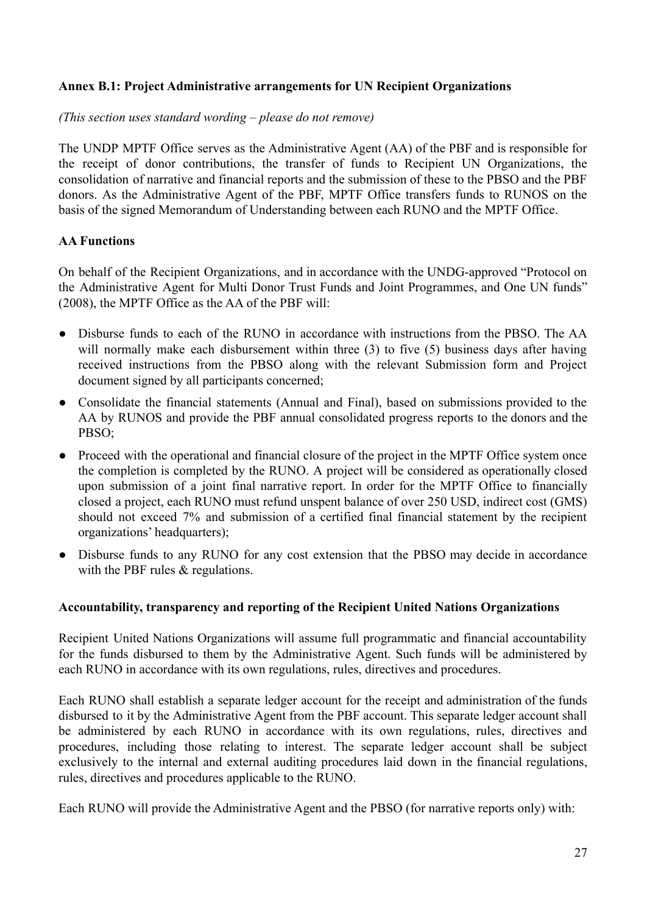### **Annex B.1: Project Administrative arrangements for UN Recipient Organizations**

### *(This section uses standard wording – please do not remove)*

The UNDP MPTF Office serves as the Administrative Agent (AA) of the PBF and is responsible for the receipt of donor contributions, the transfer of funds to Recipient UN Organizations, the consolidation of narrative and financial reports and the submission of these to the PBSO and the PBF donors. As the Administrative Agent of the PBF, MPTF Office transfers funds to RUNOS on the basis of the [signed Memorandum of Understanding](http://mptf.undp.org/document/download/10425) between each RUNO and the MPTF Office.

# **AA Functions**

On behalf of the Recipient Organizations, and in accordance with the UNDG-approved "Protocol on the Administrative Agent for Multi Donor Trust Funds and Joint Programmes, and One UN funds" (2008), the MPTF Office as the AA of the PBF will:

- Disburse funds to each of the RUNO in accordance with instructions from the PBSO. The AA will normally make each disbursement within three (3) to five (5) business days after having received instructions from the PBSO along with the relevant Submission form and Project document signed by all participants concerned;
- Consolidate the financial statements (Annual and Final), based on submissions provided to the AA by RUNOS and provide the PBF annual consolidated progress reports to the donors and the PBSO;
- Proceed with the operational and financial closure of the project in the MPTF Office system once the completion is completed by the RUNO. A project will be considered as operationally closed upon submission of a joint final narrative report. In order for the MPTF Office to financially closed a project, each RUNO must refund unspent balance of over 250 USD, indirect cost (GMS) should not exceed 7% and submission of a certified final financial statement by the recipient organizations' headquarters);
- Disburse funds to any RUNO for any cost extension that the PBSO may decide in accordance with the PBF rules & regulations.

### **Accountability, transparency and reporting of the Recipient United Nations Organizations**

Recipient United Nations Organizations will assume full programmatic and financial accountability for the funds disbursed to them by the Administrative Agent. Such funds will be administered by each RUNO in accordance with its own regulations, rules, directives and procedures.

Each RUNO shall establish a separate ledger account for the receipt and administration of the funds disbursed to it by the Administrative Agent from the PBF account. This separate ledger account shall be administered by each RUNO in accordance with its own regulations, rules, directives and procedures, including those relating to interest. The separate ledger account shall be subject exclusively to the internal and external auditing procedures laid down in the financial regulations, rules, directives and procedures applicable to the RUNO.

Each RUNO will provide the Administrative Agent and the PBSO (for narrative reports only) with: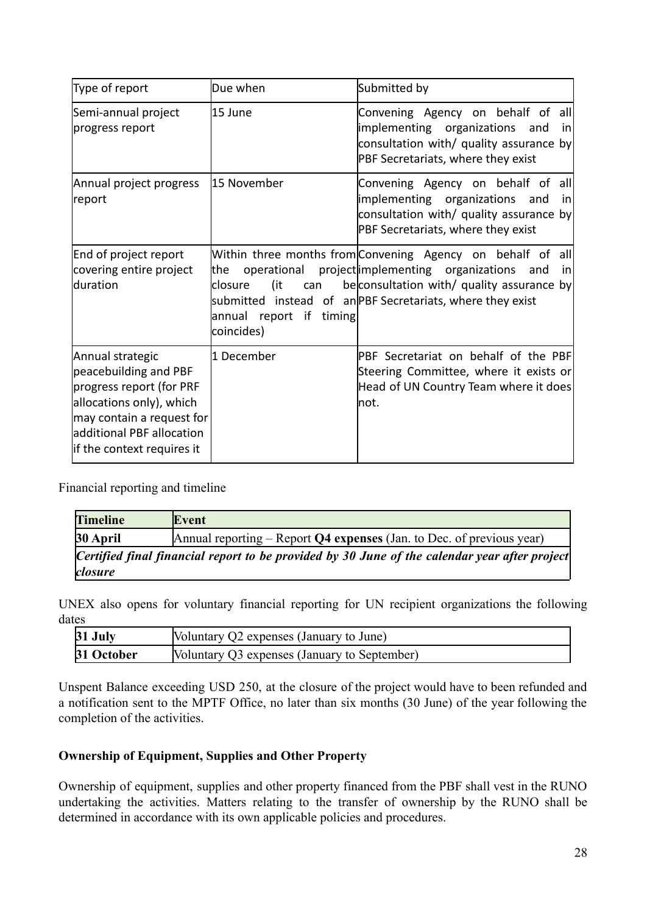| Type of report                                                                                                                                                                              | Due when                                                                                | Submitted by                                                                                                                                                                                                              |
|---------------------------------------------------------------------------------------------------------------------------------------------------------------------------------------------|-----------------------------------------------------------------------------------------|---------------------------------------------------------------------------------------------------------------------------------------------------------------------------------------------------------------------------|
| Semi-annual project<br>progress report                                                                                                                                                      | 15 June                                                                                 | Convening Agency on behalf of all<br>implementing organizations<br>and<br>inl<br>consultation with/ quality assurance by<br>PBF Secretariats, where they exist                                                            |
| Annual project progress<br>report                                                                                                                                                           | 15 November                                                                             | Convening Agency on behalf of all<br>implementing organizations<br>and<br>inl<br>consultation with/ quality assurance by<br>PBF Secretariats, where they exist                                                            |
| End of project report<br>covering entire project<br>lduration                                                                                                                               | operational<br>lthe l<br>(it<br>closure<br>can<br>annual report if timing<br>coincides) | Within three months from Convening Agency on behalf of all<br>project implementing organizations<br>and<br>inl<br>beconsultation with/ quality assurance by<br>submitted instead of an PBF Secretariats, where they exist |
| Annual strategic<br>peacebuilding and PBF<br>progress report (for PRF<br>allocations only), which<br>may contain a request for<br>ladditional PBF allocation<br>lif the context requires it | 1 December                                                                              | PBF Secretariat on behalf of the PBF<br>Steering Committee, where it exists or<br>Head of UN Country Team where it does<br>lnot.                                                                                          |

Financial reporting and timeline

| <b>Timeline</b> | Event                                                                                         |  |  |  |
|-----------------|-----------------------------------------------------------------------------------------------|--|--|--|
| 30 April        | Annual reporting $-$ Report Q4 expenses (Jan. to Dec. of previous year)                       |  |  |  |
| <i>closure</i>  | Certified final financial report to be provided by 30 June of the calendar year after project |  |  |  |

UNEX also opens for voluntary financial reporting for UN recipient organizations the following dates

| 31 July    | Voluntary Q2 expenses (January to June)       |  |
|------------|-----------------------------------------------|--|
| 31 October | [Voluntary Q3 expenses (January to September) |  |

Unspent Balance exceeding USD 250, at the closure of the project would have to been refunded and a notification sent to the MPTF Office, no later than six months (30 June) of the year following the completion of the activities.

### **Ownership of Equipment, Supplies and Other Property**

Ownership of equipment, supplies and other property financed from the PBF shall vest in the RUNO undertaking the activities. Matters relating to the transfer of ownership by the RUNO shall be determined in accordance with its own applicable policies and procedures.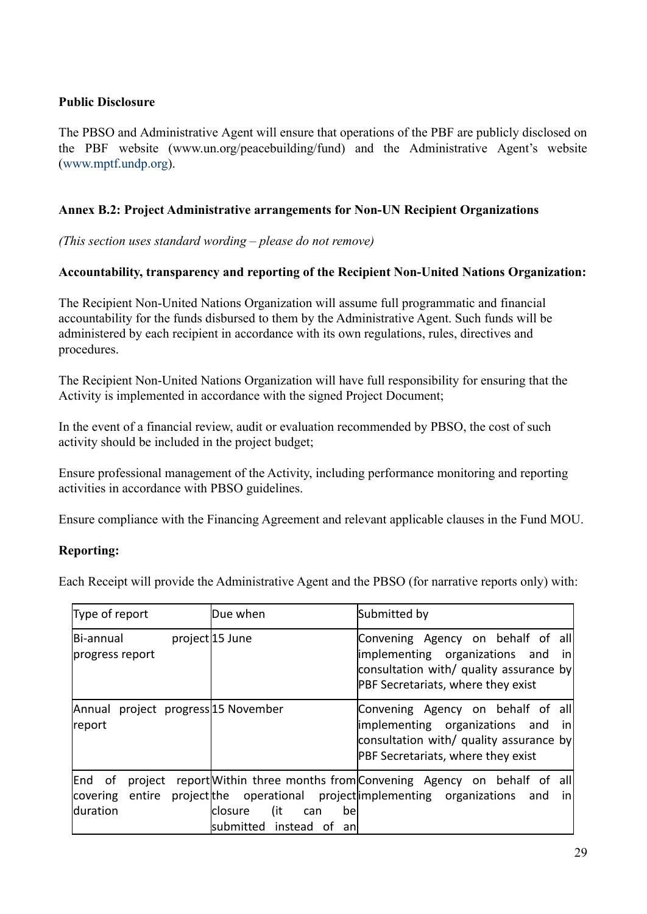## **Public Disclosure**

The PBSO and Administrative Agent will ensure that operations of the PBF are publicly disclosed on the PBF website (www.un.org/peacebuilding/fund) and the Administrative Agent's website ([www.mptf.undp.org\)](http://www.mptf.undp.org).

## **Annex B.2: Project Administrative arrangements for Non-UN Recipient Organizations**

*(This section uses standard wording – please do not remove)*

### **Accountability, transparency and reporting of the Recipient Non-United Nations Organization:**

The Recipient Non-United Nations Organization will assume full programmatic and financial accountability for the funds disbursed to them by the Administrative Agent. Such funds will be administered by each recipient in accordance with its own regulations, rules, directives and procedures.

The Recipient Non-United Nations Organization will have full responsibility for ensuring that the Activity is implemented in accordance with the signed Project Document;

In the event of a financial review, audit or evaluation recommended by PBSO, the cost of such activity should be included in the project budget;

Ensure professional management of the Activity, including performance monitoring and reporting activities in accordance with PBSO guidelines.

Ensure compliance with the Financing Agreement and relevant applicable clauses in the Fund MOU.

### **Reporting:**

Each Receipt will provide the Administrative Agent and the PBSO (for narrative reports only) with:

| Type of report                                           | Due when                                                       | Submitted by                                                                                                                                                  |
|----------------------------------------------------------|----------------------------------------------------------------|---------------------------------------------------------------------------------------------------------------------------------------------------------------|
| Bi-annual<br>progress report                             | project 15 June                                                | Convening Agency on behalf of all<br>implementing organizations and<br>inl<br>consultation with/ quality assurance by<br>PBF Secretariats, where they exist   |
| project progress 15 November<br>Annual<br>report         |                                                                | Convening Agency on behalf of all<br>limplementing organizations and<br>-in <br>consultation with/ quality assurance by<br>PBF Secretariats, where they exist |
| End of<br>project<br>covering entire<br><b>Iduration</b> | (it<br>closure<br>can<br>bel<br>submitted<br>instead of<br>anl | report Within three months from Convening Agency on behalf of all<br>project the operational project implementing organizations<br>and<br>in                  |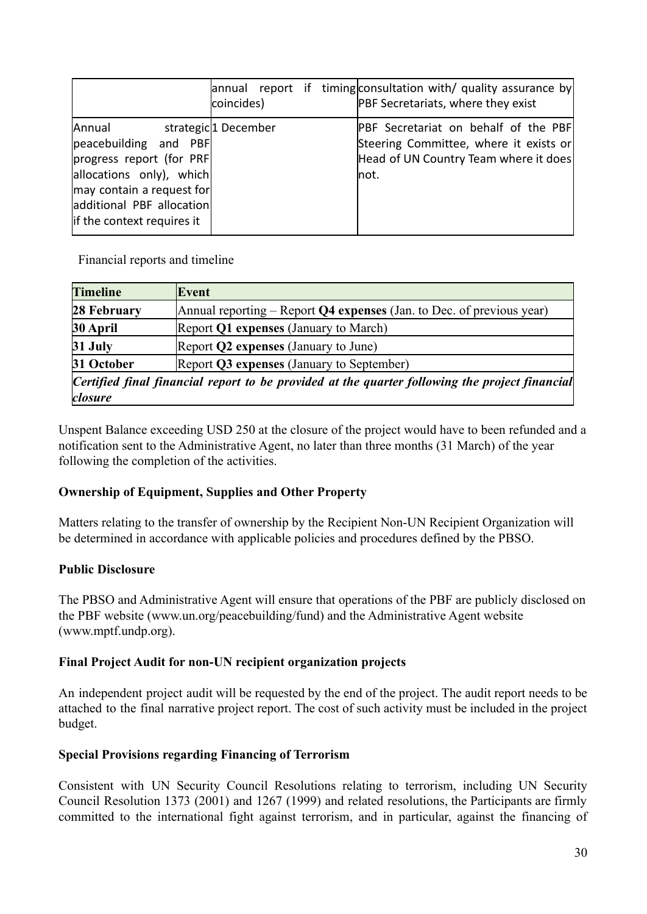|                                                                                                                                                                                  | coincides)          | annual report if timing consultation with/ quality assurance by<br>PBF Secretariats, where they exist                                   |
|----------------------------------------------------------------------------------------------------------------------------------------------------------------------------------|---------------------|-----------------------------------------------------------------------------------------------------------------------------------------|
| Annual<br>peacebuilding and PBF<br>progress report (for PRF)<br>allocations only), which<br>may contain a request for<br>additional PBF allocation<br>if the context requires it | strategic1 December | <b>PBF</b> Secretariat on behalf of the PBF<br>Steering Committee, where it exists or<br>Head of UN Country Team where it does<br>lnot. |

Financial reports and timeline

| <b>Timeline</b> | Event                                                                                          |
|-----------------|------------------------------------------------------------------------------------------------|
| 28 February     | Annual reporting – Report Q4 expenses (Jan. to Dec. of previous year)                          |
| 30 April        | Report Q1 expenses (January to March)                                                          |
| 31 July         | Report Q2 expenses (January to June)                                                           |
| 31 October      | Report Q3 expenses (January to September)                                                      |
| closure         | Certified final financial report to be provided at the quarter following the project financial |

Unspent Balance exceeding USD 250 at the closure of the project would have to been refunded and a notification sent to the Administrative Agent, no later than three months (31 March) of the year following the completion of the activities.

# **Ownership of Equipment, Supplies and Other Property**

Matters relating to the transfer of ownership by the Recipient Non-UN Recipient Organization will be determined in accordance with applicable policies and procedures defined by the PBSO.

# **Public Disclosure**

The PBSO and Administrative Agent will ensure that operations of the PBF are publicly disclosed on the PBF website (www.un.org/peacebuilding/fund) and the Administrative Agent website (www.mptf.undp.org).

# **Final Project Audit for non-UN recipient organization projects**

An independent project audit will be requested by the end of the project. The audit report needs to be attached to the final narrative project report. The cost of such activity must be included in the project budget.

# **Special Provisions regarding Financing of Terrorism**

Consistent with UN Security Council Resolutions relating to terrorism, including UN Security Council Resolution 1373 (2001) and 1267 (1999) and related resolutions, the Participants are firmly committed to the international fight against terrorism, and in particular, against the financing of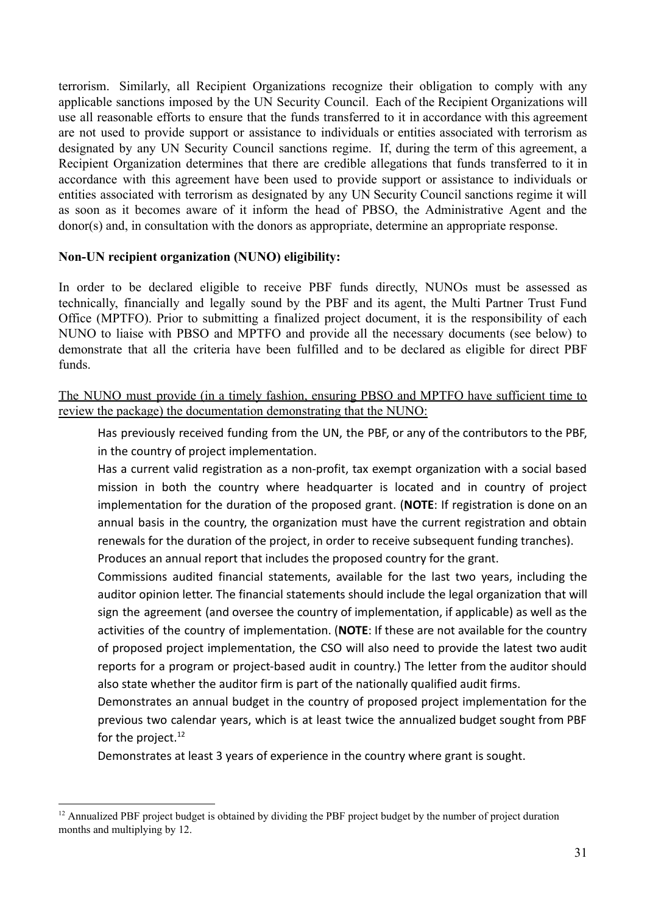terrorism. Similarly, all Recipient Organizations recognize their obligation to comply with any applicable sanctions imposed by the UN Security Council. Each of the Recipient Organizations will use all reasonable efforts to ensure that the funds transferred to it in accordance with this agreement are not used to provide support or assistance to individuals or entities associated with terrorism as designated by any UN Security Council sanctions regime. If, during the term of this agreement, a Recipient Organization determines that there are credible allegations that funds transferred to it in accordance with this agreement have been used to provide support or assistance to individuals or entities associated with terrorism as designated by any UN Security Council sanctions regime it will as soon as it becomes aware of it inform the head of PBSO, the Administrative Agent and the donor(s) and, in consultation with the donors as appropriate, determine an appropriate response.

### **Non-UN recipient organization (NUNO) eligibility:**

In order to be declared eligible to receive PBF funds directly, NUNOs must be assessed as technically, financially and legally sound by the PBF and its agent, the Multi [Partner](http://mptf.undp.org/overview/office) Trust Fund Office [\(MPTFO\).](http://mptf.undp.org/overview/office) Prior to submitting a finalized project document, it is the responsibility of each NUNO to liaise with PBSO and MPTFO and provide all the necessary documents (see below) to demonstrate that all the criteria have been fulfilled and to be declared as eligible for direct PBF funds.

The NUNO must provide (in a timely fashion, ensuring PBSO and MPTFO have sufficient time to review the package) the documentation demonstrating that the NUNO:

Has previously received funding from the UN, the PBF, or any of the contributors to the PBF, in the country of project implementation.

Has a current valid registration as a non-profit, tax exempt organization with a social based mission in both the country where headquarter is located and in country of project implementation for the duration of the proposed grant. (**NOTE**: If registration is done on an annual basis in the country, the organization must have the current registration and obtain renewals for the duration of the project, in order to receive subsequent funding tranches).

Produces an annual report that includes the proposed country for the grant.

Commissions audited financial statements, available for the last two years, including the auditor opinion letter. The financial statements should include the legal organization that will sign the agreement (and oversee the country of implementation, if applicable) as well as the activities of the country of implementation. (**NOTE**: If these are not available for the country of proposed project implementation, the CSO will also need to provide the latest two audit reports for a program or project-based audit in country.) The letter from the auditor should also state whether the auditor firm is part of the nationally qualified audit firms.

Demonstrates an annual budget in the country of proposed project implementation for the previous two calendar years, which is at least twice the annualized budget sought from PBF for the project. $12$ 

Demonstrates at least 3 years of experience in the country where grant is sought.

<sup>&</sup>lt;sup>12</sup> Annualized PBF project budget is obtained by dividing the PBF project budget by the number of project duration months and multiplying by 12.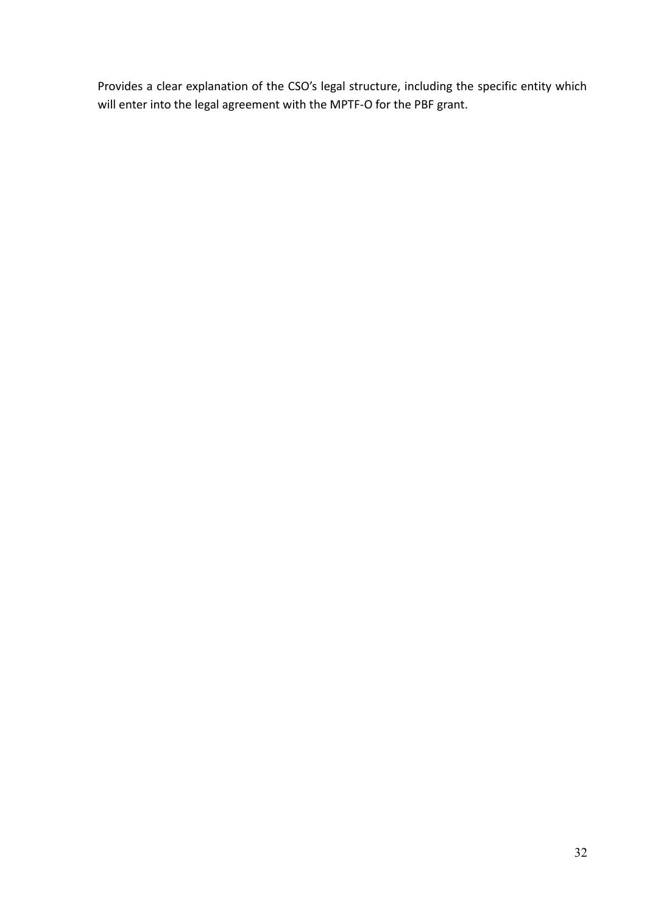Provides a clear explanation of the CSO's legal structure, including the specific entity which will enter into the legal agreement with the MPTF-O for the PBF grant.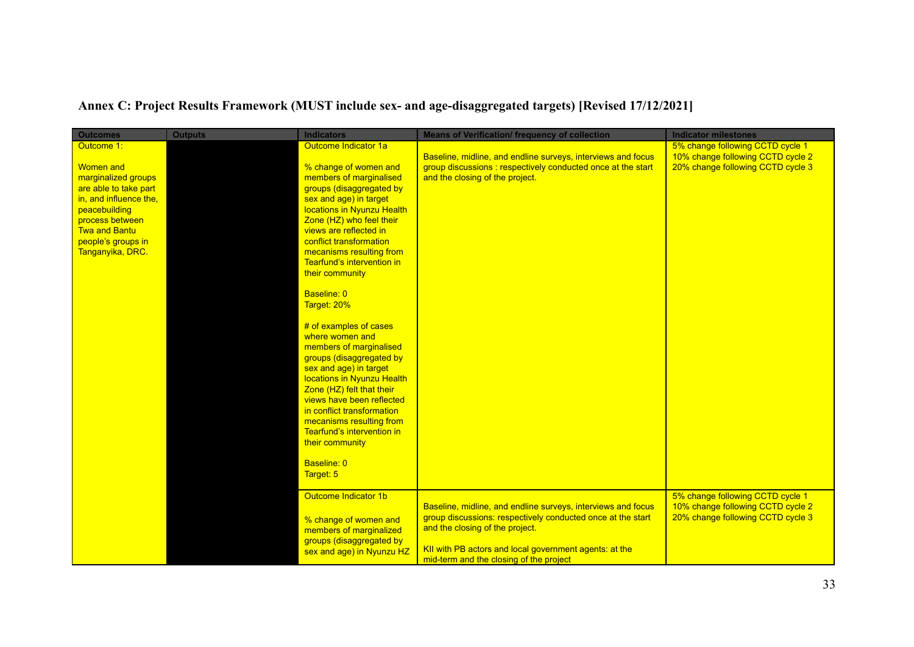# **Annex C: Project Results Framework (MUST include sex- and age-disaggregated targets) [Revised 17/12/2021]**

| <b>Outcomes</b>                                                                                                                                                                                                | <b>Outputs</b> | <b>Indicators</b>                                                                                                                                                                                                                                                                                                                                                                                                                                                                                                                                                                                                                                                                                                     | <b>Means of Verification/ frequency of collection</b>                                                                                                                                                                                                               | <b>Indicator milestones</b>                                                                                |
|----------------------------------------------------------------------------------------------------------------------------------------------------------------------------------------------------------------|----------------|-----------------------------------------------------------------------------------------------------------------------------------------------------------------------------------------------------------------------------------------------------------------------------------------------------------------------------------------------------------------------------------------------------------------------------------------------------------------------------------------------------------------------------------------------------------------------------------------------------------------------------------------------------------------------------------------------------------------------|---------------------------------------------------------------------------------------------------------------------------------------------------------------------------------------------------------------------------------------------------------------------|------------------------------------------------------------------------------------------------------------|
| Outcome 1:<br><b>Women and</b><br>marginalized groups<br>are able to take part<br>in, and influence the.<br>peacebuilding<br>process between<br><b>Twa and Bantu</b><br>people's groups in<br>Tanganyika, DRC. |                | Outcome Indicator 1a<br>% change of women and<br>members of marginalised<br>groups (disaggregated by<br>sex and age) in target<br>locations in Nyunzu Health<br>Zone (HZ) who feel their<br>views are reflected in<br>conflict transformation<br>mecanisms resulting from<br>Tearfund's intervention in<br>their community<br>Baseline: 0<br>Target: 20%<br># of examples of cases<br>where women and<br>members of marginalised<br>groups (disaggregated by<br>sex and age) in target<br>locations in Nyunzu Health<br>Zone (HZ) felt that their<br>views have been reflected<br>in conflict transformation<br>mecanisms resulting from<br>Tearfund's intervention in<br>their community<br>Baseline: 0<br>Target: 5 | Baseline, midline, and endline surveys, interviews and focus<br>group discussions: respectively conducted once at the start<br>and the closing of the project.                                                                                                      | 5% change following CCTD cycle 1<br>10% change following CCTD cycle 2<br>20% change following CCTD cycle 3 |
|                                                                                                                                                                                                                |                | Outcome Indicator 1b<br>% change of women and<br>members of marginalized<br>groups (disaggregated by<br>sex and age) in Nyunzu HZ                                                                                                                                                                                                                                                                                                                                                                                                                                                                                                                                                                                     | Baseline, midline, and endline surveys, interviews and focus<br>group discussions: respectively conducted once at the start<br>and the closing of the project.<br>KII with PB actors and local government agents: at the<br>mid-term and the closing of the project | 5% change following CCTD cycle 1<br>10% change following CCTD cycle 2<br>20% change following CCTD cycle 3 |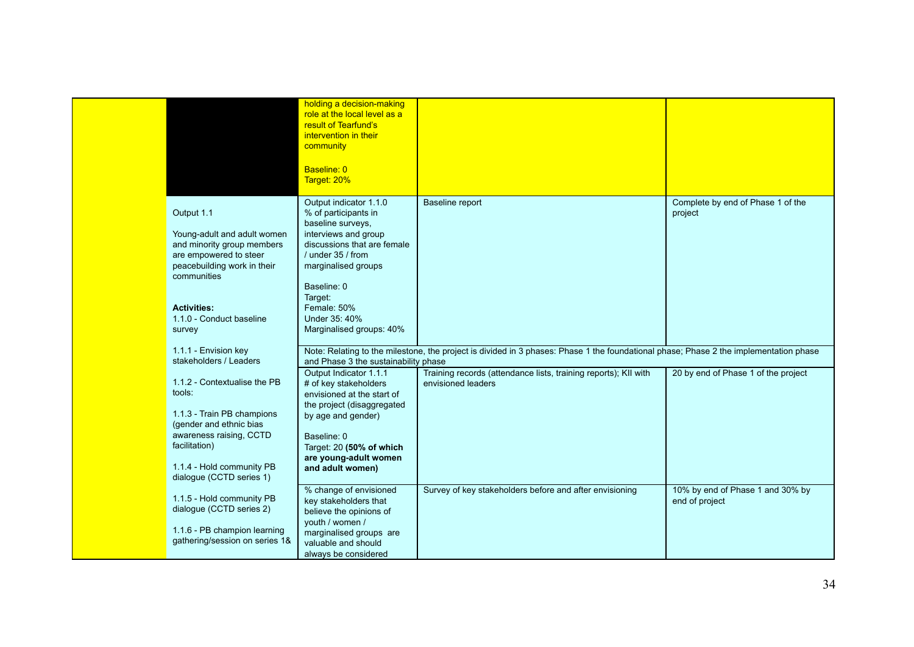|                                                                                                                                                                                                             | holding a decision-making<br>role at the local level as a<br>result of Tearfund's<br>intervention in their<br>community<br>Baseline: 0<br>Target: 20%                                                                                                        |                                                                                                                                       |                                                    |
|-------------------------------------------------------------------------------------------------------------------------------------------------------------------------------------------------------------|--------------------------------------------------------------------------------------------------------------------------------------------------------------------------------------------------------------------------------------------------------------|---------------------------------------------------------------------------------------------------------------------------------------|----------------------------------------------------|
| Output 1.1<br>Young-adult and adult women<br>and minority group members<br>are empowered to steer<br>peacebuilding work in their<br>communities<br><b>Activities:</b><br>1.1.0 - Conduct baseline<br>survey | Output indicator 1.1.0<br>% of participants in<br>baseline surveys,<br>interviews and group<br>discussions that are female<br>/ under 35 / from<br>marginalised groups<br>Baseline: 0<br>Target:<br>Female: 50%<br>Under 35: 40%<br>Marginalised groups: 40% | Baseline report                                                                                                                       | Complete by end of Phase 1 of the<br>project       |
| 1.1.1 - Envision key<br>stakeholders / Leaders                                                                                                                                                              | and Phase 3 the sustainability phase                                                                                                                                                                                                                         | Note: Relating to the milestone, the project is divided in 3 phases: Phase 1 the foundational phase; Phase 2 the implementation phase |                                                    |
| 1.1.2 - Contextualise the PB<br>tools:<br>1.1.3 - Train PB champions<br>(gender and ethnic bias<br>awareness raising, CCTD<br>facilitation)<br>1.1.4 - Hold community PB<br>dialogue (CCTD series 1)        | Output Indicator 1.1.1<br># of key stakeholders<br>envisioned at the start of<br>the project (disaggregated<br>by age and gender)<br>Baseline: 0<br>Target: 20 (50% of which<br>are young-adult women<br>and adult women)                                    | Training records (attendance lists, training reports); KII with<br>envisioned leaders                                                 | 20 by end of Phase 1 of the project                |
| 1.1.5 - Hold community PB<br>dialogue (CCTD series 2)<br>1.1.6 - PB champion learning<br>gathering/session on series 1&                                                                                     | % change of envisioned<br>key stakeholders that<br>believe the opinions of<br>youth / women /<br>marginalised groups are<br>valuable and should<br>always be considered                                                                                      | Survey of key stakeholders before and after envisioning                                                                               | 10% by end of Phase 1 and 30% by<br>end of project |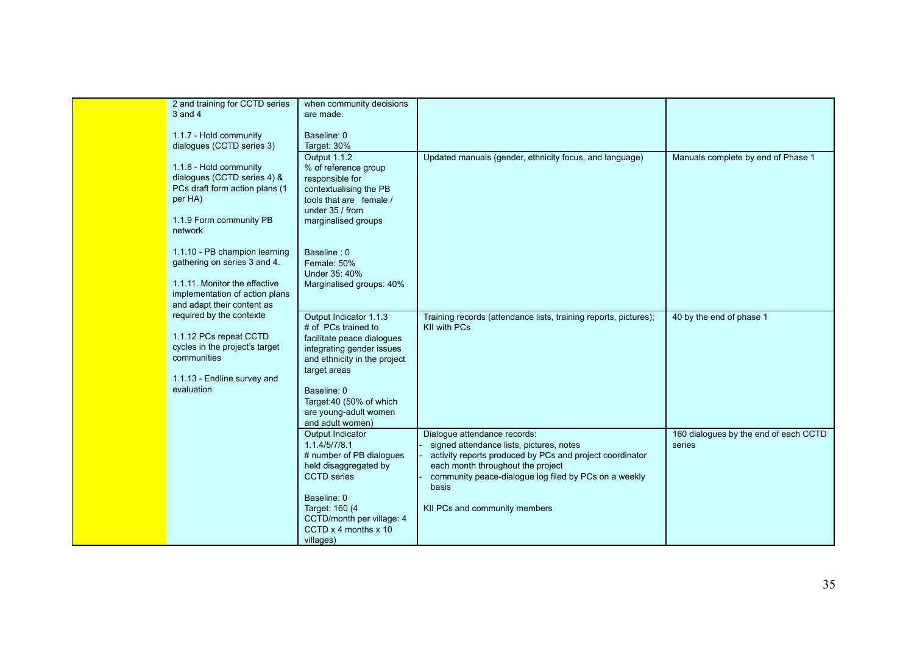| 2 and training for CCTD series | when community decisions                    |                                                                  |                                       |
|--------------------------------|---------------------------------------------|------------------------------------------------------------------|---------------------------------------|
| 3 and 4                        | are made.                                   |                                                                  |                                       |
|                                |                                             |                                                                  |                                       |
| 1.1.7 - Hold community         | Baseline: 0                                 |                                                                  |                                       |
| dialogues (CCTD series 3)      | Target: 30%                                 |                                                                  |                                       |
|                                | Output 1.1.2                                | Updated manuals (gender, ethnicity focus, and language)          | Manuals complete by end of Phase 1    |
| 1.1.8 - Hold community         | % of reference group                        |                                                                  |                                       |
| dialogues (CCTD series 4) &    | responsible for                             |                                                                  |                                       |
| PCs draft form action plans (1 | contextualising the PB                      |                                                                  |                                       |
| per HA)                        | tools that are female /                     |                                                                  |                                       |
| 1.1.9 Form community PB        | under 35 / from                             |                                                                  |                                       |
| network                        | marginalised groups                         |                                                                  |                                       |
|                                |                                             |                                                                  |                                       |
| 1.1.10 - PB champion learning  | Baseline: 0                                 |                                                                  |                                       |
| gathering on series 3 and 4.   | Female: 50%                                 |                                                                  |                                       |
|                                | Under 35: 40%                               |                                                                  |                                       |
| 1.1.11. Monitor the effective  | Marginalised groups: 40%                    |                                                                  |                                       |
| implementation of action plans |                                             |                                                                  |                                       |
| and adapt their content as     |                                             |                                                                  |                                       |
| required by the contexte       | Output Indicator 1.1.3                      | Training records (attendance lists, training reports, pictures); | 40 by the end of phase 1              |
|                                | # of PCs trained to                         | KII with PCs                                                     |                                       |
| 1.1.12 PCs repeat CCTD         | facilitate peace dialogues                  |                                                                  |                                       |
| cycles in the project's target | integrating gender issues                   |                                                                  |                                       |
| communities                    | and ethnicity in the project                |                                                                  |                                       |
|                                | target areas                                |                                                                  |                                       |
| 1.1.13 - Endline survey and    |                                             |                                                                  |                                       |
| evaluation                     | Baseline: 0                                 |                                                                  |                                       |
|                                | Target:40 (50% of which                     |                                                                  |                                       |
|                                | are young-adult women                       |                                                                  |                                       |
|                                | and adult women)                            |                                                                  |                                       |
|                                | Output Indicator                            | Dialogue attendance records:                                     | 160 dialogues by the end of each CCTD |
|                                | 1.1.4/5/7/8.1                               | signed attendance lists, pictures, notes                         | series                                |
|                                | # number of PB dialogues                    | activity reports produced by PCs and project coordinator         |                                       |
|                                | held disaggregated by                       | each month throughout the project                                |                                       |
|                                | <b>CCTD</b> series                          | community peace-dialogue log filed by PCs on a weekly            |                                       |
|                                |                                             | basis                                                            |                                       |
|                                | Baseline: 0                                 |                                                                  |                                       |
|                                | Target: 160 (4<br>CCTD/month per village: 4 | KII PCs and community members                                    |                                       |
|                                | CCTD x 4 months x 10                        |                                                                  |                                       |
|                                | villages)                                   |                                                                  |                                       |
|                                |                                             |                                                                  |                                       |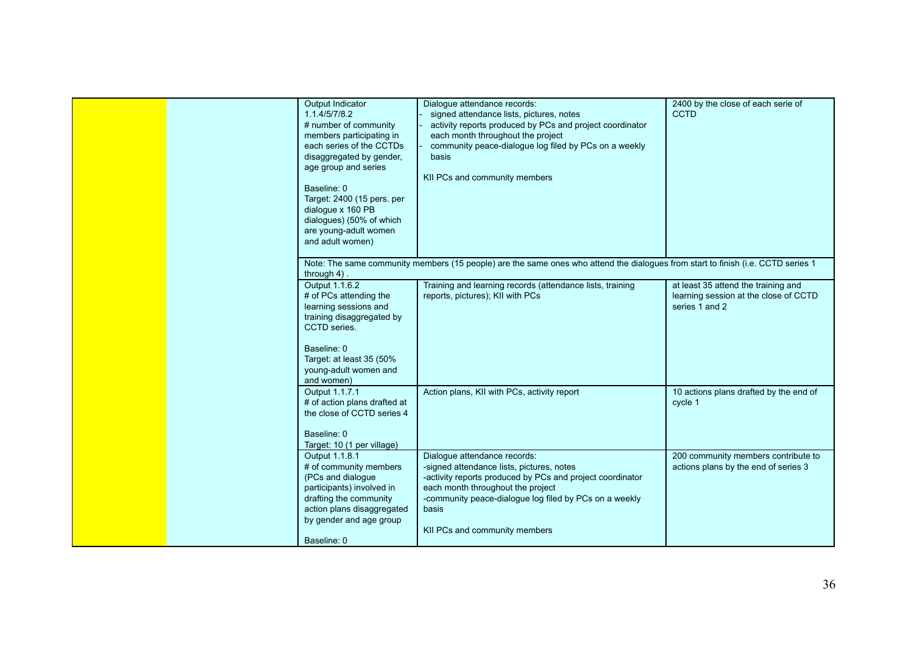|  | Output Indicator<br>1.1.4/5/7/8.2<br># number of community<br>members participating in<br>each series of the CCTDs<br>disaggregated by gender,<br>age group and series<br>Baseline: 0<br>Target: 2400 (15 pers. per<br>dialogue x 160 PB<br>dialogues) (50% of which<br>are young-adult women<br>and adult women) | Dialogue attendance records:<br>signed attendance lists, pictures, notes<br>activity reports produced by PCs and project coordinator<br>each month throughout the project<br>community peace-dialogue log filed by PCs on a weekly<br>basis<br>KII PCs and community members    | 2400 by the close of each serie of<br><b>CCTD</b>                                              |  |
|--|-------------------------------------------------------------------------------------------------------------------------------------------------------------------------------------------------------------------------------------------------------------------------------------------------------------------|---------------------------------------------------------------------------------------------------------------------------------------------------------------------------------------------------------------------------------------------------------------------------------|------------------------------------------------------------------------------------------------|--|
|  | Note: The same community members (15 people) are the same ones who attend the dialogues from start to finish (i.e. CCTD series 1<br>through $4$ ).                                                                                                                                                                |                                                                                                                                                                                                                                                                                 |                                                                                                |  |
|  | Output 1.1.6.2<br># of PCs attending the<br>learning sessions and<br>training disaggregated by<br>CCTD series.<br>Baseline: 0<br>Target: at least 35 (50%<br>young-adult women and<br>and women)                                                                                                                  | Training and learning records (attendance lists, training<br>reports, pictures); KII with PCs                                                                                                                                                                                   | at least 35 attend the training and<br>learning session at the close of CCTD<br>series 1 and 2 |  |
|  | Output 1.1.7.1<br># of action plans drafted at<br>the close of CCTD series 4<br>Baseline: 0<br>Target: 10 (1 per village)                                                                                                                                                                                         | Action plans, KII with PCs, activity report                                                                                                                                                                                                                                     | 10 actions plans drafted by the end of<br>cycle 1                                              |  |
|  | Output 1.1.8.1<br># of community members<br>(PCs and dialogue<br>participants) involved in<br>drafting the community<br>action plans disaggregated<br>by gender and age group                                                                                                                                     | Dialoque attendance records:<br>-signed attendance lists, pictures, notes<br>-activity reports produced by PCs and project coordinator<br>each month throughout the project<br>-community peace-dialogue log filed by PCs on a weekly<br>basis<br>KII PCs and community members | 200 community members contribute to<br>actions plans by the end of series 3                    |  |
|  | Baseline: 0                                                                                                                                                                                                                                                                                                       |                                                                                                                                                                                                                                                                                 |                                                                                                |  |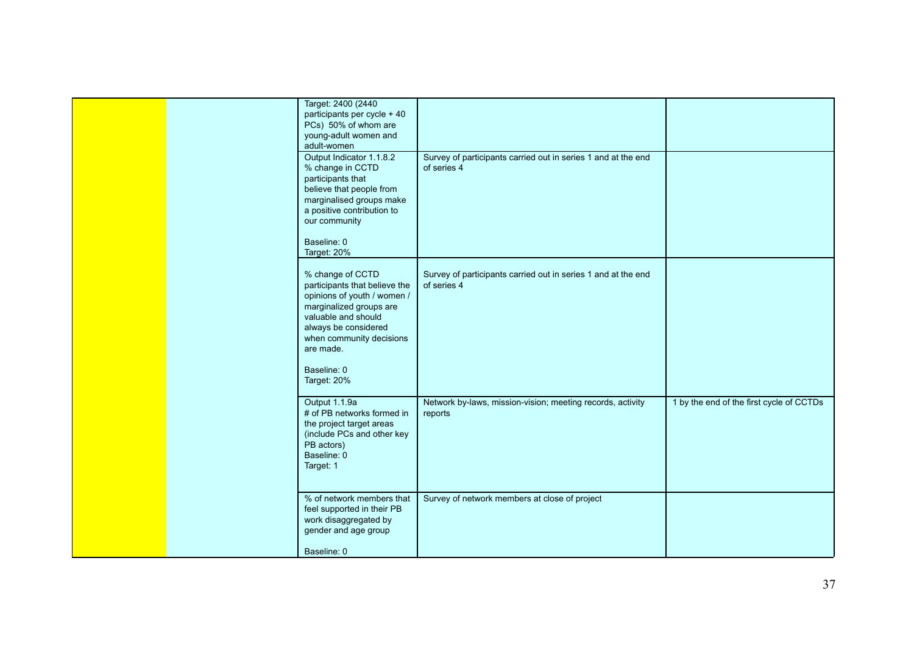|  | Target: 2400 (2440)<br>participants per cycle + 40<br>PCs) 50% of whom are<br>young-adult women and<br>adult-women                                                                                                                |                                                                              |                                          |
|--|-----------------------------------------------------------------------------------------------------------------------------------------------------------------------------------------------------------------------------------|------------------------------------------------------------------------------|------------------------------------------|
|  | Output Indicator 1.1.8.2<br>% change in CCTD<br>participants that<br>believe that people from<br>marginalised groups make<br>a positive contribution to<br>our community<br>Baseline: 0<br>Target: 20%                            | Survey of participants carried out in series 1 and at the end<br>of series 4 |                                          |
|  | % change of CCTD<br>participants that believe the<br>opinions of youth / women /<br>marginalized groups are<br>valuable and should<br>always be considered<br>when community decisions<br>are made.<br>Baseline: 0<br>Target: 20% | Survey of participants carried out in series 1 and at the end<br>of series 4 |                                          |
|  | Output 1.1.9a<br># of PB networks formed in<br>the project target areas<br>(include PCs and other key<br>PB actors)<br>Baseline: 0<br>Target: 1                                                                                   | Network by-laws, mission-vision; meeting records, activity<br>reports        | 1 by the end of the first cycle of CCTDs |
|  | % of network members that<br>feel supported in their PB<br>work disaggregated by<br>gender and age group<br>Baseline: 0                                                                                                           | Survey of network members at close of project                                |                                          |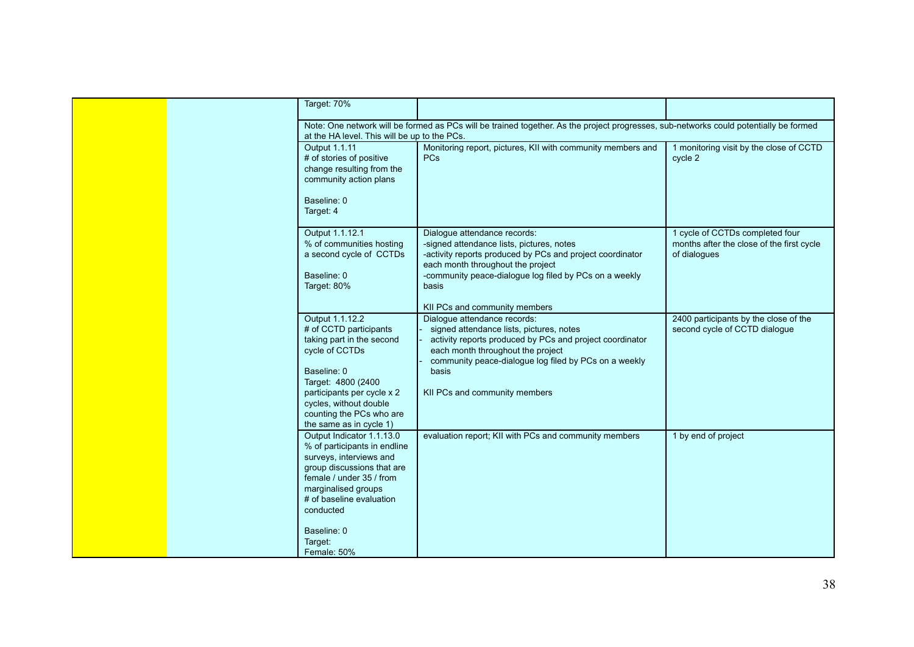| Target: 70%                                                                                                                                                                                                    |                                                                                                                                                                                                                                                |                                                                                              |
|----------------------------------------------------------------------------------------------------------------------------------------------------------------------------------------------------------------|------------------------------------------------------------------------------------------------------------------------------------------------------------------------------------------------------------------------------------------------|----------------------------------------------------------------------------------------------|
| at the HA level. This will be up to the PCs.                                                                                                                                                                   | Note: One network will be formed as PCs will be trained together. As the project progresses, sub-networks could potentially be formed                                                                                                          |                                                                                              |
| Output 1.1.11<br># of stories of positive<br>change resulting from the<br>community action plans<br>Baseline: 0<br>Target: 4                                                                                   | Monitoring report, pictures, KII with community members and<br><b>PCs</b>                                                                                                                                                                      | 1 monitoring visit by the close of CCTD<br>cycle 2                                           |
| Output 1.1.12.1<br>% of communities hosting<br>a second cycle of CCTDs<br>Baseline: 0<br>Target: 80%                                                                                                           | Dialogue attendance records:<br>-signed attendance lists, pictures, notes<br>-activity reports produced by PCs and project coordinator<br>each month throughout the project<br>-community peace-dialogue log filed by PCs on a weekly<br>basis | 1 cycle of CCTDs completed four<br>months after the close of the first cycle<br>of dialogues |
| Output 1.1.12.2                                                                                                                                                                                                | KII PCs and community members<br>Dialoque attendance records:                                                                                                                                                                                  | 2400 participants by the close of the                                                        |
| # of CCTD participants<br>taking part in the second<br>cycle of CCTDs<br>Baseline: 0<br>Target: 4800 (2400<br>participants per cycle x 2                                                                       | signed attendance lists, pictures, notes<br>activity reports produced by PCs and project coordinator<br>each month throughout the project<br>community peace-dialogue log filed by PCs on a weekly<br>basis<br>KII PCs and community members   | second cycle of CCTD dialogue                                                                |
| cycles, without double<br>counting the PCs who are<br>the same as in cycle 1)                                                                                                                                  |                                                                                                                                                                                                                                                |                                                                                              |
| Output Indicator 1.1.13.0<br>% of participants in endline<br>surveys, interviews and<br>group discussions that are<br>female / under 35 / from<br>marginalised groups<br># of baseline evaluation<br>conducted | evaluation report; KII with PCs and community members                                                                                                                                                                                          | 1 by end of project                                                                          |
| Baseline: 0<br>Target:<br>Female: 50%                                                                                                                                                                          |                                                                                                                                                                                                                                                |                                                                                              |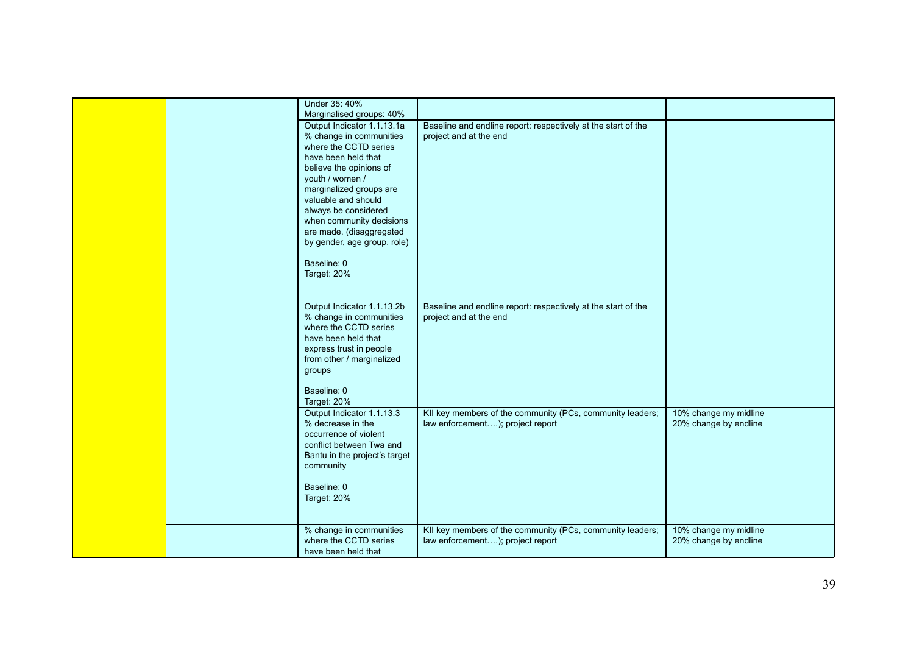|  | Under 35: 40%<br>Marginalised groups: 40%                                                                                                                                                                                                                                                                                                          |                                                                                               |                                                |
|--|----------------------------------------------------------------------------------------------------------------------------------------------------------------------------------------------------------------------------------------------------------------------------------------------------------------------------------------------------|-----------------------------------------------------------------------------------------------|------------------------------------------------|
|  | Output Indicator 1.1.13.1a<br>% change in communities<br>where the CCTD series<br>have been held that<br>believe the opinions of<br>youth / women /<br>marginalized groups are<br>valuable and should<br>always be considered<br>when community decisions<br>are made. (disaggregated<br>by gender, age group, role)<br>Baseline: 0<br>Target: 20% | Baseline and endline report: respectively at the start of the<br>project and at the end       |                                                |
|  | Output Indicator 1.1.13.2b<br>% change in communities<br>where the CCTD series<br>have been held that<br>express trust in people<br>from other / marginalized<br>groups<br>Baseline: 0<br>Target: 20%                                                                                                                                              | Baseline and endline report: respectively at the start of the<br>project and at the end       |                                                |
|  | Output Indicator 1.1.13.3<br>% decrease in the<br>occurrence of violent<br>conflict between Twa and<br>Bantu in the project's target<br>community<br>Baseline: 0<br>Target: 20%                                                                                                                                                                    | KII key members of the community (PCs, community leaders;<br>law enforcement); project report | 10% change my midline<br>20% change by endline |
|  | % change in communities<br>where the CCTD series<br>have been held that                                                                                                                                                                                                                                                                            | KII key members of the community (PCs, community leaders;<br>law enforcement); project report | 10% change my midline<br>20% change by endline |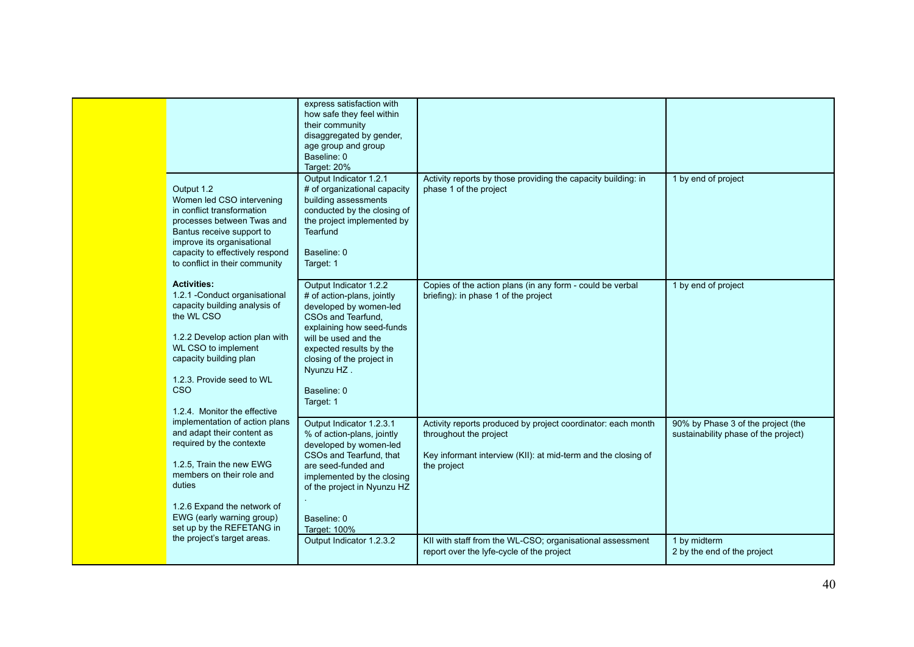| Output 1.2<br>Women led CSO intervening<br>in conflict transformation<br>processes between Twas and<br>Bantus receive support to<br>improve its organisational<br>capacity to effectively respond<br>to conflict in their community                               | express satisfaction with<br>how safe they feel within<br>their community<br>disaggregated by gender,<br>age group and group<br>Baseline: 0<br>Target: 20%<br>Output Indicator 1.2.1<br># of organizational capacity<br>building assessments<br>conducted by the closing of<br>the project implemented by<br><b>Tearfund</b><br>Baseline: 0<br>Target: 1 | Activity reports by those providing the capacity building: in<br>phase 1 of the project                                                                                | 1 by end of project                                                        |
|-------------------------------------------------------------------------------------------------------------------------------------------------------------------------------------------------------------------------------------------------------------------|----------------------------------------------------------------------------------------------------------------------------------------------------------------------------------------------------------------------------------------------------------------------------------------------------------------------------------------------------------|------------------------------------------------------------------------------------------------------------------------------------------------------------------------|----------------------------------------------------------------------------|
| <b>Activities:</b><br>1.2.1 - Conduct organisational<br>capacity building analysis of<br>the WL CSO<br>1.2.2 Develop action plan with<br>WL CSO to implement<br>capacity building plan<br>1.2.3. Provide seed to WL<br><b>CSO</b><br>1.2.4. Monitor the effective | Output Indicator 1.2.2<br># of action-plans, jointly<br>developed by women-led<br>CSOs and Tearfund.<br>explaining how seed-funds<br>will be used and the<br>expected results by the<br>closing of the project in<br>Nyunzu HZ.<br>Baseline: 0<br>Target: 1                                                                                              | Copies of the action plans (in any form - could be verbal<br>briefing): in phase 1 of the project                                                                      | 1 by end of project                                                        |
| implementation of action plans<br>and adapt their content as<br>required by the contexte<br>1.2.5, Train the new EWG<br>members on their role and<br>duties<br>1.2.6 Expand the network of<br>EWG (early warning group)<br>set up by the REFETANG in              | Output Indicator 1.2.3.1<br>% of action-plans, jointly<br>developed by women-led<br>CSOs and Tearfund, that<br>are seed-funded and<br>implemented by the closing<br>of the project in Nyunzu HZ<br>Baseline: 0<br>Target: 100%                                                                                                                           | Activity reports produced by project coordinator: each month<br>throughout the project<br>Key informant interview (KII): at mid-term and the closing of<br>the project | 90% by Phase 3 of the project (the<br>sustainability phase of the project) |
| the project's target areas.                                                                                                                                                                                                                                       | Output Indicator 1.2.3.2                                                                                                                                                                                                                                                                                                                                 | KII with staff from the WL-CSO; organisational assessment<br>report over the lyfe-cycle of the project                                                                 | 1 by midterm<br>2 by the end of the project                                |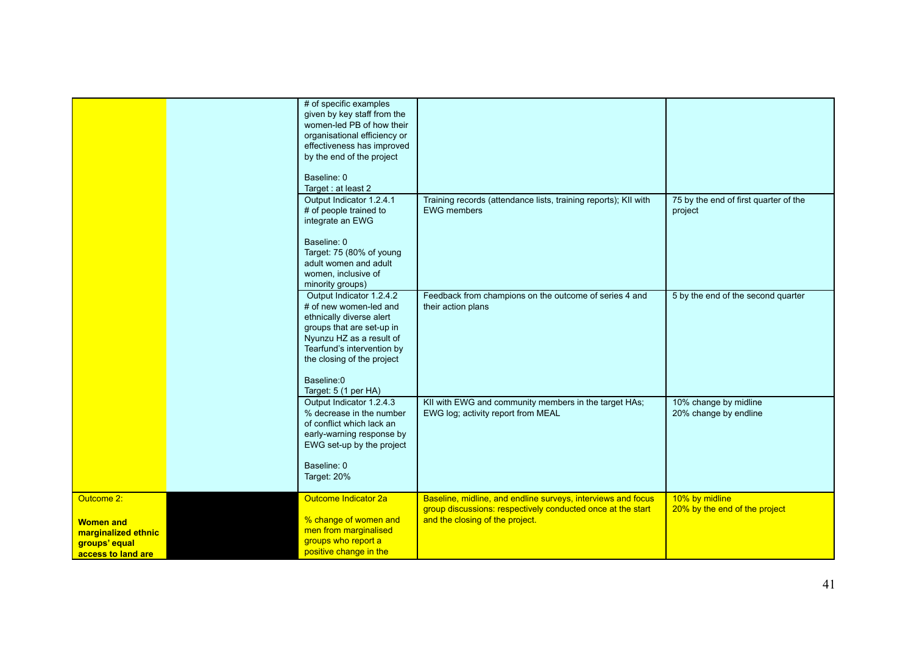|                                                                                              | # of specific examples<br>given by key staff from the<br>women-led PB of how their<br>organisational efficiency or<br>effectiveness has improved<br>by the end of the project<br>Baseline: 0<br>Target: at least 2                        |                                                                                                                                                                |                                                  |
|----------------------------------------------------------------------------------------------|-------------------------------------------------------------------------------------------------------------------------------------------------------------------------------------------------------------------------------------------|----------------------------------------------------------------------------------------------------------------------------------------------------------------|--------------------------------------------------|
|                                                                                              | Output Indicator 1.2.4.1<br># of people trained to<br>integrate an EWG<br>Baseline: 0<br>Target: 75 (80% of young<br>adult women and adult<br>women, inclusive of<br>minority groups)                                                     | Training records (attendance lists, training reports); KII with<br><b>EWG</b> members                                                                          | 75 by the end of first quarter of the<br>project |
|                                                                                              | Output Indicator 1.2.4.2<br># of new women-led and<br>ethnically diverse alert<br>groups that are set-up in<br>Nyunzu HZ as a result of<br>Tearfund's intervention by<br>the closing of the project<br>Baseline:0<br>Target: 5 (1 per HA) | Feedback from champions on the outcome of series 4 and<br>their action plans                                                                                   | 5 by the end of the second quarter               |
|                                                                                              | Output Indicator 1.2.4.3<br>% decrease in the number<br>of conflict which lack an<br>early-warning response by<br>EWG set-up by the project<br>Baseline: 0<br>Target: 20%                                                                 | KII with EWG and community members in the target HAs;<br>EWG log; activity report from MEAL                                                                    | 10% change by midline<br>20% change by endline   |
| Outcome 2:<br><b>Women and</b><br>marginalized ethnic<br>groups' equal<br>access to land are | Outcome Indicator 2a<br>% change of women and<br>men from marginalised<br>groups who report a<br>positive change in the                                                                                                                   | Baseline, midline, and endline surveys, interviews and focus<br>group discussions: respectively conducted once at the start<br>and the closing of the project. | 10% by midline<br>20% by the end of the project  |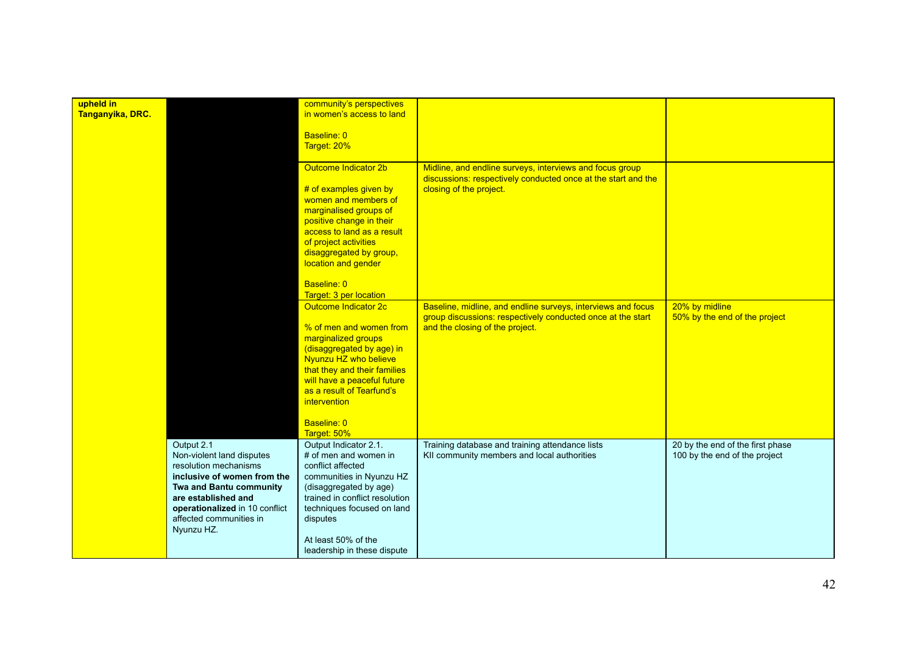| upheld in<br>Tanganyika, DRC. |                                                                                                                                                                                                                              | community's perspectives<br>in women's access to land<br>Baseline: 0<br>Target: 20%                                                                                                                                                                                            |                                                                                                                                                                |                                                                   |
|-------------------------------|------------------------------------------------------------------------------------------------------------------------------------------------------------------------------------------------------------------------------|--------------------------------------------------------------------------------------------------------------------------------------------------------------------------------------------------------------------------------------------------------------------------------|----------------------------------------------------------------------------------------------------------------------------------------------------------------|-------------------------------------------------------------------|
|                               |                                                                                                                                                                                                                              | Outcome Indicator 2b<br># of examples given by<br>women and members of<br>marginalised groups of<br>positive change in their<br>access to land as a result<br>of project activities<br>disaggregated by group,<br>location and gender<br>Baseline: 0<br>Target: 3 per location | Midline, and endline surveys, interviews and focus group<br>discussions: respectively conducted once at the start and the<br>closing of the project.           |                                                                   |
|                               |                                                                                                                                                                                                                              | Outcome Indicator 2c<br>% of men and women from<br>marginalized groups<br>(disaggregated by age) in<br>Nyunzu HZ who believe<br>that they and their families<br>will have a peaceful future<br>as a result of Tearfund's<br>intervention<br>Baseline: 0<br>Target: 50%         | Baseline, midline, and endline surveys, interviews and focus<br>group discussions: respectively conducted once at the start<br>and the closing of the project. | 20% by midline<br>50% by the end of the project                   |
|                               | Output 2.1<br>Non-violent land disputes<br>resolution mechanisms<br>inclusive of women from the<br>Twa and Bantu community<br>are established and<br>operationalized in 10 conflict<br>affected communities in<br>Nyunzu HZ. | Output Indicator 2.1.<br># of men and women in<br>conflict affected<br>communities in Nyunzu HZ<br>(disaggregated by age)<br>trained in conflict resolution<br>techniques focused on land<br>disputes<br>At least 50% of the<br>leadership in these dispute                    | Training database and training attendance lists<br>KII community members and local authorities                                                                 | 20 by the end of the first phase<br>100 by the end of the project |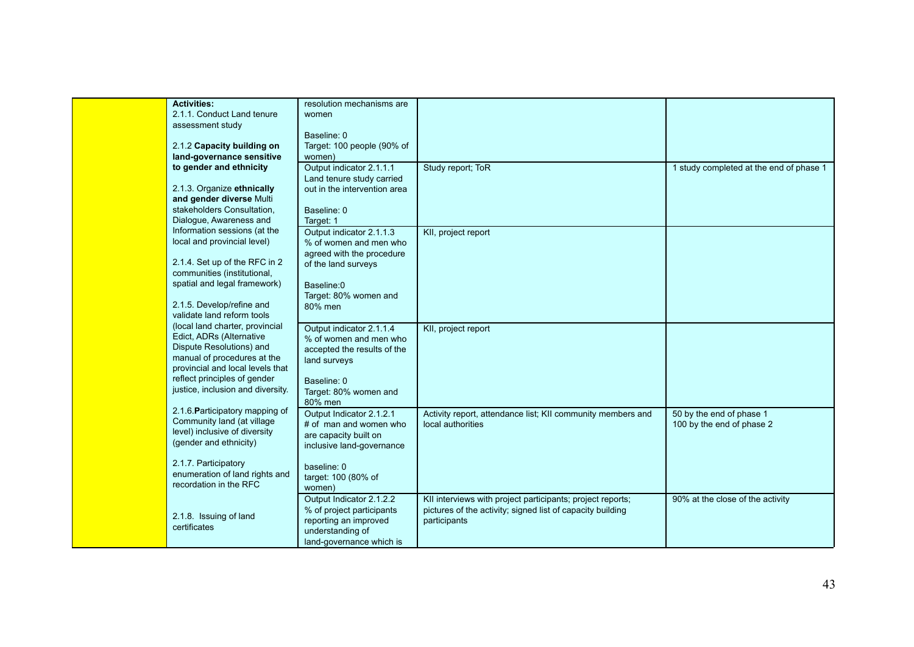| <b>Activities:</b>                | resolution mechanisms are    |                                                             |                                         |
|-----------------------------------|------------------------------|-------------------------------------------------------------|-----------------------------------------|
| 2.1.1. Conduct Land tenure        | women                        |                                                             |                                         |
| assessment study                  |                              |                                                             |                                         |
|                                   | Baseline: 0                  |                                                             |                                         |
| 2.1.2 Capacity building on        | Target: 100 people (90% of   |                                                             |                                         |
| land-governance sensitive         | women)                       |                                                             |                                         |
| to gender and ethnicity           | Output indicator 2.1.1.1     | Study report; ToR                                           | 1 study completed at the end of phase 1 |
|                                   | Land tenure study carried    |                                                             |                                         |
| 2.1.3. Organize ethnically        | out in the intervention area |                                                             |                                         |
| and gender diverse Multi          |                              |                                                             |                                         |
|                                   |                              |                                                             |                                         |
| stakeholders Consultation,        | Baseline: 0                  |                                                             |                                         |
| Dialogue, Awareness and           | Target: 1                    |                                                             |                                         |
| Information sessions (at the      | Output indicator 2.1.1.3     | KII, project report                                         |                                         |
| local and provincial level)       | % of women and men who       |                                                             |                                         |
|                                   | agreed with the procedure    |                                                             |                                         |
| 2.1.4. Set up of the RFC in 2     | of the land surveys          |                                                             |                                         |
| communities (institutional,       |                              |                                                             |                                         |
| spatial and legal framework)      | Baseline:0                   |                                                             |                                         |
|                                   | Target: 80% women and        |                                                             |                                         |
| 2.1.5. Develop/refine and         | 80% men                      |                                                             |                                         |
| validate land reform tools        |                              |                                                             |                                         |
| (local land charter, provincial   | Output indicator 2.1.1.4     | KII, project report                                         |                                         |
| Edict, ADRs (Alternative          | % of women and men who       |                                                             |                                         |
| Dispute Resolutions) and          | accepted the results of the  |                                                             |                                         |
| manual of procedures at the       | land surveys                 |                                                             |                                         |
| provincial and local levels that  |                              |                                                             |                                         |
| reflect principles of gender      | Baseline: 0                  |                                                             |                                         |
| justice, inclusion and diversity. |                              |                                                             |                                         |
|                                   | Target: 80% women and        |                                                             |                                         |
| 2.1.6. Participatory mapping of   | 80% men                      |                                                             |                                         |
| Community land (at village        | Output Indicator 2.1.2.1     | Activity report, attendance list; KII community members and | 50 by the end of phase 1                |
| level) inclusive of diversity     | # of man and women who       | local authorities                                           | 100 by the end of phase 2               |
|                                   | are capacity built on        |                                                             |                                         |
| (gender and ethnicity)            | inclusive land-governance    |                                                             |                                         |
|                                   |                              |                                                             |                                         |
| 2.1.7. Participatory              | baseline: 0                  |                                                             |                                         |
| enumeration of land rights and    | target: 100 (80% of          |                                                             |                                         |
| recordation in the RFC            | women)                       |                                                             |                                         |
|                                   | Output Indicator 2.1.2.2     | KII interviews with project participants; project reports;  | 90% at the close of the activity        |
|                                   | % of project participants    | pictures of the activity; signed list of capacity building  |                                         |
| 2.1.8. Issuing of land            | reporting an improved        | participants                                                |                                         |
| certificates                      | understanding of             |                                                             |                                         |
|                                   | land-governance which is     |                                                             |                                         |
|                                   |                              |                                                             |                                         |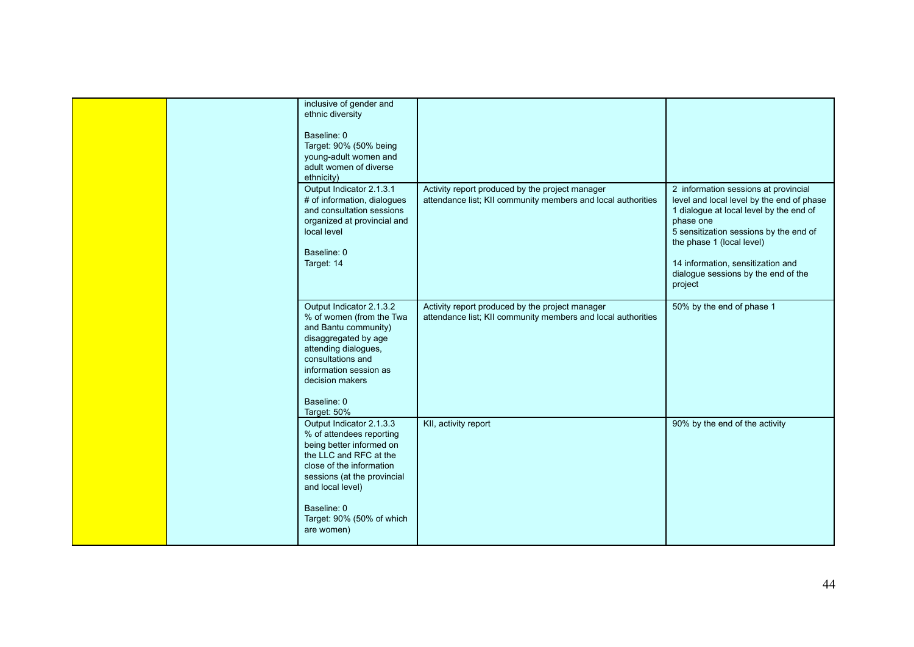| inclusive of gender and<br>ethnic diversity<br>Baseline: 0<br>Target: 90% (50% being<br>young-adult women and<br>adult women of diverse<br>ethnicity)                                                                                               |                                                                                                                 |                                                                                                                                                                                                                                                                                                         |
|-----------------------------------------------------------------------------------------------------------------------------------------------------------------------------------------------------------------------------------------------------|-----------------------------------------------------------------------------------------------------------------|---------------------------------------------------------------------------------------------------------------------------------------------------------------------------------------------------------------------------------------------------------------------------------------------------------|
| Output Indicator 2.1.3.1<br># of information, dialogues<br>and consultation sessions<br>organized at provincial and<br>local level<br>Baseline: 0<br>Target: 14                                                                                     | Activity report produced by the project manager<br>attendance list; KII community members and local authorities | 2 information sessions at provincial<br>level and local level by the end of phase<br>1 dialogue at local level by the end of<br>phase one<br>5 sensitization sessions by the end of<br>the phase 1 (local level)<br>14 information, sensitization and<br>dialogue sessions by the end of the<br>project |
| Output Indicator 2.1.3.2<br>% of women (from the Twa<br>and Bantu community)<br>disaggregated by age<br>attending dialogues,<br>consultations and<br>information session as<br>decision makers<br>Baseline: 0<br>Target: 50%                        | Activity report produced by the project manager<br>attendance list; KII community members and local authorities | 50% by the end of phase 1                                                                                                                                                                                                                                                                               |
| Output Indicator 2.1.3.3<br>% of attendees reporting<br>being better informed on<br>the LLC and RFC at the<br>close of the information<br>sessions (at the provincial<br>and local level)<br>Baseline: 0<br>Target: 90% (50% of which<br>are women) | KII, activity report                                                                                            | 90% by the end of the activity                                                                                                                                                                                                                                                                          |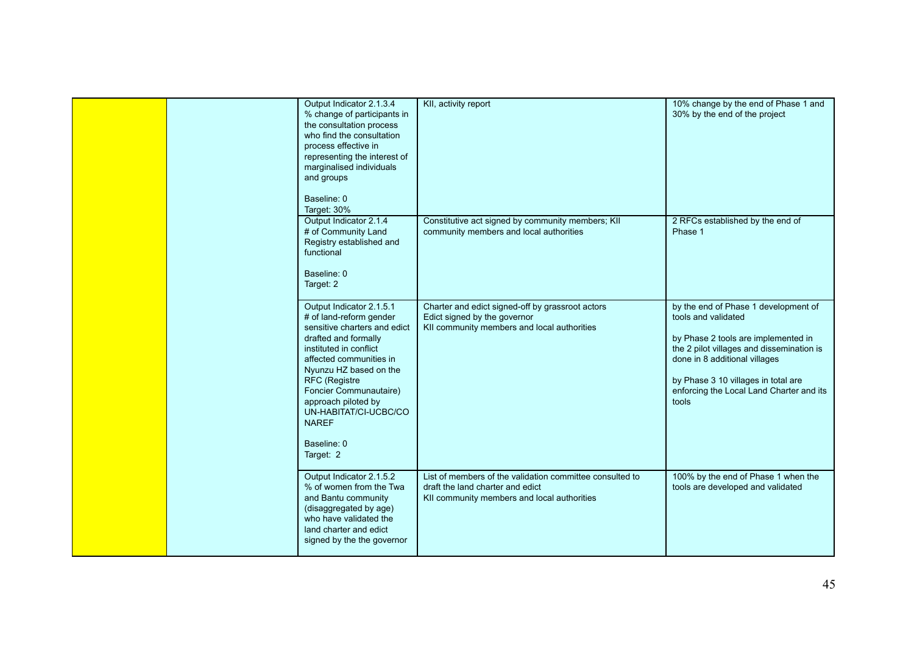|  | Output Indicator 2.1.3.4<br>% change of participants in<br>the consultation process<br>who find the consultation<br>process effective in<br>representing the interest of<br>marginalised individuals<br>and groups<br>Baseline: 0<br>Target: 30%                                                                                  | KII, activity report                                                                                                                        | 10% change by the end of Phase 1 and<br>30% by the end of the project                                                                                                                                                                                                        |
|--|-----------------------------------------------------------------------------------------------------------------------------------------------------------------------------------------------------------------------------------------------------------------------------------------------------------------------------------|---------------------------------------------------------------------------------------------------------------------------------------------|------------------------------------------------------------------------------------------------------------------------------------------------------------------------------------------------------------------------------------------------------------------------------|
|  | Output Indicator 2.1.4<br># of Community Land<br>Registry established and<br>functional<br>Baseline: 0<br>Target: 2                                                                                                                                                                                                               | Constitutive act signed by community members; KII<br>community members and local authorities                                                | 2 RFCs established by the end of<br>Phase 1                                                                                                                                                                                                                                  |
|  | Output Indicator 2.1.5.1<br># of land-reform gender<br>sensitive charters and edict<br>drafted and formally<br>instituted in conflict<br>affected communities in<br>Nyunzu HZ based on the<br>RFC (Registre<br>Foncier Communautaire)<br>approach piloted by<br>UN-HABITAT/CI-UCBC/CO<br><b>NAREF</b><br>Baseline: 0<br>Target: 2 | Charter and edict signed-off by grassroot actors<br>Edict signed by the governor<br>KII community members and local authorities             | by the end of Phase 1 development of<br>tools and validated<br>by Phase 2 tools are implemented in<br>the 2 pilot villages and dissemination is<br>done in 8 additional villages<br>by Phase 3 10 villages in total are<br>enforcing the Local Land Charter and its<br>tools |
|  | Output Indicator 2.1.5.2<br>% of women from the Twa<br>and Bantu community<br>(disaggregated by age)<br>who have validated the<br>land charter and edict<br>signed by the the governor                                                                                                                                            | List of members of the validation committee consulted to<br>draft the land charter and edict<br>KII community members and local authorities | 100% by the end of Phase 1 when the<br>tools are developed and validated                                                                                                                                                                                                     |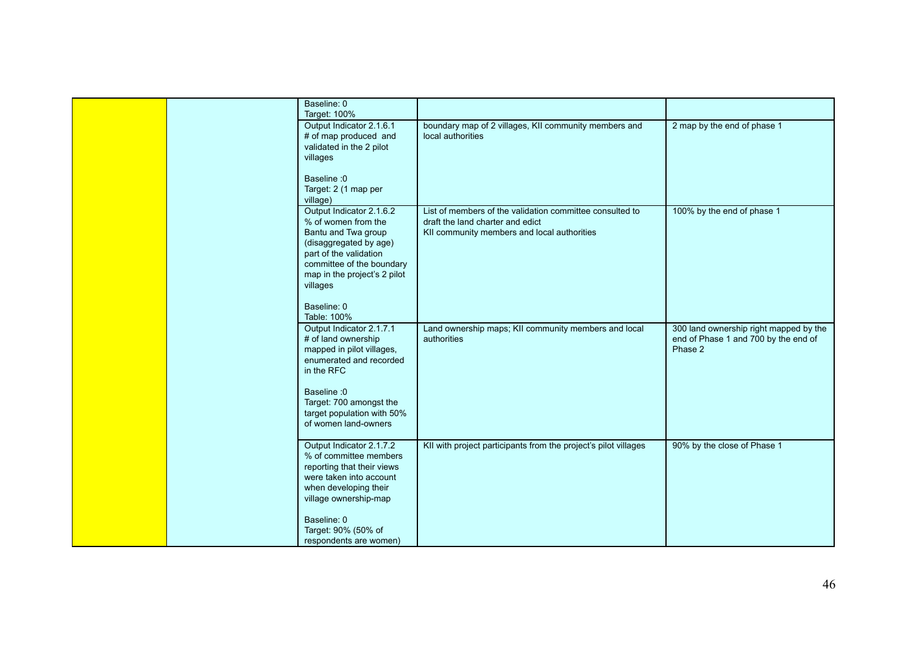| Baseline: 0<br>Target: 100%                                                                                                                                                                         |                                                                                                                                             |                                                                                           |
|-----------------------------------------------------------------------------------------------------------------------------------------------------------------------------------------------------|---------------------------------------------------------------------------------------------------------------------------------------------|-------------------------------------------------------------------------------------------|
| Output Indicator 2.1.6.1<br># of map produced and<br>validated in the 2 pilot<br>villages                                                                                                           | boundary map of 2 villages, KII community members and<br>local authorities                                                                  | 2 map by the end of phase 1                                                               |
| Baseline: 0<br>Target: 2 (1 map per<br>village)                                                                                                                                                     |                                                                                                                                             |                                                                                           |
| Output Indicator 2.1.6.2<br>% of women from the<br>Bantu and Twa group<br>(disaggregated by age)<br>part of the validation<br>committee of the boundary<br>map in the project's 2 pilot<br>villages | List of members of the validation committee consulted to<br>draft the land charter and edict<br>KII community members and local authorities | 100% by the end of phase 1                                                                |
| Baseline: 0<br>Table: 100%                                                                                                                                                                          |                                                                                                                                             |                                                                                           |
| Output Indicator 2.1.7.1<br># of land ownership<br>mapped in pilot villages,<br>enumerated and recorded<br>in the RFC                                                                               | Land ownership maps; KII community members and local<br>authorities                                                                         | 300 land ownership right mapped by the<br>end of Phase 1 and 700 by the end of<br>Phase 2 |
| Baseline: 0<br>Target: 700 amongst the<br>target population with 50%<br>of women land-owners                                                                                                        |                                                                                                                                             |                                                                                           |
| Output Indicator 2.1.7.2<br>% of committee members<br>reporting that their views<br>were taken into account<br>when developing their<br>village ownership-map                                       | KII with project participants from the project's pilot villages                                                                             | 90% by the close of Phase 1                                                               |
| Baseline: 0<br>Target: 90% (50% of<br>respondents are women)                                                                                                                                        |                                                                                                                                             |                                                                                           |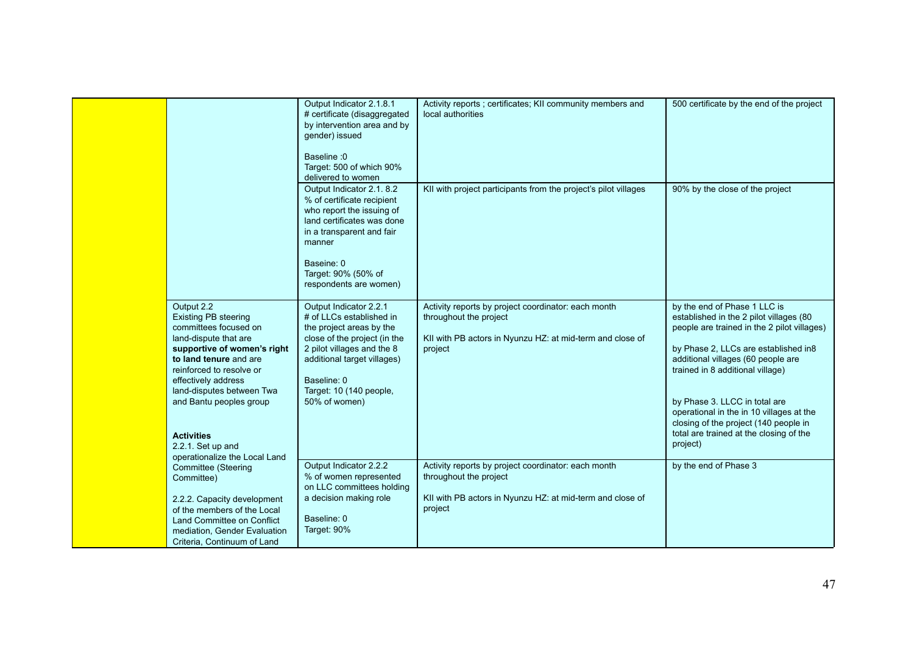|                                                                                                                                                                                                                                                                                                                                            | Output Indicator 2.1.8.1<br># certificate (disaggregated<br>by intervention area and by<br>gender) issued<br>Baseline : 0<br>Target: 500 of which 90%<br>delivered to women                                                            | Activity reports ; certificates; KII community members and<br>local authorities                                                                       | 500 certificate by the end of the project                                                                                                                                                                                                                                                                                                                                                                             |
|--------------------------------------------------------------------------------------------------------------------------------------------------------------------------------------------------------------------------------------------------------------------------------------------------------------------------------------------|----------------------------------------------------------------------------------------------------------------------------------------------------------------------------------------------------------------------------------------|-------------------------------------------------------------------------------------------------------------------------------------------------------|-----------------------------------------------------------------------------------------------------------------------------------------------------------------------------------------------------------------------------------------------------------------------------------------------------------------------------------------------------------------------------------------------------------------------|
|                                                                                                                                                                                                                                                                                                                                            | Output Indicator 2.1. 8.2<br>% of certificate recipient<br>who report the issuing of<br>land certificates was done<br>in a transparent and fair<br>manner<br>Baseine: 0<br>Target: 90% (50% of<br>respondents are women)               | KII with project participants from the project's pilot villages                                                                                       | 90% by the close of the project                                                                                                                                                                                                                                                                                                                                                                                       |
| Output 2.2<br><b>Existing PB steering</b><br>committees focused on<br>land-dispute that are<br>supportive of women's right<br>to land tenure and are<br>reinforced to resolve or<br>effectively address<br>land-disputes between Twa<br>and Bantu peoples group<br><b>Activities</b><br>2.2.1. Set up and<br>operationalize the Local Land | Output Indicator 2.2.1<br># of LLCs established in<br>the project areas by the<br>close of the project (in the<br>2 pilot villages and the 8<br>additional target villages)<br>Baseline: 0<br>Target: 10 (140 people,<br>50% of women) | Activity reports by project coordinator: each month<br>throughout the project<br>KII with PB actors in Nyunzu HZ: at mid-term and close of<br>project | by the end of Phase 1 LLC is<br>established in the 2 pilot villages (80<br>people are trained in the 2 pilot villages)<br>by Phase 2, LLCs are established in8<br>additional villages (60 people are<br>trained in 8 additional village)<br>by Phase 3. LLCC in total are<br>operational in the in 10 villages at the<br>closing of the project (140 people in<br>total are trained at the closing of the<br>project) |
| Committee (Steering<br>Committee)<br>2.2.2. Capacity development<br>of the members of the Local<br>Land Committee on Conflict<br>mediation, Gender Evaluation<br>Criteria, Continuum of Land                                                                                                                                               | Output Indicator 2.2.2<br>% of women represented<br>on LLC committees holding<br>a decision making role<br>Baseline: 0<br>Target: 90%                                                                                                  | Activity reports by project coordinator: each month<br>throughout the project<br>KII with PB actors in Nyunzu HZ: at mid-term and close of<br>project | by the end of Phase 3                                                                                                                                                                                                                                                                                                                                                                                                 |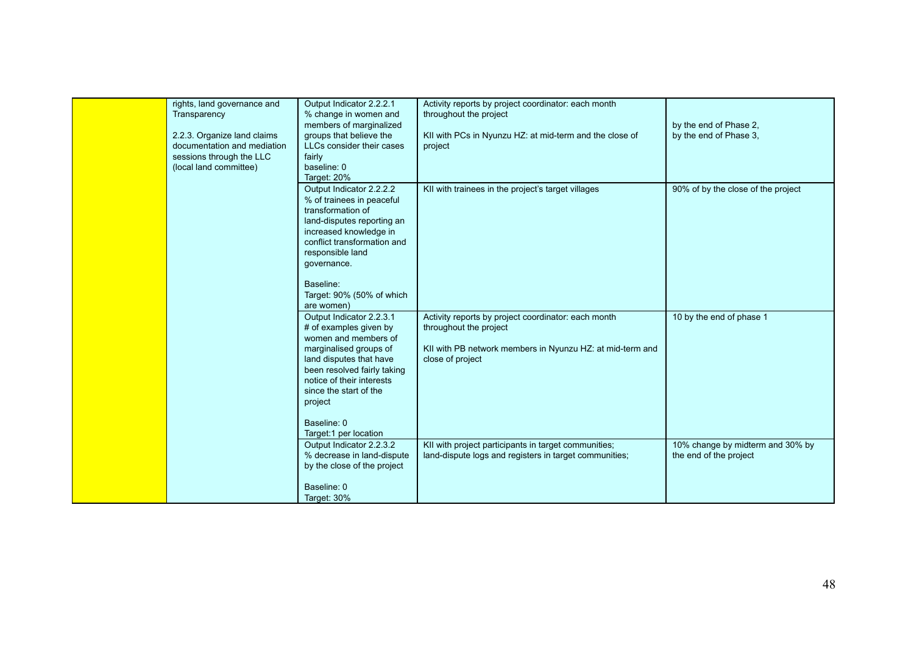| rights, land governance and | Output Indicator 2.2.2.1    | Activity reports by project coordinator: each month       |                                    |
|-----------------------------|-----------------------------|-----------------------------------------------------------|------------------------------------|
| Transparency                | % change in women and       | throughout the project                                    |                                    |
|                             | members of marginalized     |                                                           | by the end of Phase 2,             |
|                             | groups that believe the     |                                                           |                                    |
| 2.2.3. Organize land claims |                             | KII with PCs in Nyunzu HZ: at mid-term and the close of   | by the end of Phase 3.             |
| documentation and mediation | LLCs consider their cases   | project                                                   |                                    |
| sessions through the LLC    | fairly                      |                                                           |                                    |
| (local land committee)      | baseline: 0                 |                                                           |                                    |
|                             | Target: 20%                 |                                                           |                                    |
|                             | Output Indicator 2.2.2.2    | KII with trainees in the project's target villages        | 90% of by the close of the project |
|                             | % of trainees in peaceful   |                                                           |                                    |
|                             | transformation of           |                                                           |                                    |
|                             | land-disputes reporting an  |                                                           |                                    |
|                             | increased knowledge in      |                                                           |                                    |
|                             | conflict transformation and |                                                           |                                    |
|                             | responsible land            |                                                           |                                    |
|                             | governance.                 |                                                           |                                    |
|                             |                             |                                                           |                                    |
|                             | Baseline:                   |                                                           |                                    |
|                             | Target: 90% (50% of which   |                                                           |                                    |
|                             | are women)                  |                                                           |                                    |
|                             | Output Indicator 2.2.3.1    | Activity reports by project coordinator: each month       | 10 by the end of phase 1           |
|                             | # of examples given by      | throughout the project                                    |                                    |
|                             | women and members of        |                                                           |                                    |
|                             | marginalised groups of      | KII with PB network members in Nyunzu HZ: at mid-term and |                                    |
|                             | land disputes that have     | close of project                                          |                                    |
|                             | been resolved fairly taking |                                                           |                                    |
|                             | notice of their interests   |                                                           |                                    |
|                             | since the start of the      |                                                           |                                    |
|                             | project                     |                                                           |                                    |
|                             |                             |                                                           |                                    |
|                             | Baseline: 0                 |                                                           |                                    |
|                             | Target:1 per location       |                                                           |                                    |
|                             | Output Indicator 2.2.3.2    | KII with project participants in target communities;      | 10% change by midterm and 30% by   |
|                             | % decrease in land-dispute  | land-dispute logs and registers in target communities;    | the end of the project             |
|                             | by the close of the project |                                                           |                                    |
|                             |                             |                                                           |                                    |
|                             | Baseline: 0                 |                                                           |                                    |
|                             | Target: 30%                 |                                                           |                                    |
|                             |                             |                                                           |                                    |